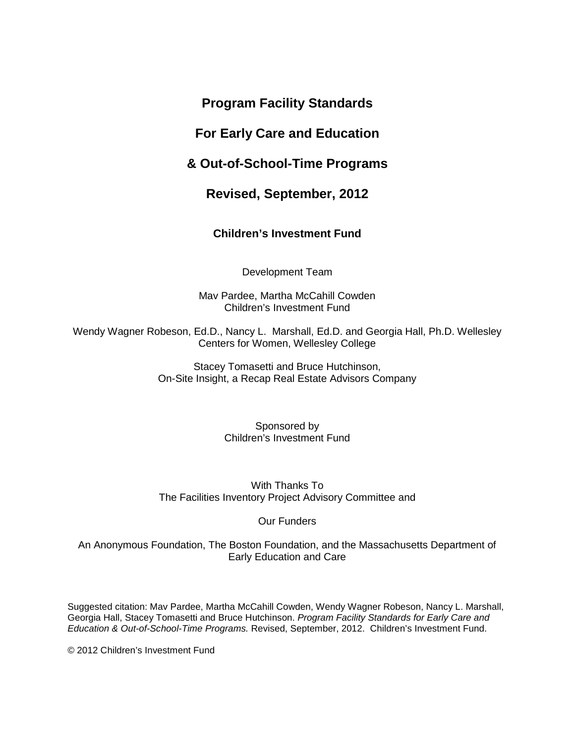**Program Facility Standards**

**For Early Care and Education** 

# **& Out-of-School-Time Programs**

**Revised, September, 2012**

**Children's Investment Fund**

Development Team

Mav Pardee, Martha McCahill Cowden Children's Investment Fund

Wendy Wagner Robeson, Ed.D., Nancy L. Marshall, Ed.D. and Georgia Hall, Ph.D. Wellesley Centers for Women, Wellesley College

> Stacey Tomasetti and Bruce Hutchinson, On-Site Insight, a Recap Real Estate Advisors Company

> > Sponsored by Children's Investment Fund

With Thanks To The Facilities Inventory Project Advisory Committee and

Our Funders

An Anonymous Foundation, The Boston Foundation, and the Massachusetts Department of Early Education and Care

Suggested citation: Mav Pardee, Martha McCahill Cowden, Wendy Wagner Robeson, Nancy L. Marshall, Georgia Hall, Stacey Tomasetti and Bruce Hutchinson. *Program Facility Standards for Early Care and Education & Out-of-School-Time Programs.* Revised, September, 2012. Children's Investment Fund.

© 2012 Children's Investment Fund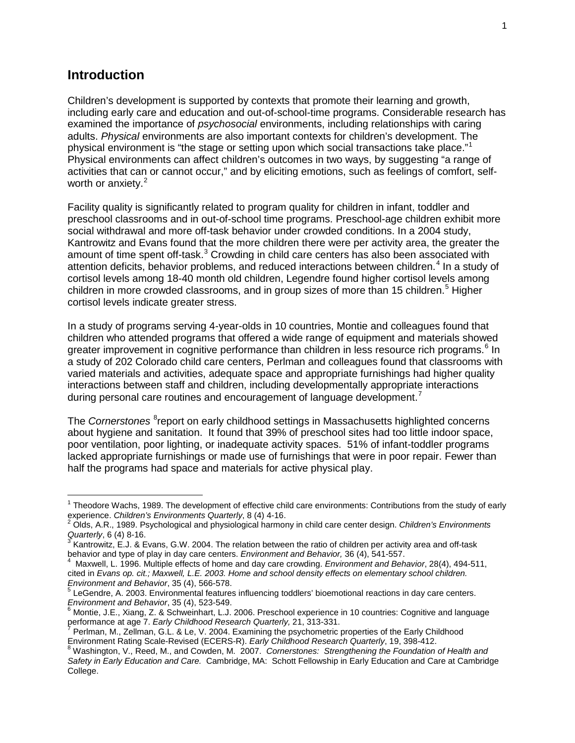## **Introduction**

Children's development is supported by contexts that promote their learning and growth, including early care and education and out-of-school-time programs. Considerable research has examined the importance of *psychosocial* environments, including relationships with caring adults. *Physical* environments are also important contexts for children's development. The physical environment is "the stage or setting upon which social transactions take place."<sup>[1](#page-1-0)</sup> Physical environments can affect children's outcomes in two ways, by suggesting "a range of activities that can or cannot occur," and by eliciting emotions, such as feelings of comfort, selfworth or anxiety. $2$ 

Facility quality is significantly related to program quality for children in infant, toddler and preschool classrooms and in out-of-school time programs. Preschool-age children exhibit more social withdrawal and more off-task behavior under crowded conditions. In a 2004 study, Kantrowitz and Evans found that the more children there were per activity area, the greater the amount of time spent off-task.<sup>[3](#page-1-2)</sup> Crowding in child care centers has also been associated with attention deficits, behavior problems, and reduced interactions between children.<sup>[4](#page-1-3)</sup> In a study of cortisol levels among 18-40 month old children, Legendre found higher cortisol levels among children in more crowded classrooms, and in group sizes of more than 1[5](#page-1-4) children.<sup>5</sup> Higher cortisol levels indicate greater stress.

In a study of programs serving 4-year-olds in 10 countries, Montie and colleagues found that children who attended programs that offered a wide range of equipment and materials showed greater improvement in cognitive performance than children in less resource rich programs.<sup>[6](#page-1-5)</sup> In a study of 202 Colorado child care centers, Perlman and colleagues found that classrooms with varied materials and activities, adequate space and appropriate furnishings had higher quality interactions between staff and children, including developmentally appropriate interactions during personal care routines and encouragement of language development.<sup>[7](#page-1-6)</sup>

The Cornerstones <sup>[8](#page-1-7)</sup>report on early childhood settings in Massachusetts highlighted concerns about hygiene and sanitation. It found that 39% of preschool sites had too little indoor space, poor ventilation, poor lighting, or inadequate activity spaces. 51% of infant-toddler programs lacked appropriate furnishings or made use of furnishings that were in poor repair. Fewer than half the programs had space and materials for active physical play.

 $1$  Theodore Wachs, 1989. The development of effective child care environments: Contributions from the study of early

<span id="page-1-1"></span><span id="page-1-0"></span>experience. *Children's Environments Quarterly*, 8 (4) 4-16.<br><sup>2</sup> Olds, A.R., 1989. Psychological and physiological harmony in child care center design. *Children's Environments*<br>Quarterly, 6 (4) 8-16.

<span id="page-1-2"></span>*Quarterly*, 6 (4) 8-16. <sup>3</sup> Kantrowitz, E.J. & Evans, G.W. 2004. The relation between the ratio of children per activity area and off-task behavior and type of play in day care centers. *Environment and Behavior,* 36 (4), 541-557. <sup>4</sup>

<span id="page-1-3"></span>Maxwell, L. 1996. Multiple effects of home and day care crowding. *Environment and Behavior*, 28(4), 494-511, cited in *Evans op. cit.; Maxwell, L.E. 2003. Home and school density effects on elementary school children.* 

<span id="page-1-4"></span>*Environment and Behavior*, 35 (4), 56 Environmental features influencing toddlers' bioemotional reactions in day care centers.<br>*Environment and Behavior*, 35 (4), 523-549.<br>**6 Mentional Environment and Behavior**, 35 (4).

Montie, J.E., Xiang, Z. & Schweinhart, L.J. 2006. Preschool experience in 10 countries: Cognitive and language

<span id="page-1-6"></span><span id="page-1-5"></span>performance at age 7. *Early Childhood Research Quarterly,* 21, 313-331.<br><sup>7</sup> Perlman, M., Zellman, G.L. & Le, V. 2004. Examining the psychometric properties of the Early Childhood<br>Environment Rating Scale-Revised (ECERS-R)

<span id="page-1-7"></span><sup>&</sup>lt;sup>8</sup> Washington, V., Reed, M., and Cowden, M. 2007. *Cornerstones: Strengthening the Foundation of Health and Safety in Early Education and Care.* Cambridge, MA: Schott Fellowship in Early Education and Care at Cambridge College.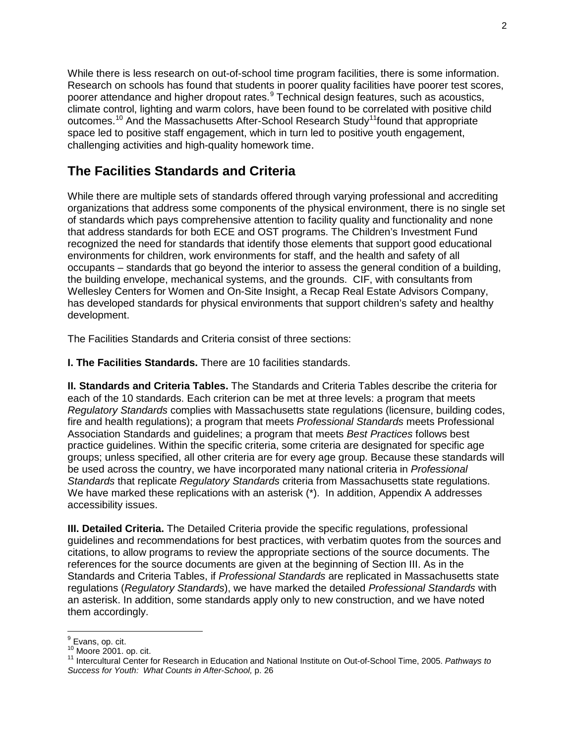While there is less research on out-of-school time program facilities, there is some information. Research on schools has found that students in poorer quality facilities have poorer test scores, poorer attendance and higher dropout rates.<sup>[9](#page-2-0)</sup> Technical design features, such as acoustics, climate control, lighting and warm colors, have been found to be correlated with positive child outcomes.<sup>[10](#page-2-1)</sup> And the Massachusetts After-School Research Study<sup>[11](#page-2-2)</sup>found that appropriate space led to positive staff engagement, which in turn led to positive youth engagement, challenging activities and high-quality homework time.

## **The Facilities Standards and Criteria**

While there are multiple sets of standards offered through varying professional and accrediting organizations that address some components of the physical environment, there is no single set of standards which pays comprehensive attention to facility quality and functionality and none that address standards for both ECE and OST programs. The Children's Investment Fund recognized the need for standards that identify those elements that support good educational environments for children, work environments for staff, and the health and safety of all occupants – standards that go beyond the interior to assess the general condition of a building, the building envelope, mechanical systems, and the grounds. CIF, with consultants from Wellesley Centers for Women and On-Site Insight, a Recap Real Estate Advisors Company, has developed standards for physical environments that support children's safety and healthy development.

The Facilities Standards and Criteria consist of three sections:

**I. The Facilities Standards.** There are 10 facilities standards.

**II. Standards and Criteria Tables.** The Standards and Criteria Tables describe the criteria for each of the 10 standards. Each criterion can be met at three levels: a program that meets *Regulatory Standards* complies with Massachusetts state regulations (licensure, building codes, fire and health regulations); a program that meets *Professional Standards* meets Professional Association Standards and guidelines; a program that meets *Best Practices* follows best practice guidelines. Within the specific criteria, some criteria are designated for specific age groups; unless specified, all other criteria are for every age group. Because these standards will be used across the country, we have incorporated many national criteria in *Professional Standards* that replicate *Regulatory Standards* criteria from Massachusetts state regulations. We have marked these replications with an asterisk  $(*)$ . In addition, Appendix A addresses accessibility issues.

**III. Detailed Criteria.** The Detailed Criteria provide the specific regulations, professional guidelines and recommendations for best practices, with verbatim quotes from the sources and citations, to allow programs to review the appropriate sections of the source documents. The references for the source documents are given at the beginning of Section III. As in the Standards and Criteria Tables, if *Professional Standards* are replicated in Massachusetts state regulations (*Regulatory Standards*), we have marked the detailed *Professional Standards* with an asterisk. In addition, some standards apply only to new construction, and we have noted them accordingly.

<span id="page-2-2"></span><span id="page-2-1"></span>

<span id="page-2-0"></span><sup>&</sup>lt;sup>9</sup> Evans, op. cit.<br><sup>10</sup> Moore 2001. op. cit.<br><sup>11</sup> Intercultural Center for Research in Education and National Institute on Out-of-School Time, 2005. *Pathways to Success for Youth: What Counts in After-School,* p. 26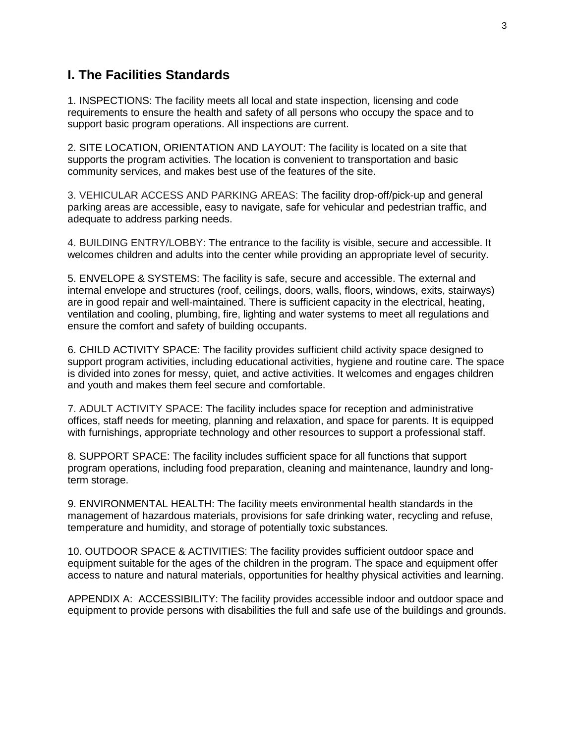## **I. The Facilities Standards**

1. INSPECTIONS: The facility meets all local and state inspection, licensing and code requirements to ensure the health and safety of all persons who occupy the space and to support basic program operations. All inspections are current.

2. SITE LOCATION, ORIENTATION AND LAYOUT: The facility is located on a site that supports the program activities. The location is convenient to transportation and basic community services, and makes best use of the features of the site.

3. VEHICULAR ACCESS AND PARKING AREAS: The facility drop-off/pick-up and general parking areas are accessible, easy to navigate, safe for vehicular and pedestrian traffic, and adequate to address parking needs.

4. BUILDING ENTRY/LOBBY: The entrance to the facility is visible, secure and accessible. It welcomes children and adults into the center while providing an appropriate level of security.

5. ENVELOPE & SYSTEMS: The facility is safe, secure and accessible. The external and internal envelope and structures (roof, ceilings, doors, walls, floors, windows, exits, stairways) are in good repair and well-maintained. There is sufficient capacity in the electrical, heating, ventilation and cooling, plumbing, fire, lighting and water systems to meet all regulations and ensure the comfort and safety of building occupants.

6. CHILD ACTIVITY SPACE: The facility provides sufficient child activity space designed to support program activities, including educational activities, hygiene and routine care. The space is divided into zones for messy, quiet, and active activities. It welcomes and engages children and youth and makes them feel secure and comfortable.

7. ADULT ACTIVITY SPACE: The facility includes space for reception and administrative offices, staff needs for meeting, planning and relaxation, and space for parents. It is equipped with furnishings, appropriate technology and other resources to support a professional staff.

8. SUPPORT SPACE: The facility includes sufficient space for all functions that support program operations, including food preparation, cleaning and maintenance, laundry and longterm storage.

9. ENVIRONMENTAL HEALTH: The facility meets environmental health standards in the management of hazardous materials, provisions for safe drinking water, recycling and refuse, temperature and humidity, and storage of potentially toxic substances.

10. OUTDOOR SPACE & ACTIVITIES: The facility provides sufficient outdoor space and equipment suitable for the ages of the children in the program. The space and equipment offer access to nature and natural materials, opportunities for healthy physical activities and learning.

APPENDIX A: ACCESSIBILITY: The facility provides accessible indoor and outdoor space and equipment to provide persons with disabilities the full and safe use of the buildings and grounds.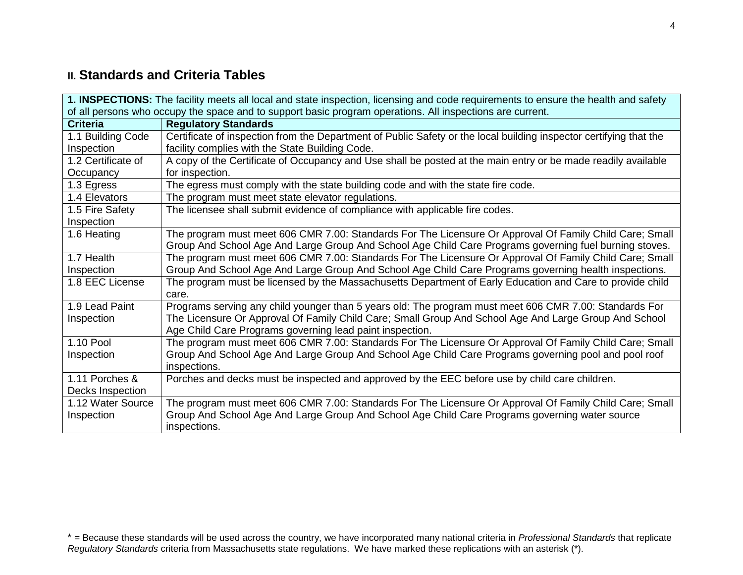# **II. Standards and Criteria Tables**

|                    | 1. INSPECTIONS: The facility meets all local and state inspection, licensing and code requirements to ensure the health and safety |
|--------------------|------------------------------------------------------------------------------------------------------------------------------------|
|                    | of all persons who occupy the space and to support basic program operations. All inspections are current.                          |
| <b>Criteria</b>    | <b>Regulatory Standards</b>                                                                                                        |
| 1.1 Building Code  | Certificate of inspection from the Department of Public Safety or the local building inspector certifying that the                 |
| Inspection         | facility complies with the State Building Code.                                                                                    |
| 1.2 Certificate of | A copy of the Certificate of Occupancy and Use shall be posted at the main entry or be made readily available                      |
| Occupancy          | for inspection.                                                                                                                    |
| 1.3 Egress         | The egress must comply with the state building code and with the state fire code.                                                  |
| 1.4 Elevators      | The program must meet state elevator regulations.                                                                                  |
| 1.5 Fire Safety    | The licensee shall submit evidence of compliance with applicable fire codes.                                                       |
| Inspection         |                                                                                                                                    |
| 1.6 Heating        | The program must meet 606 CMR 7.00: Standards For The Licensure Or Approval Of Family Child Care; Small                            |
|                    | Group And School Age And Large Group And School Age Child Care Programs governing fuel burning stoves.                             |
| 1.7 Health         | The program must meet 606 CMR 7.00: Standards For The Licensure Or Approval Of Family Child Care; Small                            |
| Inspection         | Group And School Age And Large Group And School Age Child Care Programs governing health inspections.                              |
| 1.8 EEC License    | The program must be licensed by the Massachusetts Department of Early Education and Care to provide child                          |
|                    | care.                                                                                                                              |
| 1.9 Lead Paint     | Programs serving any child younger than 5 years old: The program must meet 606 CMR 7.00: Standards For                             |
| Inspection         | The Licensure Or Approval Of Family Child Care; Small Group And School Age And Large Group And School                              |
|                    | Age Child Care Programs governing lead paint inspection.                                                                           |
| 1.10 Pool          | The program must meet 606 CMR 7.00: Standards For The Licensure Or Approval Of Family Child Care; Small                            |
| Inspection         | Group And School Age And Large Group And School Age Child Care Programs governing pool and pool roof                               |
|                    | inspections.                                                                                                                       |
| 1.11 Porches &     | Porches and decks must be inspected and approved by the EEC before use by child care children.                                     |
| Decks Inspection   |                                                                                                                                    |
| 1.12 Water Source  | The program must meet 606 CMR 7.00: Standards For The Licensure Or Approval Of Family Child Care; Small                            |
| Inspection         | Group And School Age And Large Group And School Age Child Care Programs governing water source                                     |
|                    | inspections.                                                                                                                       |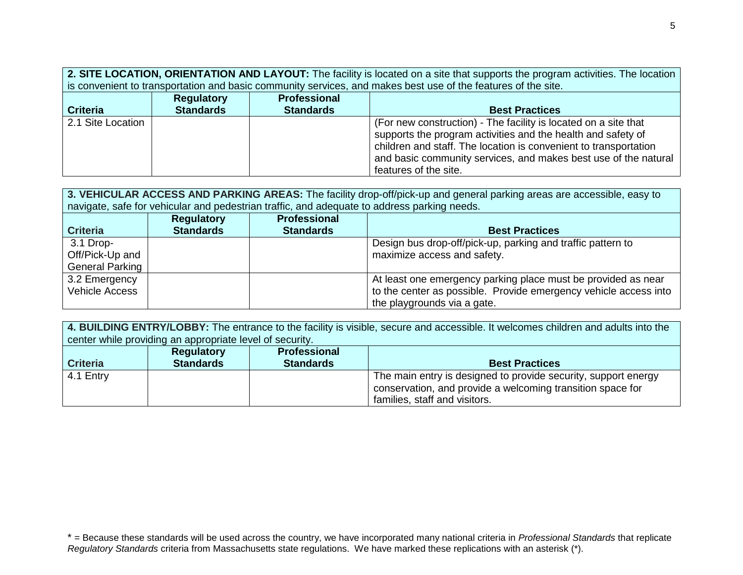| 2. SITE LOCATION, ORIENTATION AND LAYOUT: The facility is located on a site that supports the program activities. The location |                                                                                                               |                  |                                                                  |  |  |
|--------------------------------------------------------------------------------------------------------------------------------|---------------------------------------------------------------------------------------------------------------|------------------|------------------------------------------------------------------|--|--|
|                                                                                                                                | is convenient to transportation and basic community services, and makes best use of the features of the site. |                  |                                                                  |  |  |
| <b>Regulatory</b><br><b>Professional</b>                                                                                       |                                                                                                               |                  |                                                                  |  |  |
| <b>Criteria</b>                                                                                                                | <b>Standards</b>                                                                                              | <b>Standards</b> | <b>Best Practices</b>                                            |  |  |
| 2.1 Site Location                                                                                                              |                                                                                                               |                  | (For new construction) - The facility is located on a site that  |  |  |
|                                                                                                                                |                                                                                                               |                  | supports the program activities and the health and safety of     |  |  |
|                                                                                                                                |                                                                                                               |                  | children and staff. The location is convenient to transportation |  |  |
| and basic community services, and makes best use of the natural                                                                |                                                                                                               |                  |                                                                  |  |  |
|                                                                                                                                |                                                                                                               |                  | features of the site.                                            |  |  |

**3. VEHICULAR ACCESS AND PARKING AREAS:** The facility drop-off/pick-up and general parking areas are accessible, easy to navigate, safe for vehicular and pedestrian traffic, and adequate to address parking needs.

| <b>Criteria</b>                                        | <b>Regulatory</b><br><b>Standards</b> | <b>Professional</b><br><b>Standards</b> | <b>Best Practices</b>                                                                                                                                            |
|--------------------------------------------------------|---------------------------------------|-----------------------------------------|------------------------------------------------------------------------------------------------------------------------------------------------------------------|
| 3.1 Drop-<br>Off/Pick-Up and<br><b>General Parking</b> |                                       |                                         | Design bus drop-off/pick-up, parking and traffic pattern to<br>maximize access and safety.                                                                       |
| 3.2 Emergency<br><b>Vehicle Access</b>                 |                                       |                                         | At least one emergency parking place must be provided as near<br>to the center as possible. Provide emergency vehicle access into<br>the playgrounds via a gate. |

**4. BUILDING ENTRY/LOBBY:** The entrance to the facility is visible, secure and accessible. It welcomes children and adults into the center while providing an appropriate level of security.

| <b>Criteria</b> | <b>Regulatory</b><br><b>Standards</b> | <b>Professional</b><br><b>Standards</b> | <b>Best Practices</b>                                                                                                        |
|-----------------|---------------------------------------|-----------------------------------------|------------------------------------------------------------------------------------------------------------------------------|
| 4.1 Entry       |                                       |                                         | The main entry is designed to provide security, support energy<br>conservation, and provide a welcoming transition space for |
|                 |                                       |                                         | families, staff and visitors.                                                                                                |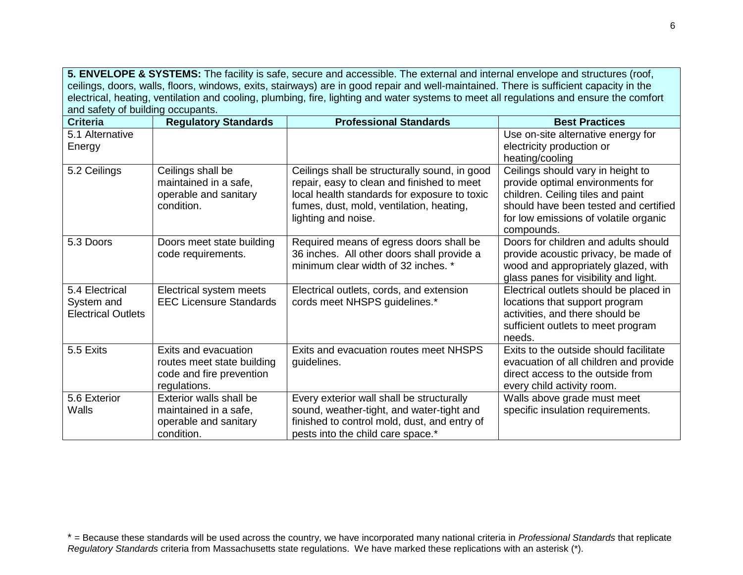**5. ENVELOPE & SYSTEMS:** The facility is safe, secure and accessible. The external and internal envelope and structures (roof, ceilings, doors, walls, floors, windows, exits, stairways) are in good repair and well-maintained. There is sufficient capacity in the electrical, heating, ventilation and cooling, plumbing, fire, lighting and water systems to meet all regulations and ensure the comfort and safety of building occupants.

| Criteria                                                  | <b>Regulatory Standards</b>                                                                    | <b>Professional Standards</b>                                                                                                                                                                                  | <b>Best Practices</b>                                                                                                                                                                                      |
|-----------------------------------------------------------|------------------------------------------------------------------------------------------------|----------------------------------------------------------------------------------------------------------------------------------------------------------------------------------------------------------------|------------------------------------------------------------------------------------------------------------------------------------------------------------------------------------------------------------|
| 5.1 Alternative<br>Energy                                 |                                                                                                |                                                                                                                                                                                                                | Use on-site alternative energy for<br>electricity production or<br>heating/cooling                                                                                                                         |
| 5.2 Ceilings                                              | Ceilings shall be<br>maintained in a safe,<br>operable and sanitary<br>condition.              | Ceilings shall be structurally sound, in good<br>repair, easy to clean and finished to meet<br>local health standards for exposure to toxic<br>fumes, dust, mold, ventilation, heating,<br>lighting and noise. | Ceilings should vary in height to<br>provide optimal environments for<br>children. Ceiling tiles and paint<br>should have been tested and certified<br>for low emissions of volatile organic<br>compounds. |
| 5.3 Doors                                                 | Doors meet state building<br>code requirements.                                                | Required means of egress doors shall be<br>36 inches. All other doors shall provide a<br>minimum clear width of 32 inches. *                                                                                   | Doors for children and adults should<br>provide acoustic privacy, be made of<br>wood and appropriately glazed, with<br>glass panes for visibility and light.                                               |
| 5.4 Electrical<br>System and<br><b>Electrical Outlets</b> | Electrical system meets<br><b>EEC Licensure Standards</b>                                      | Electrical outlets, cords, and extension<br>cords meet NHSPS guidelines.*                                                                                                                                      | Electrical outlets should be placed in<br>locations that support program<br>activities, and there should be<br>sufficient outlets to meet program<br>needs.                                                |
| 5.5 Exits                                                 | Exits and evacuation<br>routes meet state building<br>code and fire prevention<br>regulations. | Exits and evacuation routes meet NHSPS<br>guidelines.                                                                                                                                                          | Exits to the outside should facilitate<br>evacuation of all children and provide<br>direct access to the outside from<br>every child activity room.                                                        |
| 5.6 Exterior<br><b>Walls</b>                              | Exterior walls shall be<br>maintained in a safe,<br>operable and sanitary<br>condition.        | Every exterior wall shall be structurally<br>sound, weather-tight, and water-tight and<br>finished to control mold, dust, and entry of<br>pests into the child care space.*                                    | Walls above grade must meet<br>specific insulation requirements.                                                                                                                                           |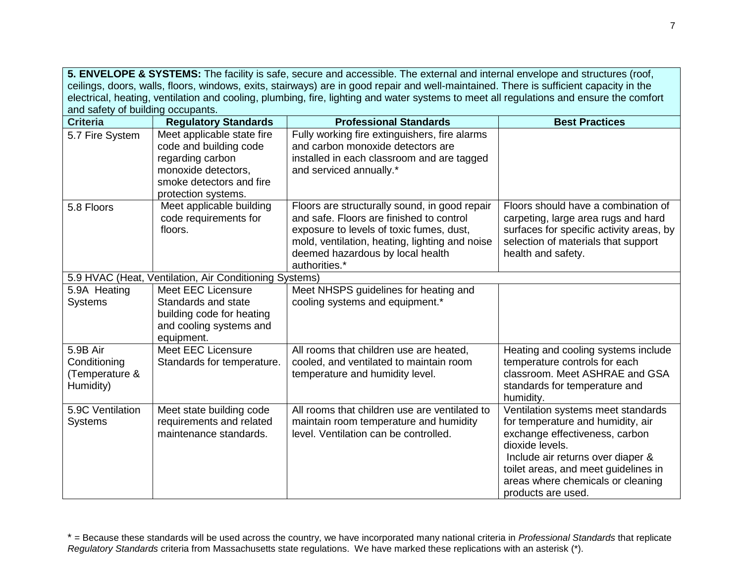|                                                         |                                                                                                                                                    | <b>5. ENVELOPE &amp; SYSTEMS:</b> The facility is safe, secure and accessible. The external and internal envelope and structures (roof,<br>ceilings, doors, walls, floors, windows, exits, stairways) are in good repair and well-maintained. There is sufficient capacity in the<br>electrical, heating, ventilation and cooling, plumbing, fire, lighting and water systems to meet all regulations and ensure the comfort |                                                                                                                                                                                                                                                                      |
|---------------------------------------------------------|----------------------------------------------------------------------------------------------------------------------------------------------------|------------------------------------------------------------------------------------------------------------------------------------------------------------------------------------------------------------------------------------------------------------------------------------------------------------------------------------------------------------------------------------------------------------------------------|----------------------------------------------------------------------------------------------------------------------------------------------------------------------------------------------------------------------------------------------------------------------|
| and safety of building occupants.                       |                                                                                                                                                    |                                                                                                                                                                                                                                                                                                                                                                                                                              |                                                                                                                                                                                                                                                                      |
| <b>Criteria</b>                                         | <b>Regulatory Standards</b>                                                                                                                        | <b>Professional Standards</b>                                                                                                                                                                                                                                                                                                                                                                                                | <b>Best Practices</b>                                                                                                                                                                                                                                                |
| 5.7 Fire System                                         | Meet applicable state fire<br>code and building code<br>regarding carbon<br>monoxide detectors,<br>smoke detectors and fire<br>protection systems. | Fully working fire extinguishers, fire alarms<br>and carbon monoxide detectors are<br>installed in each classroom and are tagged<br>and serviced annually.*                                                                                                                                                                                                                                                                  |                                                                                                                                                                                                                                                                      |
| 5.8 Floors                                              | Meet applicable building<br>code requirements for<br>floors.                                                                                       | Floors are structurally sound, in good repair<br>and safe. Floors are finished to control<br>exposure to levels of toxic fumes, dust,<br>mold, ventilation, heating, lighting and noise<br>deemed hazardous by local health<br>authorities.*                                                                                                                                                                                 | Floors should have a combination of<br>carpeting, large area rugs and hard<br>surfaces for specific activity areas, by<br>selection of materials that support<br>health and safety.                                                                                  |
|                                                         | 5.9 HVAC (Heat, Ventilation, Air Conditioning Systems)                                                                                             |                                                                                                                                                                                                                                                                                                                                                                                                                              |                                                                                                                                                                                                                                                                      |
| 5.9A Heating<br><b>Systems</b>                          | <b>Meet EEC Licensure</b><br>Standards and state<br>building code for heating<br>and cooling systems and<br>equipment.                             | Meet NHSPS guidelines for heating and<br>cooling systems and equipment.*                                                                                                                                                                                                                                                                                                                                                     |                                                                                                                                                                                                                                                                      |
| 5.9B Air<br>Conditioning<br>(Temperature &<br>Humidity) | <b>Meet EEC Licensure</b><br>Standards for temperature.                                                                                            | All rooms that children use are heated,<br>cooled, and ventilated to maintain room<br>temperature and humidity level.                                                                                                                                                                                                                                                                                                        | Heating and cooling systems include<br>temperature controls for each<br>classroom. Meet ASHRAE and GSA<br>standards for temperature and<br>humidity.                                                                                                                 |
| 5.9C Ventilation<br><b>Systems</b>                      | Meet state building code<br>requirements and related<br>maintenance standards.                                                                     | All rooms that children use are ventilated to<br>maintain room temperature and humidity<br>level. Ventilation can be controlled.                                                                                                                                                                                                                                                                                             | Ventilation systems meet standards<br>for temperature and humidity, air<br>exchange effectiveness, carbon<br>dioxide levels.<br>Include air returns over diaper &<br>toilet areas, and meet guidelines in<br>areas where chemicals or cleaning<br>products are used. |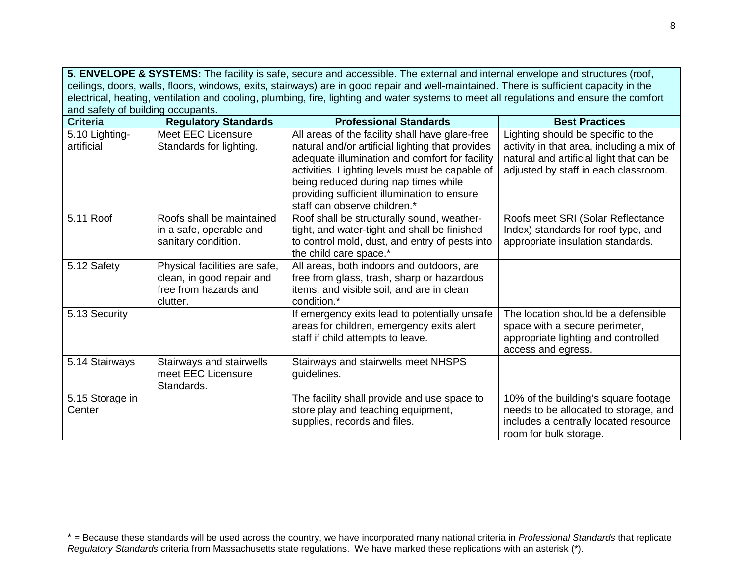**5. ENVELOPE & SYSTEMS:** The facility is safe, secure and accessible. The external and internal envelope and structures (roof, ceilings, doors, walls, floors, windows, exits, stairways) are in good repair and well-maintained. There is sufficient capacity in the electrical, heating, ventilation and cooling, plumbing, fire, lighting and water systems to meet all regulations and ensure the comfort and safety of building occupants.

| <b>Criteria</b>              | <b>Regulatory Standards</b>                                                                     | <b>Professional Standards</b>                                                                                                                                                                                                                                                                                                  | <b>Best Practices</b>                                                                                                                                               |
|------------------------------|-------------------------------------------------------------------------------------------------|--------------------------------------------------------------------------------------------------------------------------------------------------------------------------------------------------------------------------------------------------------------------------------------------------------------------------------|---------------------------------------------------------------------------------------------------------------------------------------------------------------------|
| 5.10 Lighting-<br>artificial | <b>Meet EEC Licensure</b><br>Standards for lighting.                                            | All areas of the facility shall have glare-free<br>natural and/or artificial lighting that provides<br>adequate illumination and comfort for facility<br>activities. Lighting levels must be capable of<br>being reduced during nap times while<br>providing sufficient illumination to ensure<br>staff can observe children.* | Lighting should be specific to the<br>activity in that area, including a mix of<br>natural and artificial light that can be<br>adjusted by staff in each classroom. |
| 5.11 Roof                    | Roofs shall be maintained<br>in a safe, operable and<br>sanitary condition.                     | Roof shall be structurally sound, weather-<br>tight, and water-tight and shall be finished<br>to control mold, dust, and entry of pests into<br>the child care space.*                                                                                                                                                         | Roofs meet SRI (Solar Reflectance<br>Index) standards for roof type, and<br>appropriate insulation standards.                                                       |
| 5.12 Safety                  | Physical facilities are safe,<br>clean, in good repair and<br>free from hazards and<br>clutter. | All areas, both indoors and outdoors, are<br>free from glass, trash, sharp or hazardous<br>items, and visible soil, and are in clean<br>condition.*                                                                                                                                                                            |                                                                                                                                                                     |
| 5.13 Security                |                                                                                                 | If emergency exits lead to potentially unsafe<br>areas for children, emergency exits alert<br>staff if child attempts to leave.                                                                                                                                                                                                | The location should be a defensible<br>space with a secure perimeter,<br>appropriate lighting and controlled<br>access and egress.                                  |
| 5.14 Stairways               | Stairways and stairwells<br>meet EEC Licensure<br>Standards.                                    | Stairways and stairwells meet NHSPS<br>guidelines.                                                                                                                                                                                                                                                                             |                                                                                                                                                                     |
| 5.15 Storage in<br>Center    |                                                                                                 | The facility shall provide and use space to<br>store play and teaching equipment,<br>supplies, records and files.                                                                                                                                                                                                              | 10% of the building's square footage<br>needs to be allocated to storage, and<br>includes a centrally located resource<br>room for bulk storage.                    |

<sup>\* =</sup> Because these standards will be used across the country, we have incorporated many national criteria in *Professional Standards* that replicate *Regulatory Standards* criteria from Massachusetts state regulations. We have marked these replications with an asterisk (\*).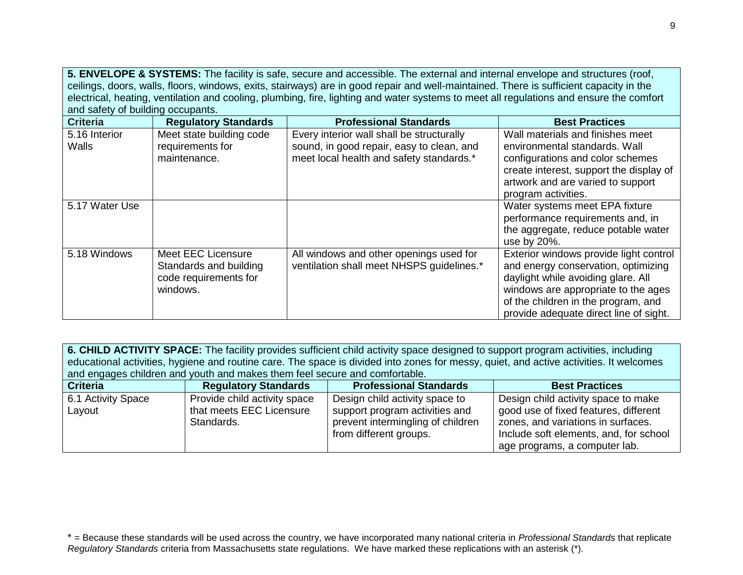**5. ENVELOPE & SYSTEMS:** The facility is safe, secure and accessible. The external and internal envelope and structures (roof, ceilings, doors, walls, floors, windows, exits, stairways) are in good repair and well-maintained. There is sufficient capacity in the electrical, heating, ventilation and cooling, plumbing, fire, lighting and water systems to meet all regulations and ensure the comfort and safety of building occupants.

| <b>Criteria</b>        | <b>Regulatory Standards</b>                                                       | <b>Professional Standards</b>                                                                                                      | <b>Best Practices</b>                                                                                                                                                                                                                       |
|------------------------|-----------------------------------------------------------------------------------|------------------------------------------------------------------------------------------------------------------------------------|---------------------------------------------------------------------------------------------------------------------------------------------------------------------------------------------------------------------------------------------|
| 5.16 Interior<br>Walls | Meet state building code<br>requirements for<br>maintenance.                      | Every interior wall shall be structurally<br>sound, in good repair, easy to clean, and<br>meet local health and safety standards.* | Wall materials and finishes meet<br>environmental standards. Wall<br>configurations and color schemes<br>create interest, support the display of<br>artwork and are varied to support<br>program activities.                                |
| 5.17 Water Use         |                                                                                   |                                                                                                                                    | Water systems meet EPA fixture<br>performance requirements and, in<br>the aggregate, reduce potable water<br>use by 20%.                                                                                                                    |
| 5.18 Windows           | Meet EEC Licensure<br>Standards and building<br>code requirements for<br>windows. | All windows and other openings used for<br>ventilation shall meet NHSPS guidelines.*                                               | Exterior windows provide light control<br>and energy conservation, optimizing<br>daylight while avoiding glare. All<br>windows are appropriate to the ages<br>of the children in the program, and<br>provide adequate direct line of sight. |

**6. CHILD ACTIVITY SPACE:** The facility provides sufficient child activity space designed to support program activities, including educational activities, hygiene and routine care. The space is divided into zones for messy, quiet, and active activities. It welcomes and engages children and youth and makes them feel secure and comfortable.

| <b>Criteria</b>              | <b>Regulatory Standards</b>                                            | <b>Professional Standards</b>                                                                                                   | <b>Best Practices</b>                                                                                                                                                                         |
|------------------------------|------------------------------------------------------------------------|---------------------------------------------------------------------------------------------------------------------------------|-----------------------------------------------------------------------------------------------------------------------------------------------------------------------------------------------|
| 6.1 Activity Space<br>Layout | Provide child activity space<br>that meets EEC Licensure<br>Standards. | Design child activity space to<br>support program activities and<br>prevent intermingling of children<br>from different groups. | Design child activity space to make<br>good use of fixed features, different<br>zones, and variations in surfaces.<br>Include soft elements, and, for school<br>age programs, a computer lab. |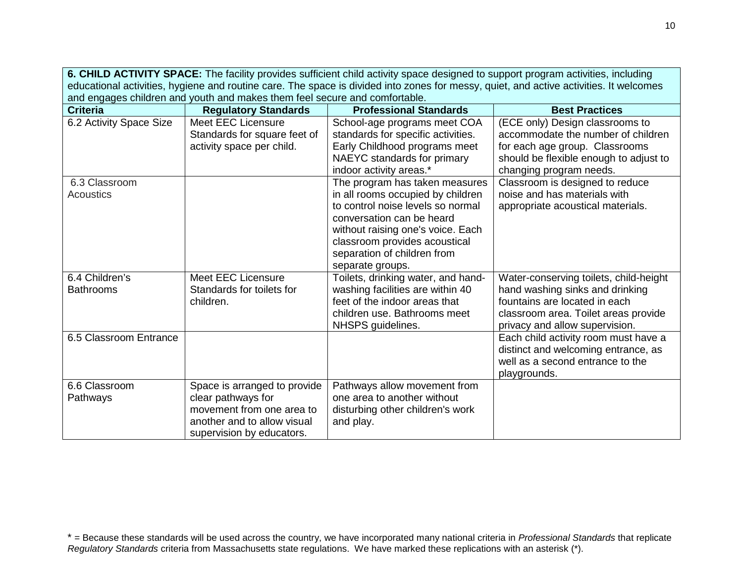|                                                                                                                                        | 6. CHILD ACTIVITY SPACE: The facility provides sufficient child activity space designed to support program activities, including |                                    |                                        |  |  |
|----------------------------------------------------------------------------------------------------------------------------------------|----------------------------------------------------------------------------------------------------------------------------------|------------------------------------|----------------------------------------|--|--|
| educational activities, hygiene and routine care. The space is divided into zones for messy, quiet, and active activities. It welcomes |                                                                                                                                  |                                    |                                        |  |  |
| and engages children and youth and makes them feel secure and comfortable.                                                             |                                                                                                                                  |                                    |                                        |  |  |
| <b>Criteria</b>                                                                                                                        | <b>Regulatory Standards</b>                                                                                                      | <b>Professional Standards</b>      | <b>Best Practices</b>                  |  |  |
| 6.2 Activity Space Size                                                                                                                | <b>Meet EEC Licensure</b>                                                                                                        | School-age programs meet COA       | (ECE only) Design classrooms to        |  |  |
|                                                                                                                                        | Standards for square feet of                                                                                                     | standards for specific activities. | accommodate the number of children     |  |  |
|                                                                                                                                        | activity space per child.                                                                                                        | Early Childhood programs meet      | for each age group. Classrooms         |  |  |
|                                                                                                                                        |                                                                                                                                  | NAEYC standards for primary        | should be flexible enough to adjust to |  |  |
|                                                                                                                                        |                                                                                                                                  | indoor activity areas.*            | changing program needs.                |  |  |
| 6.3 Classroom                                                                                                                          |                                                                                                                                  | The program has taken measures     | Classroom is designed to reduce        |  |  |
| Acoustics                                                                                                                              |                                                                                                                                  | in all rooms occupied by children  | noise and has materials with           |  |  |
|                                                                                                                                        |                                                                                                                                  | to control noise levels so normal  | appropriate acoustical materials.      |  |  |
|                                                                                                                                        |                                                                                                                                  | conversation can be heard          |                                        |  |  |
|                                                                                                                                        |                                                                                                                                  | without raising one's voice. Each  |                                        |  |  |
|                                                                                                                                        |                                                                                                                                  | classroom provides acoustical      |                                        |  |  |
|                                                                                                                                        |                                                                                                                                  | separation of children from        |                                        |  |  |
|                                                                                                                                        |                                                                                                                                  | separate groups.                   |                                        |  |  |
| 6.4 Children's                                                                                                                         | Meet EEC Licensure                                                                                                               | Toilets, drinking water, and hand- | Water-conserving toilets, child-height |  |  |
| <b>Bathrooms</b>                                                                                                                       | Standards for toilets for                                                                                                        | washing facilities are within 40   | hand washing sinks and drinking        |  |  |
|                                                                                                                                        | children.                                                                                                                        | feet of the indoor areas that      | fountains are located in each          |  |  |
|                                                                                                                                        |                                                                                                                                  | children use. Bathrooms meet       | classroom area. Toilet areas provide   |  |  |
|                                                                                                                                        |                                                                                                                                  | NHSPS guidelines.                  | privacy and allow supervision.         |  |  |
| 6.5 Classroom Entrance                                                                                                                 |                                                                                                                                  |                                    | Each child activity room must have a   |  |  |
|                                                                                                                                        |                                                                                                                                  |                                    | distinct and welcoming entrance, as    |  |  |
|                                                                                                                                        |                                                                                                                                  |                                    | well as a second entrance to the       |  |  |
|                                                                                                                                        |                                                                                                                                  |                                    | playgrounds.                           |  |  |
| 6.6 Classroom                                                                                                                          | Space is arranged to provide                                                                                                     | Pathways allow movement from       |                                        |  |  |
| Pathways                                                                                                                               | clear pathways for                                                                                                               | one area to another without        |                                        |  |  |
|                                                                                                                                        | movement from one area to                                                                                                        | disturbing other children's work   |                                        |  |  |
|                                                                                                                                        | another and to allow visual                                                                                                      | and play.                          |                                        |  |  |
|                                                                                                                                        | supervision by educators.                                                                                                        |                                    |                                        |  |  |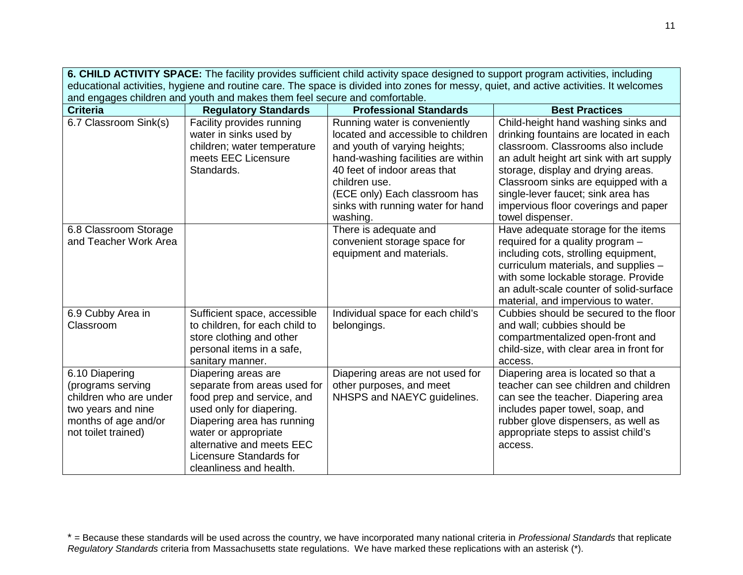| 6. CHILD ACTIVITY SPACE: The facility provides sufficient child activity space designed to support program activities, including       |                                                                                                                                                                                                                                                               |                                                                                                                                                                                                                                                                               |                                                                                                                                                                                                                                                                                                                                                |  |  |
|----------------------------------------------------------------------------------------------------------------------------------------|---------------------------------------------------------------------------------------------------------------------------------------------------------------------------------------------------------------------------------------------------------------|-------------------------------------------------------------------------------------------------------------------------------------------------------------------------------------------------------------------------------------------------------------------------------|------------------------------------------------------------------------------------------------------------------------------------------------------------------------------------------------------------------------------------------------------------------------------------------------------------------------------------------------|--|--|
| educational activities, hygiene and routine care. The space is divided into zones for messy, quiet, and active activities. It welcomes |                                                                                                                                                                                                                                                               |                                                                                                                                                                                                                                                                               |                                                                                                                                                                                                                                                                                                                                                |  |  |
|                                                                                                                                        | and engages children and youth and makes them feel secure and comfortable.                                                                                                                                                                                    |                                                                                                                                                                                                                                                                               |                                                                                                                                                                                                                                                                                                                                                |  |  |
| <b>Criteria</b>                                                                                                                        | <b>Regulatory Standards</b>                                                                                                                                                                                                                                   | <b>Professional Standards</b>                                                                                                                                                                                                                                                 | <b>Best Practices</b>                                                                                                                                                                                                                                                                                                                          |  |  |
| 6.7 Classroom Sink(s)                                                                                                                  | Facility provides running<br>water in sinks used by<br>children; water temperature<br>meets EEC Licensure<br>Standards.                                                                                                                                       | Running water is conveniently<br>located and accessible to children<br>and youth of varying heights;<br>hand-washing facilities are within<br>40 feet of indoor areas that<br>children use.<br>(ECE only) Each classroom has<br>sinks with running water for hand<br>washing. | Child-height hand washing sinks and<br>drinking fountains are located in each<br>classroom. Classrooms also include<br>an adult height art sink with art supply<br>storage, display and drying areas.<br>Classroom sinks are equipped with a<br>single-lever faucet; sink area has<br>impervious floor coverings and paper<br>towel dispenser. |  |  |
| 6.8 Classroom Storage<br>and Teacher Work Area                                                                                         |                                                                                                                                                                                                                                                               | There is adequate and<br>convenient storage space for<br>equipment and materials.                                                                                                                                                                                             | Have adequate storage for the items<br>required for a quality program -<br>including cots, strolling equipment,<br>curriculum materials, and supplies -<br>with some lockable storage. Provide<br>an adult-scale counter of solid-surface<br>material, and impervious to water.                                                                |  |  |
| 6.9 Cubby Area in<br>Classroom                                                                                                         | Sufficient space, accessible<br>to children, for each child to<br>store clothing and other<br>personal items in a safe,<br>sanitary manner.                                                                                                                   | Individual space for each child's<br>belongings.                                                                                                                                                                                                                              | Cubbies should be secured to the floor<br>and wall; cubbies should be<br>compartmentalized open-front and<br>child-size, with clear area in front for<br>access.                                                                                                                                                                               |  |  |
| 6.10 Diapering<br>(programs serving<br>children who are under<br>two years and nine<br>months of age and/or<br>not toilet trained)     | Diapering areas are<br>separate from areas used for<br>food prep and service, and<br>used only for diapering.<br>Diapering area has running<br>water or appropriate<br>alternative and meets EEC<br><b>Licensure Standards for</b><br>cleanliness and health. | Diapering areas are not used for<br>other purposes, and meet<br>NHSPS and NAEYC guidelines.                                                                                                                                                                                   | Diapering area is located so that a<br>teacher can see children and children<br>can see the teacher. Diapering area<br>includes paper towel, soap, and<br>rubber glove dispensers, as well as<br>appropriate steps to assist child's<br>access.                                                                                                |  |  |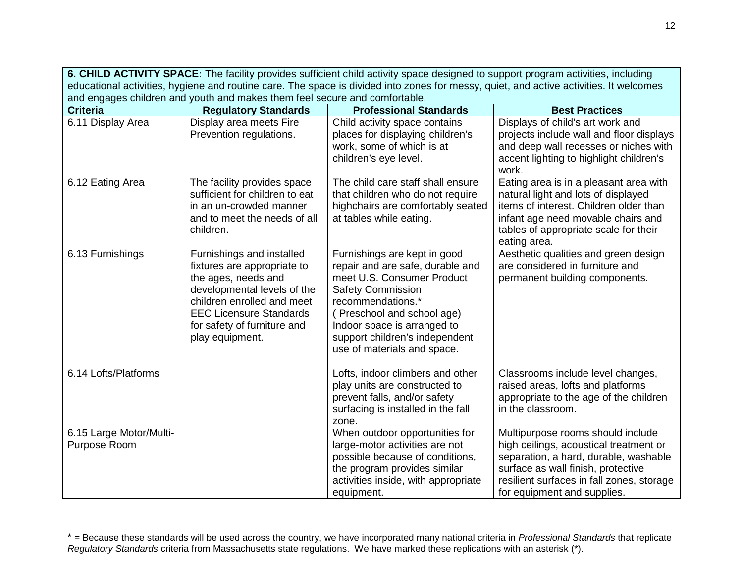|                                         |                                                                                                                                                                                                                                  | 6. CHILD ACTIVITY SPACE: The facility provides sufficient child activity space designed to support program activities, including                                                                                                                                              |                                                                                                                                                                                                                                        |
|-----------------------------------------|----------------------------------------------------------------------------------------------------------------------------------------------------------------------------------------------------------------------------------|-------------------------------------------------------------------------------------------------------------------------------------------------------------------------------------------------------------------------------------------------------------------------------|----------------------------------------------------------------------------------------------------------------------------------------------------------------------------------------------------------------------------------------|
|                                         |                                                                                                                                                                                                                                  |                                                                                                                                                                                                                                                                               | educational activities, hygiene and routine care. The space is divided into zones for messy, quiet, and active activities. It welcomes                                                                                                 |
|                                         | and engages children and youth and makes them feel secure and comfortable.                                                                                                                                                       |                                                                                                                                                                                                                                                                               |                                                                                                                                                                                                                                        |
| <b>Criteria</b>                         | <b>Regulatory Standards</b>                                                                                                                                                                                                      | <b>Professional Standards</b>                                                                                                                                                                                                                                                 | <b>Best Practices</b>                                                                                                                                                                                                                  |
| 6.11 Display Area                       | Display area meets Fire<br>Prevention regulations.                                                                                                                                                                               | Child activity space contains<br>places for displaying children's<br>work, some of which is at<br>children's eye level.                                                                                                                                                       | Displays of child's art work and<br>projects include wall and floor displays<br>and deep wall recesses or niches with<br>accent lighting to highlight children's<br>work.                                                              |
| 6.12 Eating Area                        | The facility provides space<br>sufficient for children to eat<br>in an un-crowded manner<br>and to meet the needs of all<br>children.                                                                                            | The child care staff shall ensure<br>that children who do not require<br>highchairs are comfortably seated<br>at tables while eating.                                                                                                                                         | Eating area is in a pleasant area with<br>natural light and lots of displayed<br>items of interest. Children older than<br>infant age need movable chairs and<br>tables of appropriate scale for their<br>eating area.                 |
| 6.13 Furnishings                        | Furnishings and installed<br>fixtures are appropriate to<br>the ages, needs and<br>developmental levels of the<br>children enrolled and meet<br><b>EEC Licensure Standards</b><br>for safety of furniture and<br>play equipment. | Furnishings are kept in good<br>repair and are safe, durable and<br>meet U.S. Consumer Product<br><b>Safety Commission</b><br>recommendations.*<br>(Preschool and school age)<br>Indoor space is arranged to<br>support children's independent<br>use of materials and space. | Aesthetic qualities and green design<br>are considered in furniture and<br>permanent building components.                                                                                                                              |
| 6.14 Lofts/Platforms                    |                                                                                                                                                                                                                                  | Lofts, indoor climbers and other<br>play units are constructed to<br>prevent falls, and/or safety<br>surfacing is installed in the fall<br>zone.                                                                                                                              | Classrooms include level changes,<br>raised areas, lofts and platforms<br>appropriate to the age of the children<br>in the classroom.                                                                                                  |
| 6.15 Large Motor/Multi-<br>Purpose Room |                                                                                                                                                                                                                                  | When outdoor opportunities for<br>large-motor activities are not<br>possible because of conditions,<br>the program provides similar<br>activities inside, with appropriate<br>equipment.                                                                                      | Multipurpose rooms should include<br>high ceilings, acoustical treatment or<br>separation, a hard, durable, washable<br>surface as wall finish, protective<br>resilient surfaces in fall zones, storage<br>for equipment and supplies. |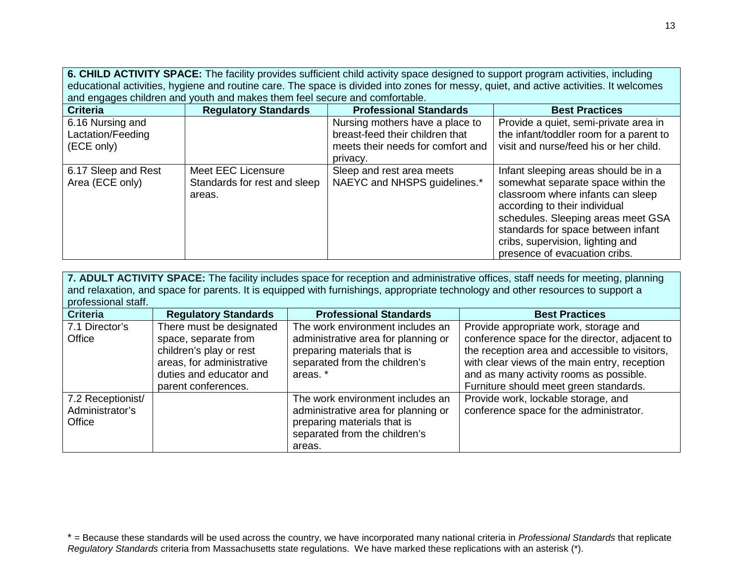**6. CHILD ACTIVITY SPACE:** The facility provides sufficient child activity space designed to support program activities, including educational activities, hygiene and routine care. The space is divided into zones for messy, quiet, and active activities. It welcomes and engages children and youth and makes them feel secure and comfortable.

| <b>Criteria</b>                                     | <b>Regulatory Standards</b>                                  | <b>Professional Standards</b>                                                                           | <b>Best Practices</b>                                                                                                                                                                                                                                                                             |
|-----------------------------------------------------|--------------------------------------------------------------|---------------------------------------------------------------------------------------------------------|---------------------------------------------------------------------------------------------------------------------------------------------------------------------------------------------------------------------------------------------------------------------------------------------------|
| 6.16 Nursing and<br>Lactation/Feeding<br>(ECE only) |                                                              | Nursing mothers have a place to<br>breast-feed their children that<br>meets their needs for comfort and | Provide a quiet, semi-private area in<br>the infant/toddler room for a parent to<br>visit and nurse/feed his or her child.                                                                                                                                                                        |
|                                                     |                                                              | privacy.                                                                                                |                                                                                                                                                                                                                                                                                                   |
| 6.17 Sleep and Rest<br>Area (ECE only)              | Meet EEC Licensure<br>Standards for rest and sleep<br>areas. | Sleep and rest area meets<br>NAEYC and NHSPS guidelines.*                                               | Infant sleeping areas should be in a<br>somewhat separate space within the<br>classroom where infants can sleep<br>according to their individual<br>schedules. Sleeping areas meet GSA<br>standards for space between infant<br>cribs, supervision, lighting and<br>presence of evacuation cribs. |

**7. ADULT ACTIVITY SPACE:** The facility includes space for reception and administrative offices, staff needs for meeting, planning and relaxation, and space for parents. It is equipped with furnishings, appropriate technology and other resources to support a professional staff.

| <b>Criteria</b>   | <b>Regulatory Standards</b> | <b>Professional Standards</b>       | <b>Best Practices</b>                          |
|-------------------|-----------------------------|-------------------------------------|------------------------------------------------|
| 7.1 Director's    | There must be designated    | The work environment includes an    | Provide appropriate work, storage and          |
| Office            | space, separate from        | administrative area for planning or | conference space for the director, adjacent to |
|                   | children's play or rest     | preparing materials that is         | the reception area and accessible to visitors, |
|                   | areas, for administrative   | separated from the children's       | with clear views of the main entry, reception  |
|                   | duties and educator and     | areas. *                            | and as many activity rooms as possible.        |
|                   | parent conferences.         |                                     | Furniture should meet green standards.         |
| 7.2 Receptionist/ |                             | The work environment includes an    | Provide work, lockable storage, and            |
| Administrator's   |                             | administrative area for planning or | conference space for the administrator.        |
| Office            |                             | preparing materials that is         |                                                |
|                   |                             | separated from the children's       |                                                |
|                   |                             | areas.                              |                                                |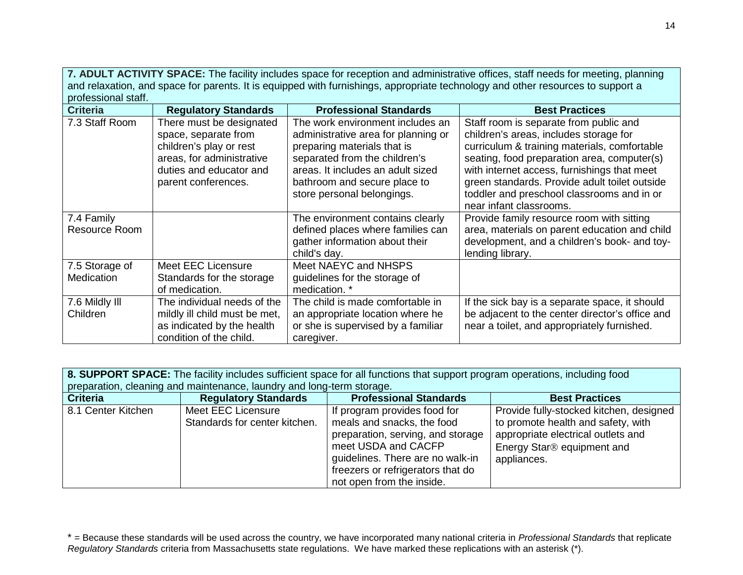**7. ADULT ACTIVITY SPACE:** The facility includes space for reception and administrative offices, staff needs for meeting, planning and relaxation, and space for parents. It is equipped with furnishings, appropriate technology and other resources to support a professional staff.

| <b>Criteria</b> | <b>Regulatory Standards</b>   | <b>Professional Standards</b>       | <b>Best Practices</b>                           |
|-----------------|-------------------------------|-------------------------------------|-------------------------------------------------|
| 7.3 Staff Room  | There must be designated      | The work environment includes an    | Staff room is separate from public and          |
|                 | space, separate from          | administrative area for planning or | children's areas, includes storage for          |
|                 | children's play or rest       | preparing materials that is         | curriculum & training materials, comfortable    |
|                 | areas, for administrative     | separated from the children's       | seating, food preparation area, computer(s)     |
|                 | duties and educator and       | areas. It includes an adult sized   | with internet access, furnishings that meet     |
|                 | parent conferences.           | bathroom and secure place to        | green standards. Provide adult toilet outside   |
|                 |                               | store personal belongings.          | toddler and preschool classrooms and in or      |
|                 |                               |                                     | near infant classrooms.                         |
| 7.4 Family      |                               | The environment contains clearly    | Provide family resource room with sitting       |
| Resource Room   |                               | defined places where families can   | area, materials on parent education and child   |
|                 |                               | gather information about their      | development, and a children's book- and toy-    |
|                 |                               | child's day.                        | lending library.                                |
| 7.5 Storage of  | <b>Meet EEC Licensure</b>     | Meet NAEYC and NHSPS                |                                                 |
| Medication      | Standards for the storage     | guidelines for the storage of       |                                                 |
|                 | of medication.                | medication. *                       |                                                 |
| 7.6 Mildly III  | The individual needs of the   | The child is made comfortable in    | If the sick bay is a separate space, it should  |
| Children        | mildly ill child must be met, | an appropriate location where he    | be adjacent to the center director's office and |
|                 | as indicated by the health    | or she is supervised by a familiar  | near a toilet, and appropriately furnished.     |
|                 | condition of the child.       | caregiver.                          |                                                 |

**8. SUPPORT SPACE:** The facility includes sufficient space for all functions that support program operations, including food preparation, cleaning and maintenance, laundry and long-term storage.

| <b>Criteria</b>    | <b>Regulatory Standards</b>                         | <b>Professional Standards</b>                                                                                                                                                                                                | <b>Best Practices</b>                                                                                                                                                        |
|--------------------|-----------------------------------------------------|------------------------------------------------------------------------------------------------------------------------------------------------------------------------------------------------------------------------------|------------------------------------------------------------------------------------------------------------------------------------------------------------------------------|
| 8.1 Center Kitchen | Meet EEC Licensure<br>Standards for center kitchen. | If program provides food for<br>meals and snacks, the food<br>preparation, serving, and storage<br>meet USDA and CACFP<br>guidelines. There are no walk-in<br>freezers or refrigerators that do<br>not open from the inside. | Provide fully-stocked kitchen, designed<br>to promote health and safety, with<br>appropriate electrical outlets and<br>Energy Star <sup>®</sup> equipment and<br>appliances. |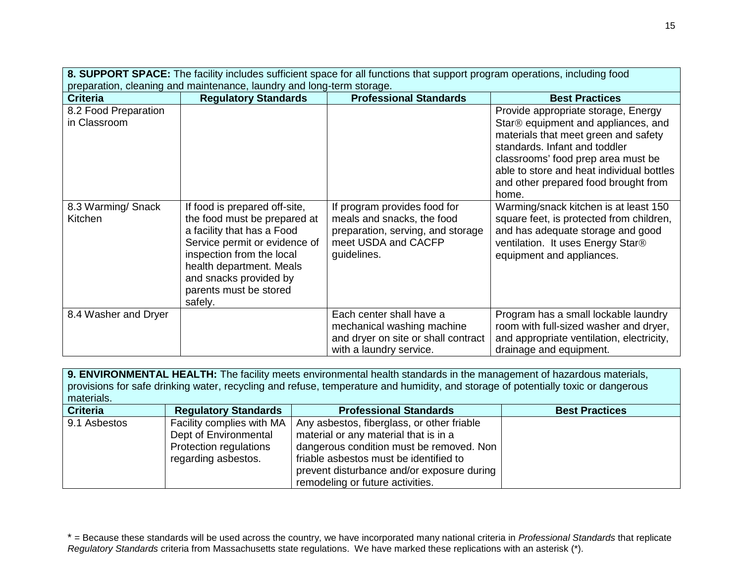| 8. SUPPORT SPACE: The facility includes sufficient space for all functions that support program operations, including food<br>preparation, cleaning and maintenance, laundry and long-term storage. |                                                                                                                                                                                                                                                      |                                                                                                                                       |                                                                                                                                                                                                                                                                                                     |
|-----------------------------------------------------------------------------------------------------------------------------------------------------------------------------------------------------|------------------------------------------------------------------------------------------------------------------------------------------------------------------------------------------------------------------------------------------------------|---------------------------------------------------------------------------------------------------------------------------------------|-----------------------------------------------------------------------------------------------------------------------------------------------------------------------------------------------------------------------------------------------------------------------------------------------------|
| <b>Criteria</b>                                                                                                                                                                                     | <b>Regulatory Standards</b>                                                                                                                                                                                                                          | <b>Professional Standards</b>                                                                                                         | <b>Best Practices</b>                                                                                                                                                                                                                                                                               |
| 8.2 Food Preparation<br>in Classroom                                                                                                                                                                |                                                                                                                                                                                                                                                      |                                                                                                                                       | Provide appropriate storage, Energy<br>Star <sup>®</sup> equipment and appliances, and<br>materials that meet green and safety<br>standards. Infant and toddler<br>classrooms' food prep area must be<br>able to store and heat individual bottles<br>and other prepared food brought from<br>home. |
| 8.3 Warming/ Snack<br>Kitchen                                                                                                                                                                       | If food is prepared off-site,<br>the food must be prepared at<br>a facility that has a Food<br>Service permit or evidence of<br>inspection from the local<br>health department. Meals<br>and snacks provided by<br>parents must be stored<br>safely. | If program provides food for<br>meals and snacks, the food<br>preparation, serving, and storage<br>meet USDA and CACFP<br>guidelines. | Warming/snack kitchen is at least 150<br>square feet, is protected from children,<br>and has adequate storage and good<br>ventilation. It uses Energy Star®<br>equipment and appliances.                                                                                                            |
| 8.4 Washer and Dryer                                                                                                                                                                                |                                                                                                                                                                                                                                                      | Each center shall have a<br>mechanical washing machine<br>and dryer on site or shall contract<br>with a laundry service.              | Program has a small lockable laundry<br>room with full-sized washer and dryer,<br>and appropriate ventilation, electricity,<br>drainage and equipment.                                                                                                                                              |

**9. ENVIRONMENTAL HEALTH:** The facility meets environmental health standards in the management of hazardous materials, provisions for safe drinking water, recycling and refuse, temperature and humidity, and storage of potentially toxic or dangerous materials.

| <b>Criteria</b> | <b>Regulatory Standards</b>                                                                           | <b>Professional Standards</b>                                                                                                                                                                                           | <b>Best Practices</b> |
|-----------------|-------------------------------------------------------------------------------------------------------|-------------------------------------------------------------------------------------------------------------------------------------------------------------------------------------------------------------------------|-----------------------|
| 9.1 Asbestos    | Facility complies with MA  <br>Dept of Environmental<br>Protection regulations<br>regarding asbestos. | Any asbestos, fiberglass, or other friable<br>material or any material that is in a<br>dangerous condition must be removed. Non<br>friable asbestos must be identified to<br>prevent disturbance and/or exposure during |                       |
|                 |                                                                                                       | remodeling or future activities.                                                                                                                                                                                        |                       |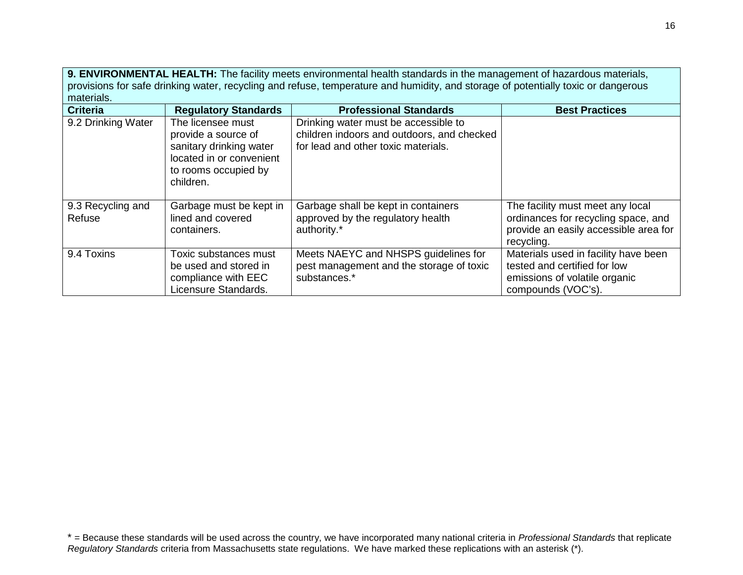**9. ENVIRONMENTAL HEALTH:** The facility meets environmental health standards in the management of hazardous materials, provisions for safe drinking water, recycling and refuse, temperature and humidity, and storage of potentially toxic or dangerous materials.

| <b>Criteria</b>             | <b>Regulatory Standards</b>                                                                                                          | <b>Professional Standards</b>                                                                                             | <b>Best Practices</b>                                                                                                          |
|-----------------------------|--------------------------------------------------------------------------------------------------------------------------------------|---------------------------------------------------------------------------------------------------------------------------|--------------------------------------------------------------------------------------------------------------------------------|
| 9.2 Drinking Water          | The licensee must<br>provide a source of<br>sanitary drinking water<br>located in or convenient<br>to rooms occupied by<br>children. | Drinking water must be accessible to<br>children indoors and outdoors, and checked<br>for lead and other toxic materials. |                                                                                                                                |
| 9.3 Recycling and<br>Refuse | Garbage must be kept in<br>lined and covered<br>containers.                                                                          | Garbage shall be kept in containers<br>approved by the regulatory health<br>authority.*                                   | The facility must meet any local<br>ordinances for recycling space, and<br>provide an easily accessible area for<br>recycling. |
| 9.4 Toxins                  | Toxic substances must<br>be used and stored in<br>compliance with EEC<br>Licensure Standards.                                        | Meets NAEYC and NHSPS guidelines for<br>pest management and the storage of toxic<br>substances.*                          | Materials used in facility have been<br>tested and certified for low<br>emissions of volatile organic<br>compounds (VOC's).    |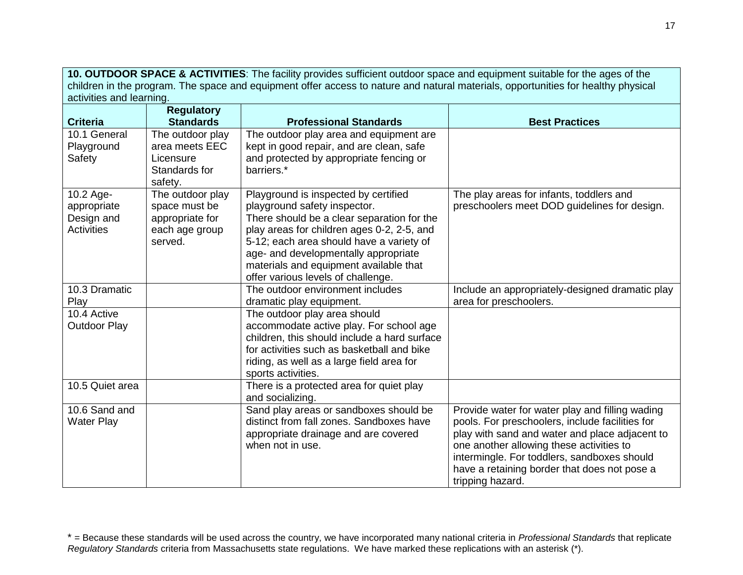|                                                                                                                                                               |                                                                                   | 10. OUTDOOR SPACE & ACTIVITIES: The facility provides sufficient outdoor space and equipment suitable for the ages of the                                                                                                                                                                                                            |                                                                                                                                                                                                                                                                                                                     |
|---------------------------------------------------------------------------------------------------------------------------------------------------------------|-----------------------------------------------------------------------------------|--------------------------------------------------------------------------------------------------------------------------------------------------------------------------------------------------------------------------------------------------------------------------------------------------------------------------------------|---------------------------------------------------------------------------------------------------------------------------------------------------------------------------------------------------------------------------------------------------------------------------------------------------------------------|
| children in the program. The space and equipment offer access to nature and natural materials, opportunities for healthy physical<br>activities and learning. |                                                                                   |                                                                                                                                                                                                                                                                                                                                      |                                                                                                                                                                                                                                                                                                                     |
| <b>Criteria</b>                                                                                                                                               | <b>Regulatory</b><br><b>Standards</b>                                             | <b>Professional Standards</b>                                                                                                                                                                                                                                                                                                        | <b>Best Practices</b>                                                                                                                                                                                                                                                                                               |
| 10.1 General<br>Playground<br>Safety                                                                                                                          | The outdoor play<br>area meets EEC<br>Licensure<br>Standards for<br>safety.       | The outdoor play area and equipment are<br>kept in good repair, and are clean, safe<br>and protected by appropriate fencing or<br>barriers.*                                                                                                                                                                                         |                                                                                                                                                                                                                                                                                                                     |
| 10.2 Age-<br>appropriate<br>Design and<br><b>Activities</b>                                                                                                   | The outdoor play<br>space must be<br>appropriate for<br>each age group<br>served. | Playground is inspected by certified<br>playground safety inspector.<br>There should be a clear separation for the<br>play areas for children ages 0-2, 2-5, and<br>5-12; each area should have a variety of<br>age- and developmentally appropriate<br>materials and equipment available that<br>offer various levels of challenge. | The play areas for infants, toddlers and<br>preschoolers meet DOD guidelines for design.                                                                                                                                                                                                                            |
| 10.3 Dramatic<br>Play                                                                                                                                         |                                                                                   | The outdoor environment includes<br>dramatic play equipment.                                                                                                                                                                                                                                                                         | Include an appropriately-designed dramatic play<br>area for preschoolers.                                                                                                                                                                                                                                           |
| 10.4 Active<br><b>Outdoor Play</b>                                                                                                                            |                                                                                   | The outdoor play area should<br>accommodate active play. For school age<br>children, this should include a hard surface<br>for activities such as basketball and bike<br>riding, as well as a large field area for<br>sports activities.                                                                                             |                                                                                                                                                                                                                                                                                                                     |
| 10.5 Quiet area                                                                                                                                               |                                                                                   | There is a protected area for quiet play<br>and socializing.                                                                                                                                                                                                                                                                         |                                                                                                                                                                                                                                                                                                                     |
| 10.6 Sand and<br><b>Water Play</b>                                                                                                                            |                                                                                   | Sand play areas or sandboxes should be<br>distinct from fall zones. Sandboxes have<br>appropriate drainage and are covered<br>when not in use.                                                                                                                                                                                       | Provide water for water play and filling wading<br>pools. For preschoolers, include facilities for<br>play with sand and water and place adjacent to<br>one another allowing these activities to<br>intermingle. For toddlers, sandboxes should<br>have a retaining border that does not pose a<br>tripping hazard. |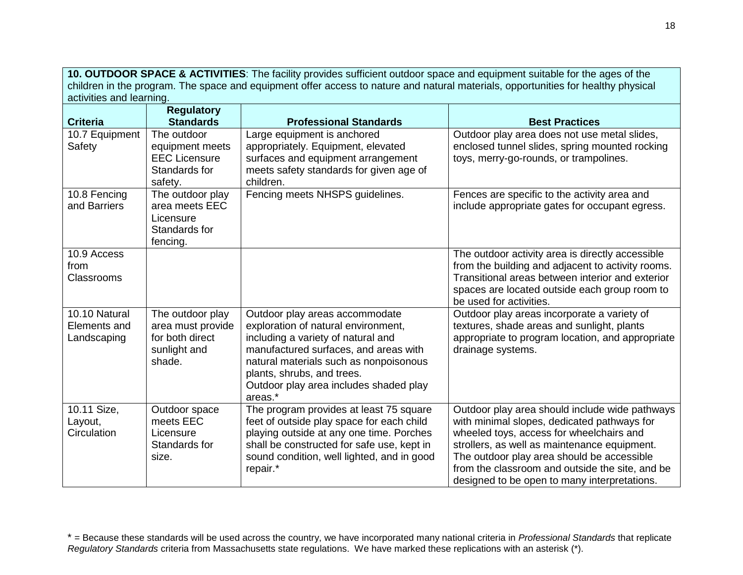| 10. OUTDOOR SPACE & ACTIVITIES: The facility provides sufficient outdoor space and equipment suitable for the ages of the<br>children in the program. The space and equipment offer access to nature and natural materials, opportunities for healthy physical |                                                                                    |                                                                                                                                                                                                                                                                                   |                                                                                                                                                                                                                                                                                                                                            |
|----------------------------------------------------------------------------------------------------------------------------------------------------------------------------------------------------------------------------------------------------------------|------------------------------------------------------------------------------------|-----------------------------------------------------------------------------------------------------------------------------------------------------------------------------------------------------------------------------------------------------------------------------------|--------------------------------------------------------------------------------------------------------------------------------------------------------------------------------------------------------------------------------------------------------------------------------------------------------------------------------------------|
| activities and learning.<br><b>Criteria</b>                                                                                                                                                                                                                    | <b>Regulatory</b><br><b>Standards</b>                                              | <b>Professional Standards</b>                                                                                                                                                                                                                                                     | <b>Best Practices</b>                                                                                                                                                                                                                                                                                                                      |
| 10.7 Equipment<br>Safety                                                                                                                                                                                                                                       | The outdoor<br>equipment meets<br><b>EEC Licensure</b><br>Standards for<br>safety. | Large equipment is anchored<br>appropriately. Equipment, elevated<br>surfaces and equipment arrangement<br>meets safety standards for given age of<br>children.                                                                                                                   | Outdoor play area does not use metal slides,<br>enclosed tunnel slides, spring mounted rocking<br>toys, merry-go-rounds, or trampolines.                                                                                                                                                                                                   |
| 10.8 Fencing<br>and Barriers                                                                                                                                                                                                                                   | The outdoor play<br>area meets EEC<br>Licensure<br>Standards for<br>fencing.       | Fencing meets NHSPS guidelines.                                                                                                                                                                                                                                                   | Fences are specific to the activity area and<br>include appropriate gates for occupant egress.                                                                                                                                                                                                                                             |
| 10.9 Access<br>from<br><b>Classrooms</b>                                                                                                                                                                                                                       |                                                                                    |                                                                                                                                                                                                                                                                                   | The outdoor activity area is directly accessible<br>from the building and adjacent to activity rooms.<br>Transitional areas between interior and exterior<br>spaces are located outside each group room to<br>be used for activities.                                                                                                      |
| 10.10 Natural<br>Elements and<br>Landscaping                                                                                                                                                                                                                   | The outdoor play<br>area must provide<br>for both direct<br>sunlight and<br>shade. | Outdoor play areas accommodate<br>exploration of natural environment,<br>including a variety of natural and<br>manufactured surfaces, and areas with<br>natural materials such as nonpoisonous<br>plants, shrubs, and trees.<br>Outdoor play area includes shaded play<br>areas.* | Outdoor play areas incorporate a variety of<br>textures, shade areas and sunlight, plants<br>appropriate to program location, and appropriate<br>drainage systems.                                                                                                                                                                         |
| 10.11 Size,<br>Layout,<br>Circulation                                                                                                                                                                                                                          | Outdoor space<br>meets EEC<br>Licensure<br>Standards for<br>size.                  | The program provides at least 75 square<br>feet of outside play space for each child<br>playing outside at any one time. Porches<br>shall be constructed for safe use, kept in<br>sound condition, well lighted, and in good<br>repair.*                                          | Outdoor play area should include wide pathways<br>with minimal slopes, dedicated pathways for<br>wheeled toys, access for wheelchairs and<br>strollers, as well as maintenance equipment.<br>The outdoor play area should be accessible<br>from the classroom and outside the site, and be<br>designed to be open to many interpretations. |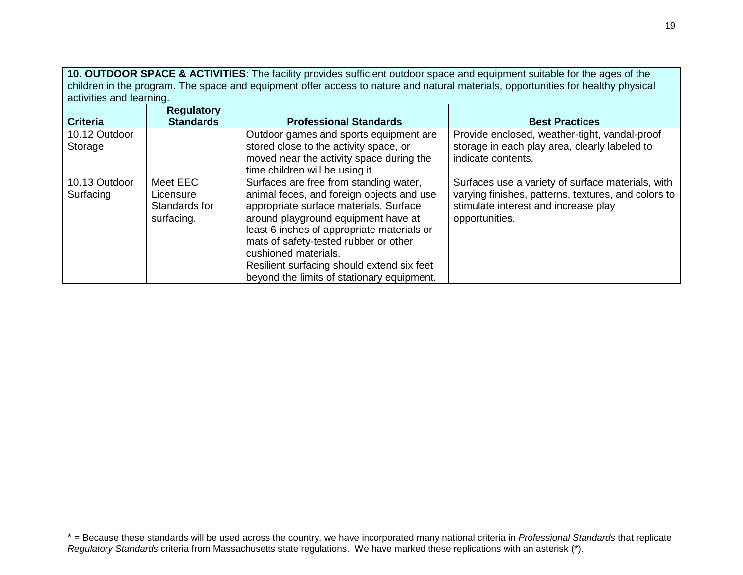**10. OUTDOOR SPACE & ACTIVITIES**: The facility provides sufficient outdoor space and equipment suitable for the ages of the children in the program. The space and equipment offer access to nature and natural materials, opportunities for healthy physical activities and learning.

| <b>Criteria</b> | <b>Regulatory</b><br><b>Standards</b> | <b>Professional Standards</b>              | <b>Best Practices</b>                               |
|-----------------|---------------------------------------|--------------------------------------------|-----------------------------------------------------|
| 10.12 Outdoor   |                                       | Outdoor games and sports equipment are     | Provide enclosed, weather-tight, vandal-proof       |
| Storage         |                                       | stored close to the activity space, or     | storage in each play area, clearly labeled to       |
|                 |                                       | moved near the activity space during the   | indicate contents.                                  |
|                 |                                       | time children will be using it.            |                                                     |
| 10.13 Outdoor   | Meet EEC                              | Surfaces are free from standing water,     | Surfaces use a variety of surface materials, with   |
| Surfacing       | Licensure                             | animal feces, and foreign objects and use  | varying finishes, patterns, textures, and colors to |
|                 | Standards for                         | appropriate surface materials. Surface     | stimulate interest and increase play                |
|                 | surfacing.                            | around playground equipment have at        | opportunities.                                      |
|                 |                                       | least 6 inches of appropriate materials or |                                                     |
|                 |                                       | mats of safety-tested rubber or other      |                                                     |
|                 |                                       | cushioned materials.                       |                                                     |
|                 |                                       | Resilient surfacing should extend six feet |                                                     |
|                 |                                       | beyond the limits of stationary equipment. |                                                     |

<sup>\* =</sup> Because these standards will be used across the country, we have incorporated many national criteria in *Professional Standards* that replicate *Regulatory Standards* criteria from Massachusetts state regulations. We have marked these replications with an asterisk (\*).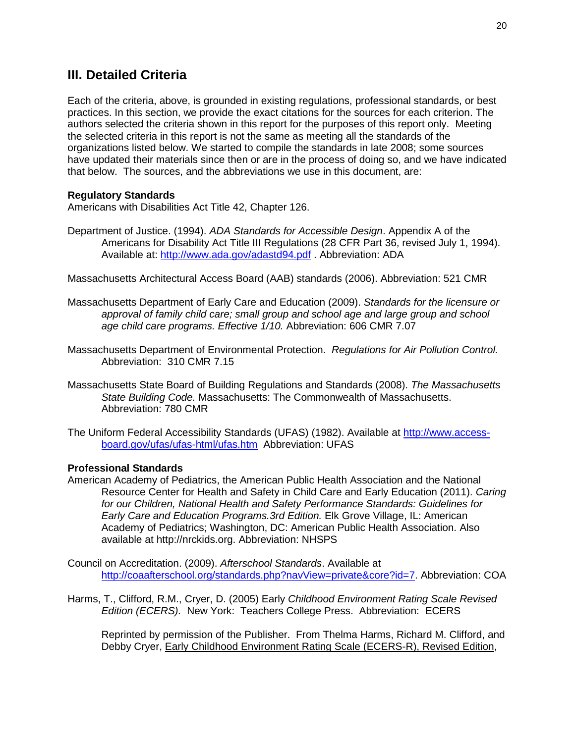## **III. Detailed Criteria**

Each of the criteria, above, is grounded in existing regulations, professional standards, or best practices. In this section, we provide the exact citations for the sources for each criterion. The authors selected the criteria shown in this report for the purposes of this report only. Meeting the selected criteria in this report is not the same as meeting all the standards of the organizations listed below. We started to compile the standards in late 2008; some sources have updated their materials since then or are in the process of doing so, and we have indicated that below. The sources, and the abbreviations we use in this document, are:

#### **Regulatory Standards**

Americans with Disabilities Act Title 42, Chapter 126.

Department of Justice. (1994). *ADA Standards for Accessible Design*. Appendix A of the Americans for Disability Act Title III Regulations (28 CFR Part 36, revised July 1, 1994). Available at:<http://www.ada.gov/adastd94.pdf> . Abbreviation: ADA

Massachusetts Architectural Access Board (AAB) standards (2006). Abbreviation: 521 CMR

- Massachusetts Department of Early Care and Education (2009). *Standards for the licensure or*  approval of family child care; small group and school age and large group and school *age child care programs. Effective 1/10.* Abbreviation: 606 CMR 7.07
- Massachusetts Department of Environmental Protection. *Regulations for Air Pollution Control.*  Abbreviation: 310 CMR 7.15
- Massachusetts State Board of Building Regulations and Standards (2008). *The Massachusetts State Building Code.* Massachusetts: The Commonwealth of Massachusetts. Abbreviation: 780 CMR
- The Uniform Federal Accessibility Standards (UFAS) (1982). Available at [http://www.access](http://www.access-board.gov/ufas/ufas-html/ufas.htm)[board.gov/ufas/ufas-html/ufas.htm](http://www.access-board.gov/ufas/ufas-html/ufas.htm) Abbreviation: UFAS

#### **Professional Standards**

American Academy of Pediatrics, the American Public Health Association and the National Resource Center for Health and Safety in Child Care and Early Education (2011). *Caring for our Children, National Health and Safety Performance Standards: Guidelines for Early Care and Education Programs.3rd Edition.* Elk Grove Village, IL: American Academy of Pediatrics; Washington, DC: American Public Health Association. Also available at http://nrckids.org. Abbreviation: NHSPS

Council on Accreditation. (2009). *Afterschool Standards*. Available at [http://coaafterschool.org/standards.php?navView=private&core?id=7.](http://coaafterschool.org/standards.php?navView=private&core?id=7) Abbreviation: COA

Harms, T., Clifford, R.M., Cryer, D. (2005) Early *Childhood Environment Rating Scale Revised Edition (ECERS).* New York: Teachers College Press. Abbreviation: ECERS

Reprinted by permission of the Publisher. From Thelma Harms, Richard M. Clifford, and Debby Cryer, Early Childhood Environment Rating Scale (ECERS-R), Revised Edition,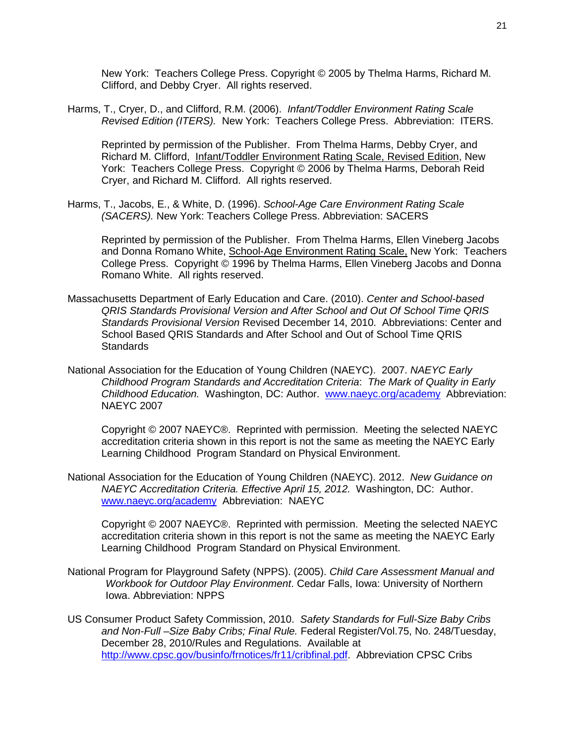New York: Teachers College Press. Copyright © 2005 by Thelma Harms, Richard M. Clifford, and Debby Cryer. All rights reserved.

Harms, T., Cryer, D., and Clifford, R.M. (2006). *Infant/Toddler Environment Rating Scale Revised Edition (ITERS).* New York: Teachers College Press. Abbreviation: ITERS.

Reprinted by permission of the Publisher. From Thelma Harms, Debby Cryer, and Richard M. Clifford, Infant/Toddler Environment Rating Scale, Revised Edition, New York: Teachers College Press. Copyright © 2006 by Thelma Harms, Deborah Reid Cryer, and Richard M. Clifford. All rights reserved.

Harms, T., Jacobs, E., & White, D. (1996). *School-Age Care Environment Rating Scale (SACERS).* New York: Teachers College Press. Abbreviation: SACERS

Reprinted by permission of the Publisher. From Thelma Harms, Ellen Vineberg Jacobs and Donna Romano White, School-Age Environment Rating Scale, New York: Teachers College Press. Copyright © 1996 by Thelma Harms, Ellen Vineberg Jacobs and Donna Romano White. All rights reserved.

- Massachusetts Department of Early Education and Care. (2010). *Center and School-based QRIS Standards Provisional Version and After School and Out Of School Time QRIS Standards Provisional Version* Revised December 14, 2010. Abbreviations: Center and School Based QRIS Standards and After School and Out of School Time QRIS **Standards**
- National Association for the Education of Young Children (NAEYC). 2007. *NAEYC Early Childhood Program Standards and Accreditation Criteria*: *The Mark of Quality in Early Childhood Education.* Washington, DC: Author. [www.naeyc.org/academy](http://www.naeyc.org/academy) Abbreviation: NAEYC 2007

Copyright © 2007 NAEYC®. Reprinted with permission. Meeting the selected NAEYC accreditation criteria shown in this report is not the same as meeting the NAEYC Early Learning Childhood Program Standard on Physical Environment.

National Association for the Education of Young Children (NAEYC). 2012. *New Guidance on NAEYC Accreditation Criteria. Effective April 15, 2012.* Washington, DC: Author. [www.naeyc.org/academy](http://www.naeyc.org/academy) Abbreviation: NAEYC

Copyright © 2007 NAEYC®. Reprinted with permission. Meeting the selected NAEYC accreditation criteria shown in this report is not the same as meeting the NAEYC Early Learning Childhood Program Standard on Physical Environment.

- National Program for Playground Safety (NPPS). (2005). *Child Care Assessment Manual and Workbook for Outdoor Play Environment*. Cedar Falls, Iowa: University of Northern Iowa. Abbreviation: NPPS
- US Consumer Product Safety Commission, 2010. *Safety Standards for Full-Size Baby Cribs and Non-Full –Size Baby Cribs; Final Rule.* Federal Register/Vol.75, No. 248/Tuesday, December 28, 2010/Rules and Regulations. Available at [http://www.cpsc.gov/businfo/frnotices/fr11/cribfinal.pdf.](http://www.cpsc.gov/businfo/frnotices/fr11/cribfinal.pdf) Abbreviation CPSC Cribs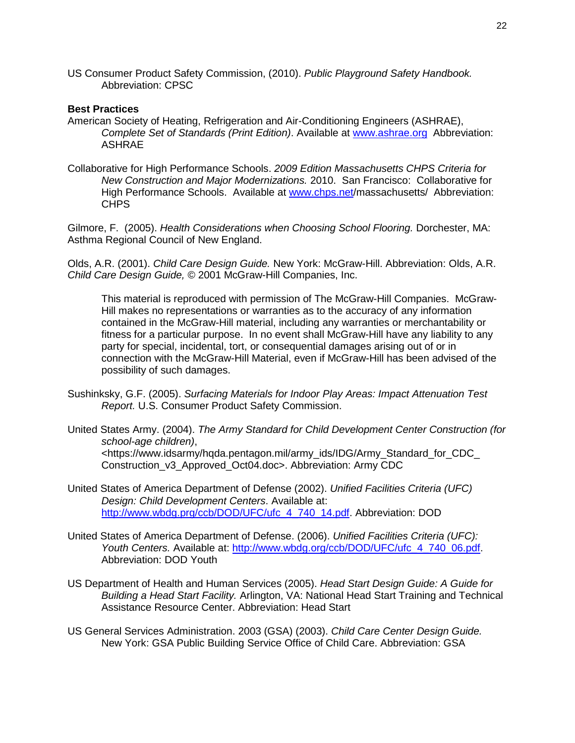US Consumer Product Safety Commission, (2010). *Public Playground Safety Handbook.* Abbreviation: CPSC

#### **Best Practices**

- American Society of Heating, Refrigeration and Air-Conditioning Engineers (ASHRAE), *Complete Set of Standards (Print Edition)*. Available at [www.ashrae.org](http://www.ashrae.org/) Abbreviation: ASHRAE
- Collaborative for High Performance Schools. *2009 Edition Massachusetts CHPS Criteria for New Construction and Major Modernizations.* 2010. San Francisco: Collaborative for High Performance Schools. Available at [www.chps.net/](http://www.chps.net/)massachusetts/ Abbreviation: CHPS

Gilmore, F. (2005). *Health Considerations when Choosing School Flooring.* Dorchester, MA: Asthma Regional Council of New England.

Olds, A.R. (2001). *Child Care Design Guide.* New York: McGraw-Hill. Abbreviation: Olds, A.R. *Child Care Design Guide, ©* 2001 McGraw-Hill Companies, Inc.

This material is reproduced with permission of The McGraw-Hill Companies. McGraw-Hill makes no representations or warranties as to the accuracy of any information contained in the McGraw-Hill material, including any warranties or merchantability or fitness for a particular purpose. In no event shall McGraw-Hill have any liability to any party for special, incidental, tort, or consequential damages arising out of or in connection with the McGraw-Hill Material, even if McGraw-Hill has been advised of the possibility of such damages.

- Sushinksky, G.F. (2005). *Surfacing Materials for Indoor Play Areas: Impact Attenuation Test Report.* U.S. Consumer Product Safety Commission.
- United States Army. (2004). *The Army Standard for Child Development Center Construction (for school-age children)*, <https://www.idsarmy/hqda.pentagon.mil/army\_ids/IDG/Army\_Standard\_for\_CDC\_ Construction\_v3\_Approved\_Oct04.doc>. Abbreviation: Army CDC
- United States of America Department of Defense (2002). *Unified Facilities Criteria (UFC) Design: Child Development Centers*. Available at: [http://www.wbdg.prg/ccb/DOD/UFC/ufc\\_4\\_740\\_14.pdf.](http://www.wbdg.prg/ccb/DOD/UFC/ufc_4_740_14.pdf) Abbreviation: DOD
- United States of America Department of Defense. (2006). *Unified Facilities Criteria (UFC): Youth Centers.* Available at: [http://www.wbdg.org/ccb/DOD/UFC/ufc\\_4\\_740\\_06.pdf.](http://www.wbdg.org/ccb/DOD/UFC/ufc_4_740_06.pdf) Abbreviation: DOD Youth
- US Department of Health and Human Services (2005). *Head Start Design Guide: A Guide for Building a Head Start Facility.* Arlington, VA: National Head Start Training and Technical Assistance Resource Center. Abbreviation: Head Start
- US General Services Administration. 2003 (GSA) (2003). *Child Care Center Design Guide.*  New York: GSA Public Building Service Office of Child Care. Abbreviation: GSA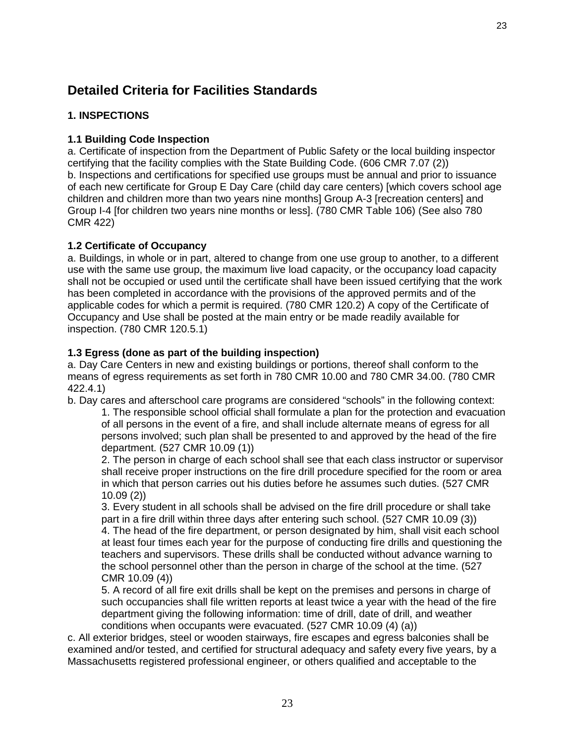# **Detailed Criteria for Facilities Standards**

## **1. INSPECTIONS**

## **1.1 Building Code Inspection**

a. Certificate of inspection from the Department of Public Safety or the local building inspector certifying that the facility complies with the State Building Code. (606 CMR 7.07 (2)) b. Inspections and certifications for specified use groups must be annual and prior to issuance of each new certificate for Group E Day Care (child day care centers) [which covers school age children and children more than two years nine months] Group A-3 [recreation centers] and Group I-4 [for children two years nine months or less]. (780 CMR Table 106) (See also 780 CMR 422)

## **1.2 Certificate of Occupancy**

a. Buildings, in whole or in part, altered to change from one use group to another, to a different use with the same use group, the maximum live load capacity, or the occupancy load capacity shall not be occupied or used until the certificate shall have been issued certifying that the work has been completed in accordance with the provisions of the approved permits and of the applicable codes for which a permit is required. (780 CMR 120.2) A copy of the Certificate of Occupancy and Use shall be posted at the main entry or be made readily available for inspection. (780 CMR 120.5.1)

## **1.3 Egress (done as part of the building inspection)**

a. Day Care Centers in new and existing buildings or portions, thereof shall conform to the means of egress requirements as set forth in 780 CMR 10.00 and 780 CMR 34.00. (780 CMR 422.4.1)

b. Day cares and afterschool care programs are considered "schools" in the following context:

1. The responsible school official shall formulate a plan for the protection and evacuation of all persons in the event of a fire, and shall include alternate means of egress for all persons involved; such plan shall be presented to and approved by the head of the fire department. (527 CMR 10.09 (1))

2. The person in charge of each school shall see that each class instructor or supervisor shall receive proper instructions on the fire drill procedure specified for the room or area in which that person carries out his duties before he assumes such duties. (527 CMR 10.09 (2))

3. Every student in all schools shall be advised on the fire drill procedure or shall take part in a fire drill within three days after entering such school. (527 CMR 10.09 (3)) 4. The head of the fire department, or person designated by him, shall visit each school at least four times each year for the purpose of conducting fire drills and questioning the teachers and supervisors. These drills shall be conducted without advance warning to the school personnel other than the person in charge of the school at the time. (527 CMR 10.09 (4))

5. A record of all fire exit drills shall be kept on the premises and persons in charge of such occupancies shall file written reports at least twice a year with the head of the fire department giving the following information: time of drill, date of drill, and weather conditions when occupants were evacuated. (527 CMR 10.09 (4) (a))

c. All exterior bridges, steel or wooden stairways, fire escapes and egress balconies shall be examined and/or tested, and certified for structural adequacy and safety every five years, by a Massachusetts registered professional engineer, or others qualified and acceptable to the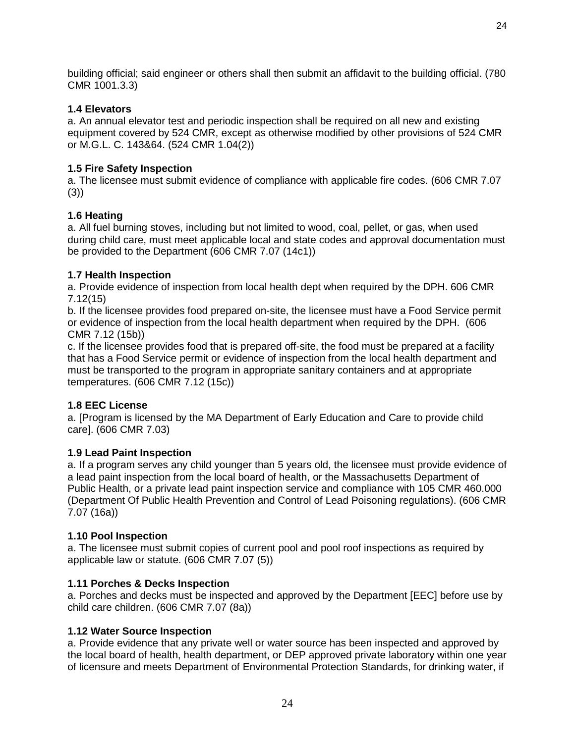building official; said engineer or others shall then submit an affidavit to the building official. (780 CMR 1001.3.3)

## **1.4 Elevators**

a. An annual elevator test and periodic inspection shall be required on all new and existing equipment covered by 524 CMR, except as otherwise modified by other provisions of 524 CMR or M.G.L. C. 143&64. (524 CMR 1.04(2))

## **1.5 Fire Safety Inspection**

a. The licensee must submit evidence of compliance with applicable fire codes. (606 CMR 7.07 (3))

## **1.6 Heating**

a. All fuel burning stoves, including but not limited to wood, coal, pellet, or gas, when used during child care, must meet applicable local and state codes and approval documentation must be provided to the Department (606 CMR 7.07 (14c1))

## **1.7 Health Inspection**

a. Provide evidence of inspection from local health dept when required by the DPH. 606 CMR 7.12(15)

b. If the licensee provides food prepared on-site, the licensee must have a Food Service permit or evidence of inspection from the local health department when required by the DPH. (606 CMR 7.12 (15b))

c. If the licensee provides food that is prepared off-site, the food must be prepared at a facility that has a Food Service permit or evidence of inspection from the local health department and must be transported to the program in appropriate sanitary containers and at appropriate temperatures. (606 CMR 7.12 (15c))

#### **1.8 EEC License**

a. [Program is licensed by the MA Department of Early Education and Care to provide child care]. (606 CMR 7.03)

## **1.9 Lead Paint Inspection**

a. If a program serves any child younger than 5 years old, the licensee must provide evidence of a lead paint inspection from the local board of health, or the Massachusetts Department of Public Health, or a private lead paint inspection service and compliance with 105 CMR 460.000 (Department Of Public Health Prevention and Control of Lead Poisoning regulations). (606 CMR 7.07 (16a))

#### **1.10 Pool Inspection**

a. The licensee must submit copies of current pool and pool roof inspections as required by applicable law or statute. (606 CMR 7.07 (5))

#### **1.11 Porches & Decks Inspection**

a. Porches and decks must be inspected and approved by the Department [EEC] before use by child care children. (606 CMR 7.07 (8a))

## **1.12 Water Source Inspection**

a. Provide evidence that any private well or water source has been inspected and approved by the local board of health, health department, or DEP approved private laboratory within one year of licensure and meets Department of Environmental Protection Standards, for drinking water, if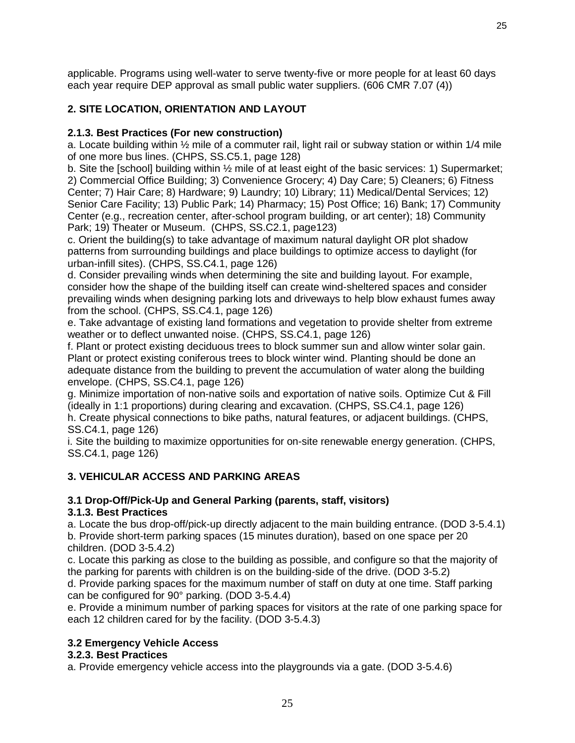applicable. Programs using well-water to serve twenty-five or more people for at least 60 days each year require DEP approval as small public water suppliers. (606 CMR 7.07 (4))

## **2. SITE LOCATION, ORIENTATION AND LAYOUT**

## **2.1.3. Best Practices (For new construction)**

a. Locate building within ½ mile of a commuter rail, light rail or subway station or within 1/4 mile of one more bus lines. (CHPS, SS.C5.1, page 128)

b. Site the [school] building within ½ mile of at least eight of the basic services: 1) Supermarket; 2) Commercial Office Building; 3) Convenience Grocery; 4) Day Care; 5) Cleaners; 6) Fitness Center; 7) Hair Care; 8) Hardware; 9) Laundry; 10) Library; 11) Medical/Dental Services; 12) Senior Care Facility; 13) Public Park; 14) Pharmacy; 15) Post Office; 16) Bank; 17) Community Center (e.g., recreation center, after-school program building, or art center); 18) Community Park; 19) Theater or Museum. (CHPS, SS.C2.1, page123)

c. Orient the building(s) to take advantage of maximum natural daylight OR plot shadow patterns from surrounding buildings and place buildings to optimize access to daylight (for urban-infill sites). (CHPS, SS.C4.1, page 126)

d. Consider prevailing winds when determining the site and building layout. For example, consider how the shape of the building itself can create wind-sheltered spaces and consider prevailing winds when designing parking lots and driveways to help blow exhaust fumes away from the school. (CHPS, SS.C4.1, page 126)

e. Take advantage of existing land formations and vegetation to provide shelter from extreme weather or to deflect unwanted noise. (CHPS, SS.C4.1, page 126)

f. Plant or protect existing deciduous trees to block summer sun and allow winter solar gain. Plant or protect existing coniferous trees to block winter wind. Planting should be done an adequate distance from the building to prevent the accumulation of water along the building envelope. (CHPS, SS.C4.1, page 126)

g. Minimize importation of non-native soils and exportation of native soils. Optimize Cut & Fill (ideally in 1:1 proportions) during clearing and excavation. (CHPS, SS.C4.1, page 126)

h. Create physical connections to bike paths, natural features, or adjacent buildings. (CHPS, SS.C4.1, page 126)

i. Site the building to maximize opportunities for on-site renewable energy generation. (CHPS, SS.C4.1, page 126)

## **3. VEHICULAR ACCESS AND PARKING AREAS**

# **3.1 Drop-Off/Pick-Up and General Parking (parents, staff, visitors)**

#### **3.1.3. Best Practices**

a. Locate the bus drop-off/pick-up directly adjacent to the main building entrance. (DOD 3-5.4.1) b. Provide short-term parking spaces (15 minutes duration), based on one space per 20 children. (DOD 3-5.4.2)

c. Locate this parking as close to the building as possible, and configure so that the majority of the parking for parents with children is on the building-side of the drive. (DOD 3-5.2)

d. Provide parking spaces for the maximum number of staff on duty at one time. Staff parking can be configured for 90° parking. (DOD 3-5.4.4)

e. Provide a minimum number of parking spaces for visitors at the rate of one parking space for each 12 children cared for by the facility. (DOD 3-5.4.3)

## **3.2 Emergency Vehicle Access**

## **3.2.3. Best Practices**

a. Provide emergency vehicle access into the playgrounds via a gate. (DOD 3-5.4.6)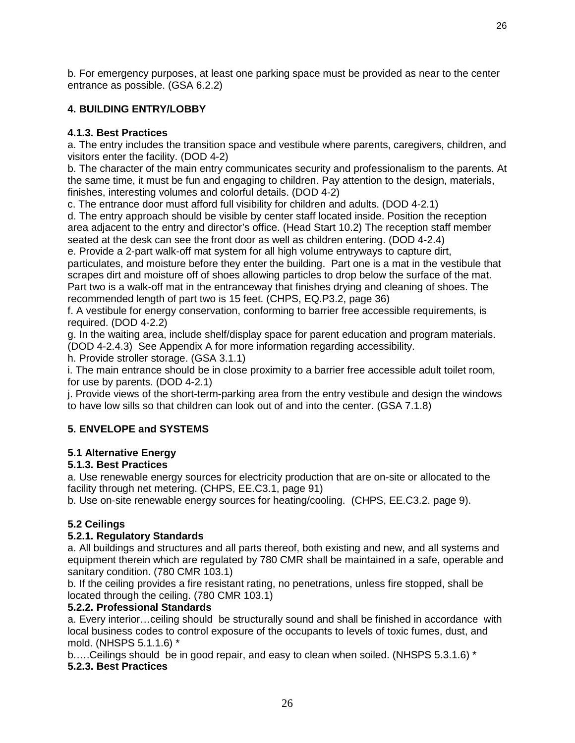b. For emergency purposes, at least one parking space must be provided as near to the center entrance as possible. (GSA 6.2.2)

## **4. BUILDING ENTRY/LOBBY**

## **4.1.3. Best Practices**

a. The entry includes the transition space and vestibule where parents, caregivers, children, and visitors enter the facility. (DOD 4-2)

b. The character of the main entry communicates security and professionalism to the parents. At the same time, it must be fun and engaging to children. Pay attention to the design, materials, finishes, interesting volumes and colorful details. (DOD 4-2)

c. The entrance door must afford full visibility for children and adults. (DOD 4-2.1)

d. The entry approach should be visible by center staff located inside. Position the reception area adjacent to the entry and director's office. (Head Start 10.2) The reception staff member seated at the desk can see the front door as well as children entering. (DOD 4-2.4)

e. Provide a 2-part walk-off mat system for all high volume entryways to capture dirt, particulates, and moisture before they enter the building. Part one is a mat in the vestibule that scrapes dirt and moisture off of shoes allowing particles to drop below the surface of the mat. Part two is a walk-off mat in the entranceway that finishes drying and cleaning of shoes. The recommended length of part two is 15 feet. (CHPS, EQ.P3.2, page 36)

f. A vestibule for energy conservation, conforming to barrier free accessible requirements, is required. (DOD 4-2.2)

g. In the waiting area, include shelf/display space for parent education and program materials. (DOD 4-2.4.3) See Appendix A for more information regarding accessibility.

h. Provide stroller storage. (GSA 3.1.1)

i. The main entrance should be in close proximity to a barrier free accessible adult toilet room, for use by parents. (DOD 4-2.1)

j. Provide views of the short-term-parking area from the entry vestibule and design the windows to have low sills so that children can look out of and into the center. (GSA 7.1.8)

## **5. ENVELOPE and SYSTEMS**

## **5.1 Alternative Energy**

## **5.1.3. Best Practices**

a. Use renewable energy sources for electricity production that are on-site or allocated to the facility through net metering. (CHPS, EE.C3.1, page 91)

b. Use on-site renewable energy sources for heating/cooling. (CHPS, EE.C3.2. page 9).

## **5.2 Ceilings**

## **5.2.1. Regulatory Standards**

a. All buildings and structures and all parts thereof, both existing and new, and all systems and equipment therein which are regulated by 780 CMR shall be maintained in a safe, operable and sanitary condition. (780 CMR 103.1)

b. If the ceiling provides a fire resistant rating, no penetrations, unless fire stopped, shall be located through the ceiling. (780 CMR 103.1)

## **5.2.2. Professional Standards**

a. Every interior…ceiling should be structurally sound and shall be finished in accordance with local business codes to control exposure of the occupants to levels of toxic fumes, dust, and mold. (NHSPS 5.1.1.6) \*

b.….Ceilings should be in good repair, and easy to clean when soiled. (NHSPS 5.3.1.6) \* **5.2.3. Best Practices**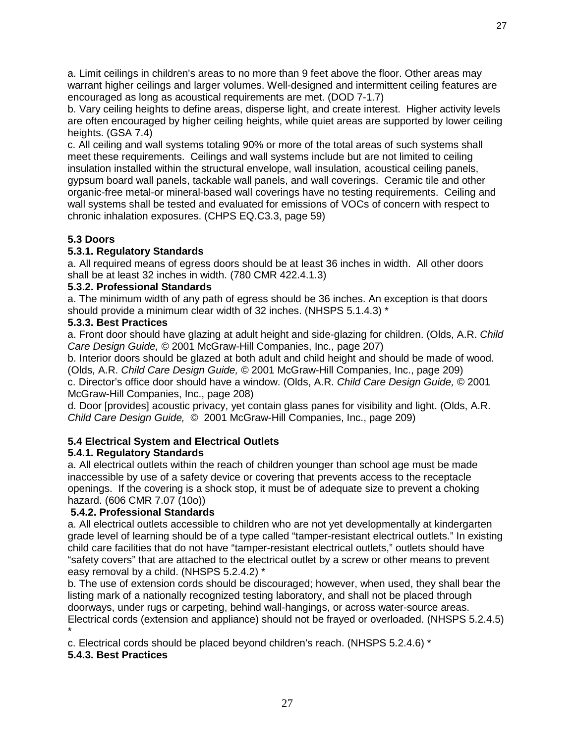a. Limit ceilings in children's areas to no more than 9 feet above the floor. Other areas may warrant higher ceilings and larger volumes. Well-designed and intermittent ceiling features are encouraged as long as acoustical requirements are met. (DOD 7-1.7)

b. Vary ceiling heights to define areas, disperse light, and create interest. Higher activity levels are often encouraged by higher ceiling heights, while quiet areas are supported by lower ceiling heights. (GSA 7.4)

c. All ceiling and wall systems totaling 90% or more of the total areas of such systems shall meet these requirements. Ceilings and wall systems include but are not limited to ceiling insulation installed within the structural envelope, wall insulation, acoustical ceiling panels, gypsum board wall panels, tackable wall panels, and wall coverings. Ceramic tile and other organic-free metal-or mineral-based wall coverings have no testing requirements. Ceiling and wall systems shall be tested and evaluated for emissions of VOCs of concern with respect to chronic inhalation exposures. (CHPS EQ.C3.3, page 59)

## **5.3 Doors**

## **5.3.1. Regulatory Standards**

a. All required means of egress doors should be at least 36 inches in width. All other doors shall be at least 32 inches in width. (780 CMR 422.4.1.3)

## **5.3.2. Professional Standards**

a. The minimum width of any path of egress should be 36 inches. An exception is that doors should provide a minimum clear width of 32 inches. (NHSPS 5.1.4.3) \*

## **5.3.3. Best Practices**

a. Front door should have glazing at adult height and side-glazing for children. (Olds, A.R. *Child Care Design Guide, ©* 2001 McGraw-Hill Companies, Inc., page 207)

b. Interior doors should be glazed at both adult and child height and should be made of wood. (Olds, A.R. *Child Care Design Guide, ©* 2001 McGraw-Hill Companies, Inc., page 209)

c. Director's office door should have a window. (Olds, A.R. *Child Care Design Guide, ©* 2001 McGraw-Hill Companies, Inc., page 208)

d. Door [provides] acoustic privacy, yet contain glass panes for visibility and light. (Olds, A.R. *Child Care Design Guide, ©* 2001 McGraw-Hill Companies, Inc., page 209)

## **5.4 Electrical System and Electrical Outlets**

## **5.4.1. Regulatory Standards**

a. All electrical outlets within the reach of children younger than school age must be made inaccessible by use of a safety device or covering that prevents access to the receptacle openings. If the covering is a shock stop, it must be of adequate size to prevent a choking hazard. (606 CMR 7.07 (10o))

## **5.4.2. Professional Standards**

a. All electrical outlets accessible to children who are not yet developmentally at kindergarten grade level of learning should be of a type called "tamper-resistant electrical outlets." In existing child care facilities that do not have "tamper-resistant electrical outlets," outlets should have "safety covers" that are attached to the electrical outlet by a screw or other means to prevent easy removal by a child. (NHSPS 5.2.4.2) \*

b. The use of extension cords should be discouraged; however, when used, they shall bear the listing mark of a nationally recognized testing laboratory, and shall not be placed through doorways, under rugs or carpeting, behind wall-hangings, or across water-source areas. Electrical cords (extension and appliance) should not be frayed or overloaded. (NHSPS 5.2.4.5) \*

c. Electrical cords should be placed beyond children's reach. (NHSPS 5.2.4.6) \*

## **5.4.3. Best Practices**

27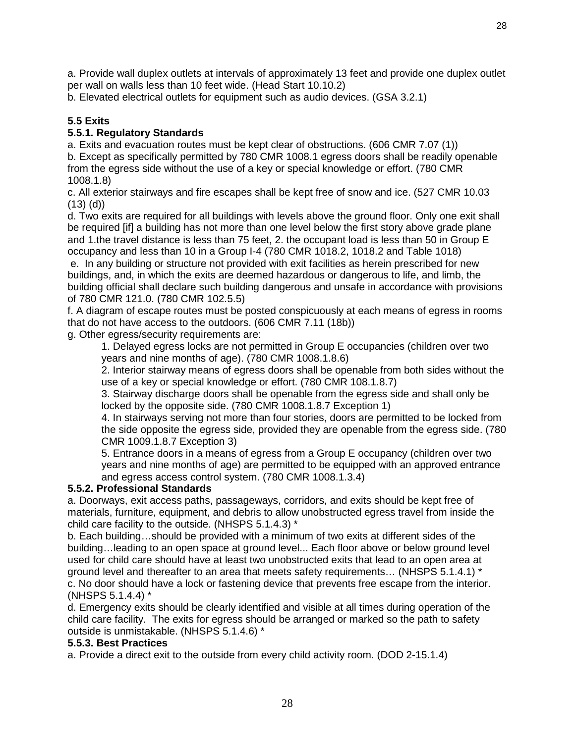a. Provide wall duplex outlets at intervals of approximately 13 feet and provide one duplex outlet per wall on walls less than 10 feet wide. (Head Start 10.10.2)

b. Elevated electrical outlets for equipment such as audio devices. (GSA 3.2.1)

## **5.5 Exits**

## **5.5.1. Regulatory Standards**

a. Exits and evacuation routes must be kept clear of obstructions. (606 CMR 7.07 (1)) b. Except as specifically permitted by 780 CMR 1008.1 egress doors shall be readily openable from the egress side without the use of a key or special knowledge or effort. (780 CMR 1008.1.8)

c. All exterior stairways and fire escapes shall be kept free of snow and ice. (527 CMR 10.03  $(13)$   $(d)$ 

d. Two exits are required for all buildings with levels above the ground floor. Only one exit shall be required [if] a building has not more than one level below the first story above grade plane and 1.the travel distance is less than 75 feet, 2. the occupant load is less than 50 in Group E occupancy and less than 10 in a Group I-4 (780 CMR 1018.2, 1018.2 and Table 1018)

e. In any building or structure not provided with exit facilities as herein prescribed for new buildings, and, in which the exits are deemed hazardous or dangerous to life, and limb, the building official shall declare such building dangerous and unsafe in accordance with provisions of 780 CMR 121.0. (780 CMR 102.5.5)

f. A diagram of escape routes must be posted conspicuously at each means of egress in rooms that do not have access to the outdoors. (606 CMR 7.11 (18b))

g. Other egress/security requirements are:

1. Delayed egress locks are not permitted in Group E occupancies (children over two years and nine months of age). (780 CMR 1008.1.8.6)

2. Interior stairway means of egress doors shall be openable from both sides without the use of a key or special knowledge or effort. (780 CMR 108.1.8.7)

3. Stairway discharge doors shall be openable from the egress side and shall only be locked by the opposite side. (780 CMR 1008.1.8.7 Exception 1)

4. In stairways serving not more than four stories, doors are permitted to be locked from the side opposite the egress side, provided they are openable from the egress side. (780 CMR 1009.1.8.7 Exception 3)

5. Entrance doors in a means of egress from a Group E occupancy (children over two years and nine months of age) are permitted to be equipped with an approved entrance and egress access control system. (780 CMR 1008.1.3.4)

## **5.5.2. Professional Standards**

a. Doorways, exit access paths, passageways, corridors, and exits should be kept free of materials, furniture, equipment, and debris to allow unobstructed egress travel from inside the child care facility to the outside. (NHSPS 5.1.4.3) \*

b. Each building…should be provided with a minimum of two exits at different sides of the building…leading to an open space at ground level... Each floor above or below ground level used for child care should have at least two unobstructed exits that lead to an open area at ground level and thereafter to an area that meets safety requirements… (NHSPS 5.1.4.1) \* c. No door should have a lock or fastening device that prevents free escape from the interior. (NHSPS 5.1.4.4) \*

d. Emergency exits should be clearly identified and visible at all times during operation of the child care facility. The exits for egress should be arranged or marked so the path to safety outside is unmistakable. (NHSPS 5.1.4.6) \*

## **5.5.3. Best Practices**

a. Provide a direct exit to the outside from every child activity room. (DOD 2-15.1.4)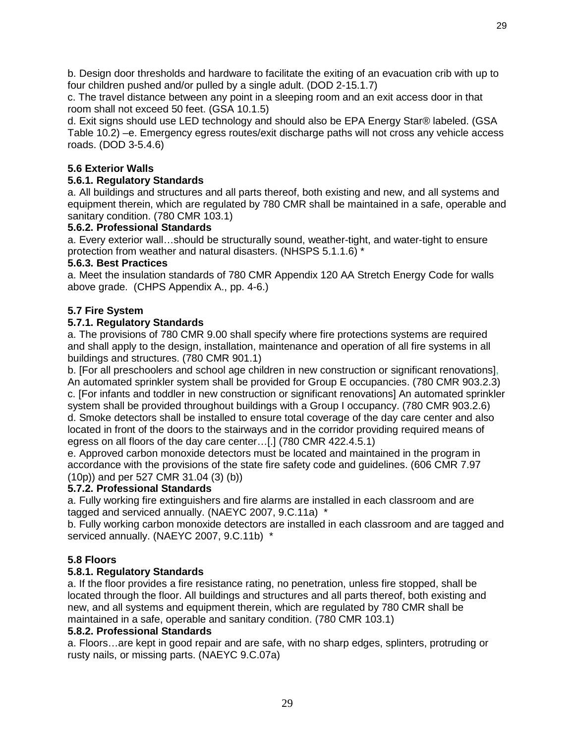b. Design door thresholds and hardware to facilitate the exiting of an evacuation crib with up to four children pushed and/or pulled by a single adult. (DOD 2-15.1.7)

c. The travel distance between any point in a sleeping room and an exit access door in that room shall not exceed 50 feet. (GSA 10.1.5)

d. Exit signs should use LED technology and should also be EPA Energy Star® labeled. (GSA Table 10.2) –e. Emergency egress routes/exit discharge paths will not cross any vehicle access roads. (DOD 3-5.4.6)

## **5.6 Exterior Walls**

#### **5.6.1. Regulatory Standards**

a. All buildings and structures and all parts thereof, both existing and new, and all systems and equipment therein, which are regulated by 780 CMR shall be maintained in a safe, operable and sanitary condition. (780 CMR 103.1)

#### **5.6.2. Professional Standards**

a. Every exterior wall…should be structurally sound, weather-tight, and water-tight to ensure protection from weather and natural disasters. (NHSPS 5.1.1.6) \*

#### **5.6.3. Best Practices**

a. Meet the insulation standards of 780 CMR Appendix 120 AA Stretch Energy Code for walls above grade. (CHPS Appendix A., pp. 4-6.)

#### **5.7 Fire System**

#### **5.7.1. Regulatory Standards**

a. The provisions of 780 CMR 9.00 shall specify where fire protections systems are required and shall apply to the design, installation, maintenance and operation of all fire systems in all buildings and structures. (780 CMR 901.1)

b. [For all preschoolers and school age children in new construction or significant renovations], An automated sprinkler system shall be provided for Group E occupancies. (780 CMR 903.2.3) c. [For infants and toddler in new construction or significant renovations] An automated sprinkler system shall be provided throughout buildings with a Group I occupancy. (780 CMR 903.2.6) d. Smoke detectors shall be installed to ensure total coverage of the day care center and also located in front of the doors to the stairways and in the corridor providing required means of egress on all floors of the day care center…[.] (780 CMR 422.4.5.1)

e. Approved carbon monoxide detectors must be located and maintained in the program in accordance with the provisions of the state fire safety code and guidelines. (606 CMR 7.97 (10p)) and per 527 CMR 31.04 (3) (b))

#### **5.7.2. Professional Standards**

a. Fully working fire extinguishers and fire alarms are installed in each classroom and are tagged and serviced annually. (NAEYC 2007, 9.C.11a) \*

b. Fully working carbon monoxide detectors are installed in each classroom and are tagged and serviced annually. (NAEYC 2007, 9.C.11b) \*

#### **5.8 Floors**

#### **5.8.1. Regulatory Standards**

a. If the floor provides a fire resistance rating, no penetration, unless fire stopped, shall be located through the floor. All buildings and structures and all parts thereof, both existing and new, and all systems and equipment therein, which are regulated by 780 CMR shall be maintained in a safe, operable and sanitary condition. (780 CMR 103.1)

#### **5.8.2. Professional Standards**

a. Floors…are kept in good repair and are safe, with no sharp edges, splinters, protruding or rusty nails, or missing parts. (NAEYC 9.C.07a)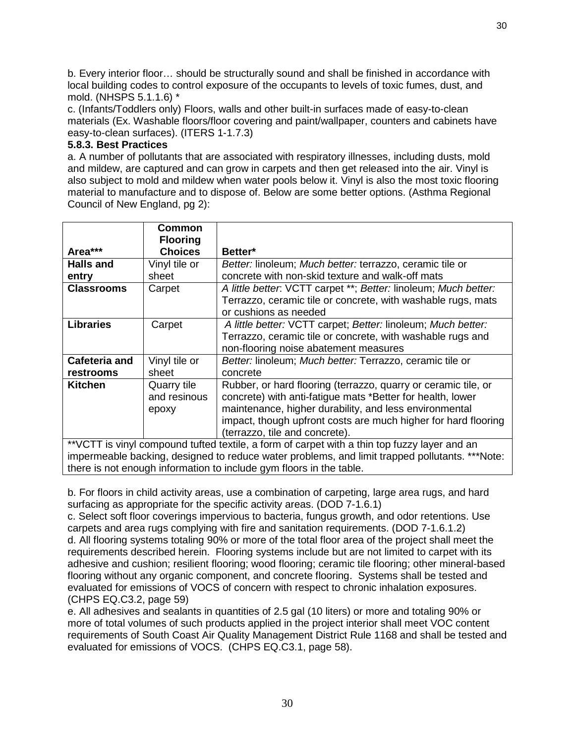b. Every interior floor… should be structurally sound and shall be finished in accordance with local building codes to control exposure of the occupants to levels of toxic fumes, dust, and mold. (NHSPS 5.1.1.6) \*

c. (Infants/Toddlers only) Floors, walls and other built-in surfaces made of easy-to-clean materials (Ex. Washable floors/floor covering and paint/wallpaper, counters and cabinets have easy-to-clean surfaces). (ITERS 1-1.7.3)

## **5.8.3. Best Practices**

a. A number of pollutants that are associated with respiratory illnesses, including dusts, mold and mildew, are captured and can grow in carpets and then get released into the air. Vinyl is also subject to mold and mildew when water pools below it. Vinyl is also the most toxic flooring material to manufacture and to dispose of. Below are some better options. (Asthma Regional Council of New England, pg 2):

|                                                                     | Common                                                                                          |                                                                                              |  |
|---------------------------------------------------------------------|-------------------------------------------------------------------------------------------------|----------------------------------------------------------------------------------------------|--|
|                                                                     | <b>Flooring</b>                                                                                 |                                                                                              |  |
| Area***                                                             | <b>Choices</b>                                                                                  | Better*                                                                                      |  |
| Halls and                                                           | Vinyl tile or                                                                                   | Better: linoleum; Much better: terrazzo, ceramic tile or                                     |  |
| entry                                                               | sheet                                                                                           | concrete with non-skid texture and walk-off mats                                             |  |
| <b>Classrooms</b>                                                   | Carpet                                                                                          | A little better. VCTT carpet **; Better: linoleum; Much better:                              |  |
|                                                                     |                                                                                                 | Terrazzo, ceramic tile or concrete, with washable rugs, mats                                 |  |
|                                                                     |                                                                                                 | or cushions as needed                                                                        |  |
| <b>Libraries</b>                                                    | Carpet                                                                                          | A little better: VCTT carpet; Better: linoleum; Much better:                                 |  |
|                                                                     |                                                                                                 | Terrazzo, ceramic tile or concrete, with washable rugs and                                   |  |
|                                                                     |                                                                                                 | non-flooring noise abatement measures                                                        |  |
| Cafeteria and                                                       | Vinyl tile or                                                                                   | Better: linoleum; Much better: Terrazzo, ceramic tile or                                     |  |
| restrooms                                                           | sheet                                                                                           | concrete                                                                                     |  |
| Kitchen                                                             | Quarry tile                                                                                     | Rubber, or hard flooring (terrazzo, quarry or ceramic tile, or                               |  |
|                                                                     | and resinous                                                                                    | concrete) with anti-fatigue mats *Better for health, lower                                   |  |
|                                                                     | epoxy                                                                                           | maintenance, higher durability, and less environmental                                       |  |
|                                                                     |                                                                                                 | impact, though upfront costs are much higher for hard flooring                               |  |
|                                                                     |                                                                                                 | (terrazzo, tile and concrete).                                                               |  |
|                                                                     |                                                                                                 | **VCTT is vinyl compound tufted textile, a form of carpet with a thin top fuzzy layer and an |  |
|                                                                     | impermeable backing, designed to reduce water problems, and limit trapped pollutants. *** Note: |                                                                                              |  |
| there is not enough information to include gym floors in the table. |                                                                                                 |                                                                                              |  |

b. For floors in child activity areas, use a combination of carpeting, large area rugs, and hard surfacing as appropriate for the specific activity areas. (DOD 7-1.6.1)

c. Select soft floor coverings impervious to bacteria, fungus growth, and odor retentions. Use carpets and area rugs complying with fire and sanitation requirements. (DOD 7-1.6.1.2) d. All flooring systems totaling 90% or more of the total floor area of the project shall meet the requirements described herein. Flooring systems include but are not limited to carpet with its adhesive and cushion; resilient flooring; wood flooring; ceramic tile flooring; other mineral-based flooring without any organic component, and concrete flooring. Systems shall be tested and evaluated for emissions of VOCS of concern with respect to chronic inhalation exposures. (CHPS EQ.C3.2, page 59)

e. All adhesives and sealants in quantities of 2.5 gal (10 liters) or more and totaling 90% or more of total volumes of such products applied in the project interior shall meet VOC content requirements of South Coast Air Quality Management District Rule 1168 and shall be tested and evaluated for emissions of VOCS. (CHPS EQ.C3.1, page 58).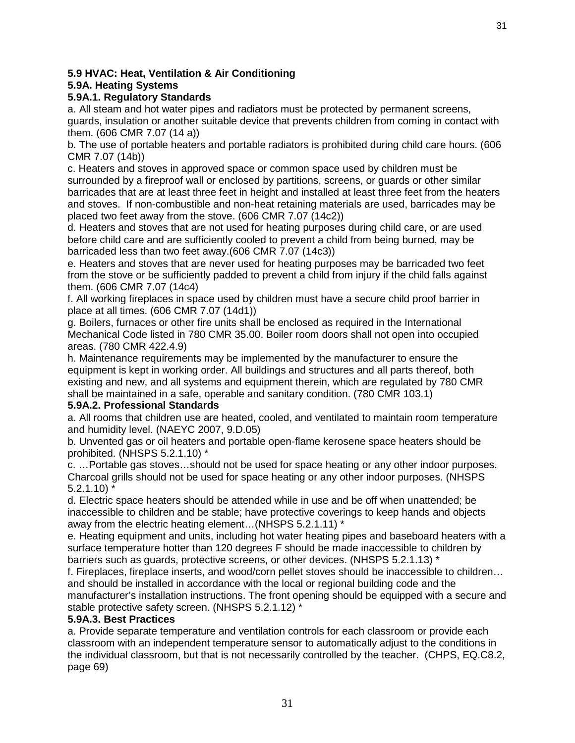## **5.9 HVAC: Heat, Ventilation & Air Conditioning**

## **5.9A. Heating Systems**

## **5.9A.1. Regulatory Standards**

a. All steam and hot water pipes and radiators must be protected by permanent screens,

guards, insulation or another suitable device that prevents children from coming in contact with them. (606 CMR 7.07 (14 a))

b. The use of portable heaters and portable radiators is prohibited during child care hours. (606 CMR 7.07 (14b))

c. Heaters and stoves in approved space or common space used by children must be surrounded by a fireproof wall or enclosed by partitions, screens, or guards or other similar barricades that are at least three feet in height and installed at least three feet from the heaters and stoves. If non-combustible and non-heat retaining materials are used, barricades may be placed two feet away from the stove. (606 CMR 7.07 (14c2))

d. Heaters and stoves that are not used for heating purposes during child care, or are used before child care and are sufficiently cooled to prevent a child from being burned, may be barricaded less than two feet away.(606 CMR 7.07 (14c3))

e. Heaters and stoves that are never used for heating purposes may be barricaded two feet from the stove or be sufficiently padded to prevent a child from injury if the child falls against them. (606 CMR 7.07 (14c4)

f. All working fireplaces in space used by children must have a secure child proof barrier in place at all times. (606 CMR 7.07 (14d1))

g. Boilers, furnaces or other fire units shall be enclosed as required in the International Mechanical Code listed in 780 CMR 35.00. Boiler room doors shall not open into occupied areas. (780 CMR 422.4.9)

h. Maintenance requirements may be implemented by the manufacturer to ensure the equipment is kept in working order. All buildings and structures and all parts thereof, both existing and new, and all systems and equipment therein, which are regulated by 780 CMR shall be maintained in a safe, operable and sanitary condition. (780 CMR 103.1)

## **5.9A.2. Professional Standards**

a. All rooms that children use are heated, cooled, and ventilated to maintain room temperature and humidity level. (NAEYC 2007, 9.D.05)

b. Unvented gas or oil heaters and portable open-flame kerosene space heaters should be prohibited. (NHSPS 5.2.1.10) \*

c. …Portable gas stoves…should not be used for space heating or any other indoor purposes. Charcoal grills should not be used for space heating or any other indoor purposes. (NHSPS 5.2.1.10) \*

d. Electric space heaters should be attended while in use and be off when unattended; be inaccessible to children and be stable; have protective coverings to keep hands and objects away from the electric heating element…(NHSPS 5.2.1.11) \*

e. Heating equipment and units, including hot water heating pipes and baseboard heaters with a surface temperature hotter than 120 degrees F should be made inaccessible to children by barriers such as guards, protective screens, or other devices. (NHSPS 5.2.1.13) \*

f. Fireplaces, fireplace inserts, and wood/corn pellet stoves should be inaccessible to children… and should be installed in accordance with the local or regional building code and the manufacturer's installation instructions. The front opening should be equipped with a secure and stable protective safety screen. (NHSPS 5.2.1.12) \*

## **5.9A.3. Best Practices**

a. Provide separate temperature and ventilation controls for each classroom or provide each classroom with an independent temperature sensor to automatically adjust to the conditions in the individual classroom, but that is not necessarily controlled by the teacher. (CHPS, EQ.C8.2, page 69)

31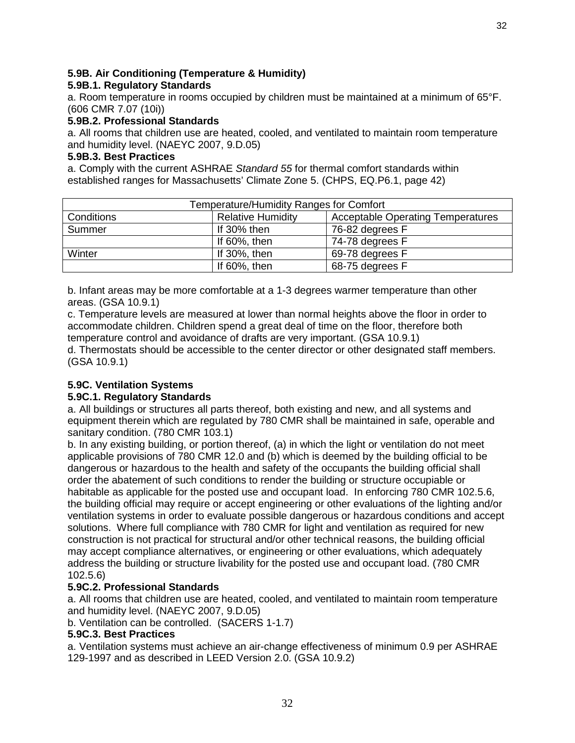#### **5.9B. Air Conditioning (Temperature & Humidity)**

#### **5.9B.1. Regulatory Standards**

a. Room temperature in rooms occupied by children must be maintained at a minimum of 65°F. (606 CMR 7.07 (10i))

#### **5.9B.2. Professional Standards**

a. All rooms that children use are heated, cooled, and ventilated to maintain room temperature and humidity level. (NAEYC 2007, 9.D.05)

#### **5.9B.3. Best Practices**

a. Comply with the current ASHRAE *Standard 55* for thermal comfort standards within established ranges for Massachusetts' Climate Zone 5. (CHPS, EQ.P6.1, page 42)

| Temperature/Humidity Ranges for Comfort |                          |                                          |  |
|-----------------------------------------|--------------------------|------------------------------------------|--|
| Conditions                              | <b>Relative Humidity</b> | <b>Acceptable Operating Temperatures</b> |  |
| Summer                                  | If 30% then              | 76-82 degrees F                          |  |
|                                         | If 60%, then             | 74-78 degrees F                          |  |
| Winter                                  | If 30%, then             | 69-78 degrees F                          |  |
|                                         | If 60%, then             | 68-75 degrees F                          |  |

b. Infant areas may be more comfortable at a 1-3 degrees warmer temperature than other areas. (GSA 10.9.1)

c. Temperature levels are measured at lower than normal heights above the floor in order to accommodate children. Children spend a great deal of time on the floor, therefore both temperature control and avoidance of drafts are very important. (GSA 10.9.1)

d. Thermostats should be accessible to the center director or other designated staff members. (GSA 10.9.1)

## **5.9C. Ventilation Systems**

#### **5.9C.1. Regulatory Standards**

a. All buildings or structures all parts thereof, both existing and new, and all systems and equipment therein which are regulated by 780 CMR shall be maintained in safe, operable and sanitary condition. (780 CMR 103.1)

b. In any existing building, or portion thereof, (a) in which the light or ventilation do not meet applicable provisions of 780 CMR 12.0 and (b) which is deemed by the building official to be dangerous or hazardous to the health and safety of the occupants the building official shall order the abatement of such conditions to render the building or structure occupiable or habitable as applicable for the posted use and occupant load. In enforcing 780 CMR 102.5.6, the building official may require or accept engineering or other evaluations of the lighting and/or ventilation systems in order to evaluate possible dangerous or hazardous conditions and accept solutions. Where full compliance with 780 CMR for light and ventilation as required for new construction is not practical for structural and/or other technical reasons, the building official may accept compliance alternatives, or engineering or other evaluations, which adequately address the building or structure livability for the posted use and occupant load. (780 CMR 102.5.6)

#### **5.9C.2. Professional Standards**

a. All rooms that children use are heated, cooled, and ventilated to maintain room temperature and humidity level. (NAEYC 2007, 9.D.05)

b. Ventilation can be controlled. (SACERS 1-1.7)

#### **5.9C.3. Best Practices**

a. Ventilation systems must achieve an air-change effectiveness of minimum 0.9 per ASHRAE 129-1997 and as described in LEED Version 2.0. (GSA 10.9.2)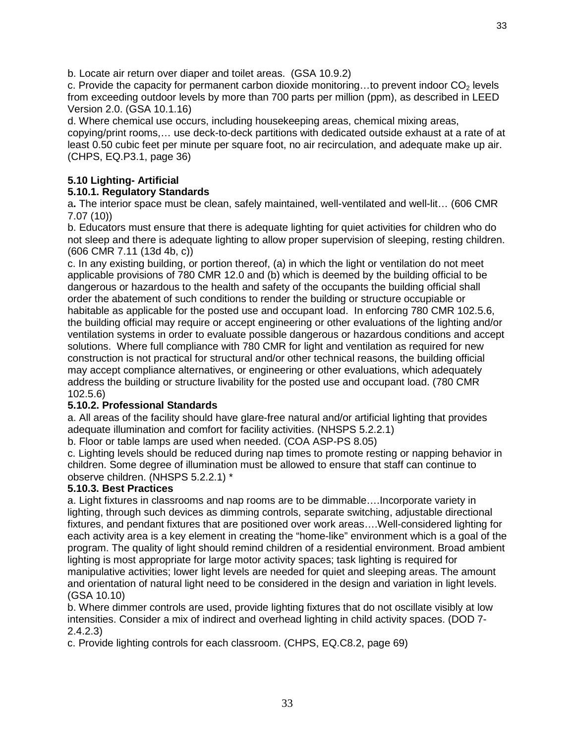b. Locate air return over diaper and toilet areas. (GSA 10.9.2)

c. Provide the capacity for permanent carbon dioxide monitoring...to prevent indoor  $CO<sub>2</sub>$  levels from exceeding outdoor levels by more than 700 parts per million (ppm), as described in LEED Version 2.0. (GSA 10.1.16)

d. Where chemical use occurs, including housekeeping areas, chemical mixing areas, copying/print rooms,… use deck-to-deck partitions with dedicated outside exhaust at a rate of at least 0.50 cubic feet per minute per square foot, no air recirculation, and adequate make up air. (CHPS, EQ.P3.1, page 36)

## **5.10 Lighting- Artificial**

## **5.10.1. Regulatory Standards**

a**.** The interior space must be clean, safely maintained, well-ventilated and well-lit… (606 CMR 7.07 (10))

b. Educators must ensure that there is adequate lighting for quiet activities for children who do not sleep and there is adequate lighting to allow proper supervision of sleeping, resting children. (606 CMR 7.11 (13d 4b, c))

c. In any existing building, or portion thereof, (a) in which the light or ventilation do not meet applicable provisions of 780 CMR 12.0 and (b) which is deemed by the building official to be dangerous or hazardous to the health and safety of the occupants the building official shall order the abatement of such conditions to render the building or structure occupiable or habitable as applicable for the posted use and occupant load. In enforcing 780 CMR 102.5.6, the building official may require or accept engineering or other evaluations of the lighting and/or ventilation systems in order to evaluate possible dangerous or hazardous conditions and accept solutions. Where full compliance with 780 CMR for light and ventilation as required for new construction is not practical for structural and/or other technical reasons, the building official may accept compliance alternatives, or engineering or other evaluations, which adequately address the building or structure livability for the posted use and occupant load. (780 CMR 102.5.6)

#### **5.10.2. Professional Standards**

a. All areas of the facility should have glare-free natural and/or artificial lighting that provides adequate illumination and comfort for facility activities. (NHSPS 5.2.2.1)

b. Floor or table lamps are used when needed. (COA ASP-PS 8.05)

c. Lighting levels should be reduced during nap times to promote resting or napping behavior in children. Some degree of illumination must be allowed to ensure that staff can continue to observe children. (NHSPS 5.2.2.1) \*

#### **5.10.3. Best Practices**

a. Light fixtures in classrooms and nap rooms are to be dimmable….Incorporate variety in lighting, through such devices as dimming controls, separate switching, adjustable directional fixtures, and pendant fixtures that are positioned over work areas….Well-considered lighting for each activity area is a key element in creating the "home-like" environment which is a goal of the program. The quality of light should remind children of a residential environment. Broad ambient lighting is most appropriate for large motor activity spaces; task lighting is required for manipulative activities; lower light levels are needed for quiet and sleeping areas. The amount and orientation of natural light need to be considered in the design and variation in light levels. (GSA 10.10)

b. Where dimmer controls are used, provide lighting fixtures that do not oscillate visibly at low intensities. Consider a mix of indirect and overhead lighting in child activity spaces. (DOD 7- 2.4.2.3)

c. Provide lighting controls for each classroom. (CHPS, EQ.C8.2, page 69)

33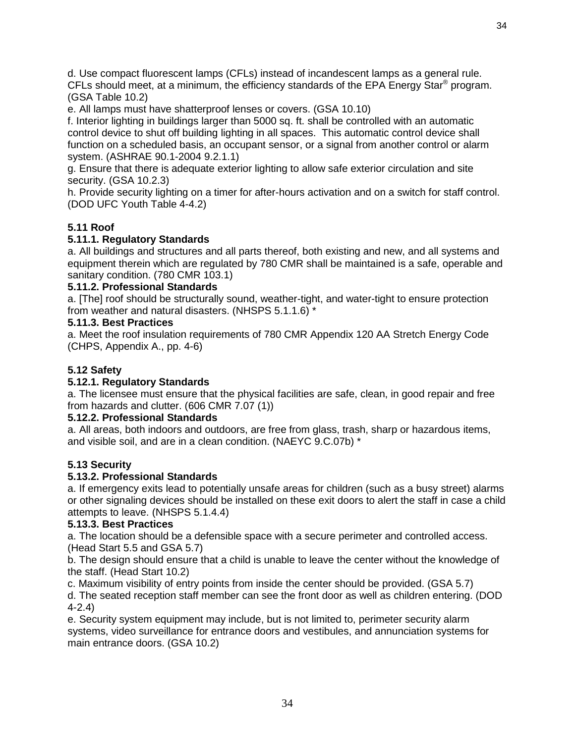d. Use compact fluorescent lamps (CFLs) instead of incandescent lamps as a general rule. CFLs should meet, at a minimum, the efficiency standards of the EPA Energy Star<sup>®</sup> program. (GSA Table 10.2)

e. All lamps must have shatterproof lenses or covers. (GSA 10.10)

f. Interior lighting in buildings larger than 5000 sq. ft. shall be controlled with an automatic control device to shut off building lighting in all spaces. This automatic control device shall function on a scheduled basis, an occupant sensor, or a signal from another control or alarm system. (ASHRAE 90.1-2004 9.2.1.1)

g. Ensure that there is adequate exterior lighting to allow safe exterior circulation and site security. (GSA 10.2.3)

h. Provide security lighting on a timer for after-hours activation and on a switch for staff control. (DOD UFC Youth Table 4-4.2)

## **5.11 Roof**

## **5.11.1. Regulatory Standards**

a. All buildings and structures and all parts thereof, both existing and new, and all systems and equipment therein which are regulated by 780 CMR shall be maintained is a safe, operable and sanitary condition. (780 CMR 103.1)

#### **5.11.2. Professional Standards**

a. [The] roof should be structurally sound, weather-tight, and water-tight to ensure protection from weather and natural disasters. (NHSPS 5.1.1.6) \*

#### **5.11.3. Best Practices**

a. Meet the roof insulation requirements of 780 CMR Appendix 120 AA Stretch Energy Code (CHPS, Appendix A., pp. 4-6)

## **5.12 Safety**

#### **5.12.1. Regulatory Standards**

a. The licensee must ensure that the physical facilities are safe, clean, in good repair and free from hazards and clutter. (606 CMR 7.07 (1))

#### **5.12.2. Professional Standards**

a. All areas, both indoors and outdoors, are free from glass, trash, sharp or hazardous items, and visible soil, and are in a clean condition. (NAEYC 9.C.07b) \*

#### **5.13 Security**

#### **5.13.2. Professional Standards**

a. If emergency exits lead to potentially unsafe areas for children (such as a busy street) alarms or other signaling devices should be installed on these exit doors to alert the staff in case a child attempts to leave. (NHSPS 5.1.4.4)

#### **5.13.3. Best Practices**

a. The location should be a defensible space with a secure perimeter and controlled access. (Head Start 5.5 and GSA 5.7)

b. The design should ensure that a child is unable to leave the center without the knowledge of the staff. (Head Start 10.2)

c. Maximum visibility of entry points from inside the center should be provided. (GSA 5.7)

d. The seated reception staff member can see the front door as well as children entering. (DOD 4-2.4)

e. Security system equipment may include, but is not limited to, perimeter security alarm systems, video surveillance for entrance doors and vestibules, and annunciation systems for main entrance doors. (GSA 10.2)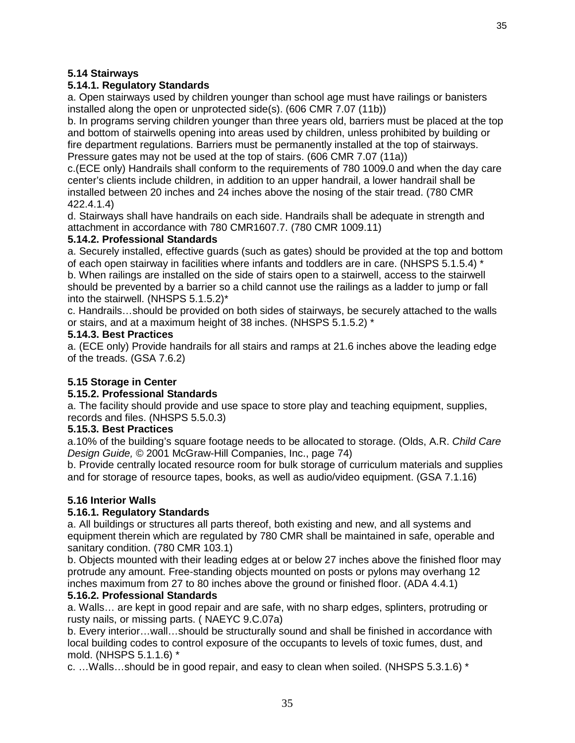#### **5.14 Stairways**

## **5.14.1. Regulatory Standards**

a. Open stairways used by children younger than school age must have railings or banisters installed along the open or unprotected side(s). (606 CMR 7.07 (11b))

b. In programs serving children younger than three years old, barriers must be placed at the top and bottom of stairwells opening into areas used by children, unless prohibited by building or fire department regulations. Barriers must be permanently installed at the top of stairways. Pressure gates may not be used at the top of stairs. (606 CMR 7.07 (11a))

c.(ECE only) Handrails shall conform to the requirements of 780 1009.0 and when the day care center's clients include children, in addition to an upper handrail, a lower handrail shall be installed between 20 inches and 24 inches above the nosing of the stair tread. (780 CMR 422.4.1.4)

d. Stairways shall have handrails on each side. Handrails shall be adequate in strength and attachment in accordance with 780 CMR1607.7. (780 CMR 1009.11)

#### **5.14.2. Professional Standards**

a. Securely installed, effective guards (such as gates) should be provided at the top and bottom of each open stairway in facilities where infants and toddlers are in care. (NHSPS 5.1.5.4) \* b. When railings are installed on the side of stairs open to a stairwell, access to the stairwell should be prevented by a barrier so a child cannot use the railings as a ladder to jump or fall into the stairwell. (NHSPS 5.1.5.2)\*

c. Handrails…should be provided on both sides of stairways, be securely attached to the walls or stairs, and at a maximum height of 38 inches. (NHSPS 5.1.5.2) \*

#### **5.14.3. Best Practices**

a. (ECE only) Provide handrails for all stairs and ramps at 21.6 inches above the leading edge of the treads. (GSA 7.6.2)

## **5.15 Storage in Center**

#### **5.15.2. Professional Standards**

a. The facility should provide and use space to store play and teaching equipment, supplies, records and files. (NHSPS 5.5.0.3)

#### **5.15.3. Best Practices**

a.10% of the building's square footage needs to be allocated to storage. (Olds, A.R. *Child Care Design Guide, ©* 2001 McGraw-Hill Companies, Inc., page 74)

b. Provide centrally located resource room for bulk storage of curriculum materials and supplies and for storage of resource tapes, books, as well as audio/video equipment. (GSA 7.1.16)

## **5.16 Interior Walls**

#### **5.16.1. Regulatory Standards**

a. All buildings or structures all parts thereof, both existing and new, and all systems and equipment therein which are regulated by 780 CMR shall be maintained in safe, operable and sanitary condition. (780 CMR 103.1)

b. Objects mounted with their leading edges at or below 27 inches above the finished floor may protrude any amount. Free-standing objects mounted on posts or pylons may overhang 12 inches maximum from 27 to 80 inches above the ground or finished floor. (ADA 4.4.1)

## **5.16.2. Professional Standards**

a. Walls… are kept in good repair and are safe, with no sharp edges, splinters, protruding or rusty nails, or missing parts. ( NAEYC 9.C.07a)

b. Every interior…wall…should be structurally sound and shall be finished in accordance with local building codes to control exposure of the occupants to levels of toxic fumes, dust, and mold. (NHSPS 5.1.1.6) \*

c. …Walls…should be in good repair, and easy to clean when soiled. (NHSPS 5.3.1.6) \*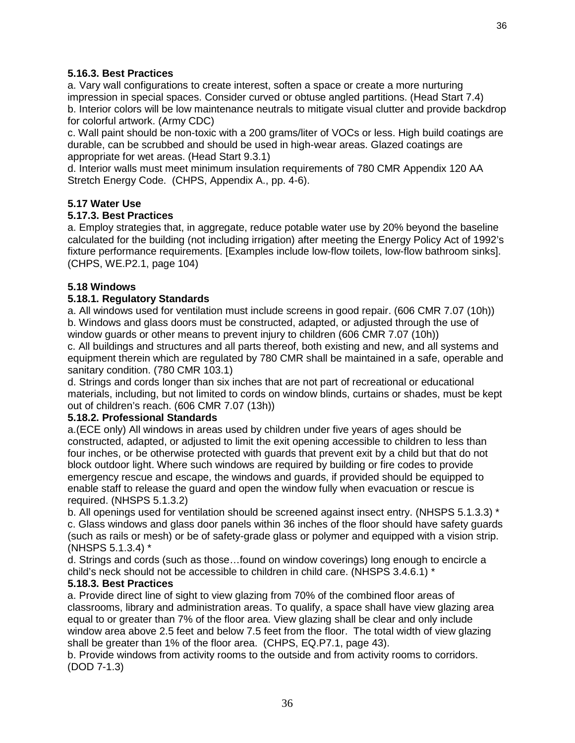a. Vary wall configurations to create interest, soften a space or create a more nurturing impression in special spaces. Consider curved or obtuse angled partitions. (Head Start 7.4) b. Interior colors will be low maintenance neutrals to mitigate visual clutter and provide backdrop for colorful artwork. (Army CDC)

c. Wall paint should be non-toxic with a 200 grams/liter of VOCs or less. High build coatings are durable, can be scrubbed and should be used in high-wear areas. Glazed coatings are appropriate for wet areas. (Head Start 9.3.1)

d. Interior walls must meet minimum insulation requirements of 780 CMR Appendix 120 AA Stretch Energy Code. (CHPS, Appendix A., pp. 4-6).

# **5.17 Water Use**

# **5.17.3. Best Practices**

a. Employ strategies that, in aggregate, reduce potable water use by 20% beyond the baseline calculated for the building (not including irrigation) after meeting the Energy Policy Act of 1992's fixture performance requirements. [Examples include low-flow toilets, low-flow bathroom sinks]. (CHPS, WE.P2.1, page 104)

## **5.18 Windows**

## **5.18.1. Regulatory Standards**

a. All windows used for ventilation must include screens in good repair. (606 CMR 7.07 (10h)) b. Windows and glass doors must be constructed, adapted, or adjusted through the use of window guards or other means to prevent injury to children (606 CMR 7.07 (10h))

c. All buildings and structures and all parts thereof, both existing and new, and all systems and equipment therein which are regulated by 780 CMR shall be maintained in a safe, operable and sanitary condition. (780 CMR 103.1)

d. Strings and cords longer than six inches that are not part of recreational or educational materials, including, but not limited to cords on window blinds, curtains or shades, must be kept out of children's reach. (606 CMR 7.07 (13h))

### **5.18.2. Professional Standards**

a.(ECE only) All windows in areas used by children under five years of ages should be constructed, adapted, or adjusted to limit the exit opening accessible to children to less than four inches, or be otherwise protected with guards that prevent exit by a child but that do not block outdoor light. Where such windows are required by building or fire codes to provide emergency rescue and escape, the windows and guards, if provided should be equipped to enable staff to release the guard and open the window fully when evacuation or rescue is required. (NHSPS 5.1.3.2)

b. All openings used for ventilation should be screened against insect entry. (NHSPS 5.1.3.3) \* c. Glass windows and glass door panels within 36 inches of the floor should have safety guards (such as rails or mesh) or be of safety-grade glass or polymer and equipped with a vision strip. (NHSPS 5.1.3.4) \*

d. Strings and cords (such as those…found on window coverings) long enough to encircle a child's neck should not be accessible to children in child care. (NHSPS 3.4.6.1) \*

#### **5.18.3. Best Practices**

a. Provide direct line of sight to view glazing from 70% of the combined floor areas of classrooms, library and administration areas. To qualify, a space shall have view glazing area equal to or greater than 7% of the floor area. View glazing shall be clear and only include window area above 2.5 feet and below 7.5 feet from the floor. The total width of view glazing shall be greater than 1% of the floor area. (CHPS, EQ.P7.1, page 43).

b. Provide windows from activity rooms to the outside and from activity rooms to corridors. (DOD 7-1.3)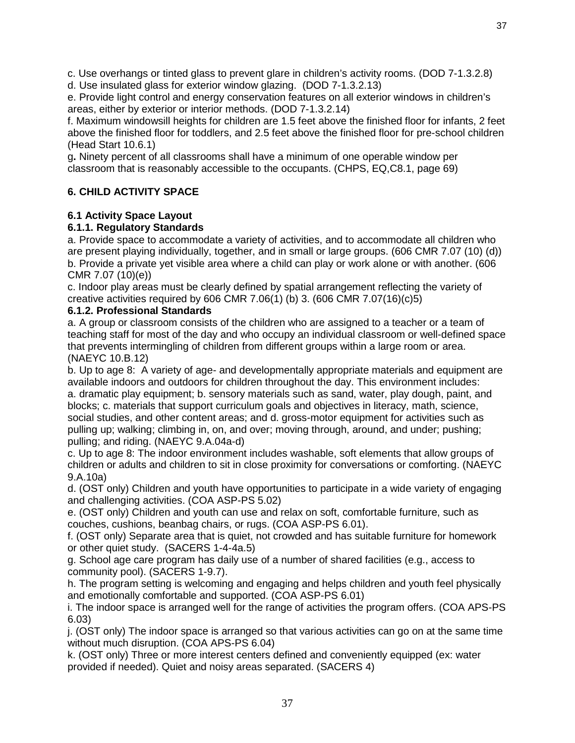c. Use overhangs or tinted glass to prevent glare in children's activity rooms. (DOD 7-1.3.2.8)

d. Use insulated glass for exterior window glazing. (DOD 7-1.3.2.13)

e. Provide light control and energy conservation features on all exterior windows in children's areas, either by exterior or interior methods. (DOD 7-1.3.2.14)

f. Maximum windowsill heights for children are 1.5 feet above the finished floor for infants, 2 feet above the finished floor for toddlers, and 2.5 feet above the finished floor for pre-school children (Head Start 10.6.1)

g**.** Ninety percent of all classrooms shall have a minimum of one operable window per classroom that is reasonably accessible to the occupants. (CHPS, EQ,C8.1, page 69)

# **6. CHILD ACTIVITY SPACE**

# **6.1 Activity Space Layout**

## **6.1.1. Regulatory Standards**

a. Provide space to accommodate a variety of activities, and to accommodate all children who are present playing individually, together, and in small or large groups. (606 CMR 7.07 (10) (d)) b. Provide a private yet visible area where a child can play or work alone or with another. (606 CMR 7.07 (10)(e))

c. Indoor play areas must be clearly defined by spatial arrangement reflecting the variety of creative activities required by 606 CMR 7.06(1) (b) 3. (606 CMR 7.07(16)(c)5)

## **6.1.2. Professional Standards**

a. A group or classroom consists of the children who are assigned to a teacher or a team of teaching staff for most of the day and who occupy an individual classroom or well-defined space that prevents intermingling of children from different groups within a large room or area. (NAEYC 10.B.12)

b. Up to age 8: A variety of age- and developmentally appropriate materials and equipment are available indoors and outdoors for children throughout the day. This environment includes: a. dramatic play equipment; b. sensory materials such as sand, water, play dough, paint, and blocks; c. materials that support curriculum goals and objectives in literacy, math, science, social studies, and other content areas; and d. gross-motor equipment for activities such as pulling up; walking; climbing in, on, and over; moving through, around, and under; pushing; pulling; and riding. (NAEYC 9.A.04a-d)

c. Up to age 8: The indoor environment includes washable, soft elements that allow groups of children or adults and children to sit in close proximity for conversations or comforting. (NAEYC 9.A.10a)

d. (OST only) Children and youth have opportunities to participate in a wide variety of engaging and challenging activities. (COA ASP-PS 5.02)

e. (OST only) Children and youth can use and relax on soft, comfortable furniture, such as couches, cushions, beanbag chairs, or rugs. (COA ASP-PS 6.01).

f. (OST only) Separate area that is quiet, not crowded and has suitable furniture for homework or other quiet study. (SACERS 1-4-4a.5)

g. School age care program has daily use of a number of shared facilities (e.g., access to community pool). (SACERS 1-9.7).

h. The program setting is welcoming and engaging and helps children and youth feel physically and emotionally comfortable and supported. (COA ASP-PS 6.01)

i. The indoor space is arranged well for the range of activities the program offers. (COA APS-PS 6.03)

j. (OST only) The indoor space is arranged so that various activities can go on at the same time without much disruption. (COA APS-PS 6.04)

k. (OST only) Three or more interest centers defined and conveniently equipped (ex: water provided if needed). Quiet and noisy areas separated. (SACERS 4)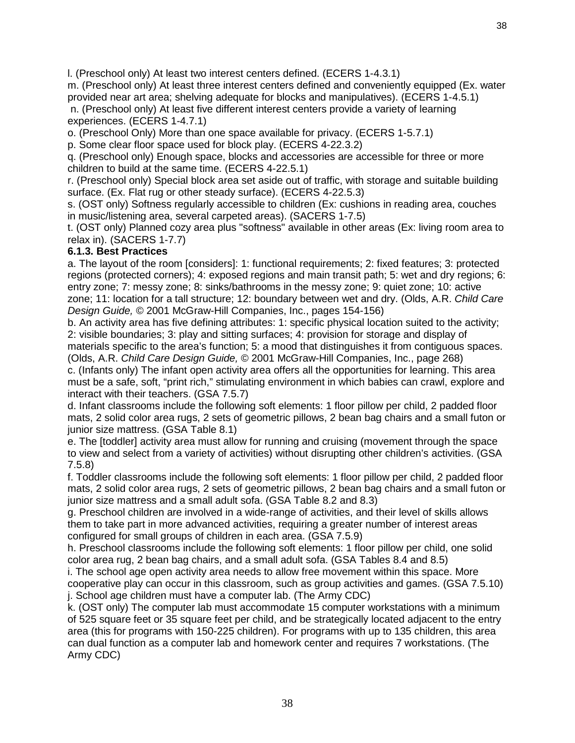m. (Preschool only) At least three interest centers defined and conveniently equipped (Ex. water provided near art area; shelving adequate for blocks and manipulatives). (ECERS 1-4.5.1)

n. (Preschool only) At least five different interest centers provide a variety of learning experiences. (ECERS 1-4.7.1)

o. (Preschool Only) More than one space available for privacy. (ECERS 1-5.7.1)

p. Some clear floor space used for block play. (ECERS 4-22.3.2)

q. (Preschool only) Enough space, blocks and accessories are accessible for three or more children to build at the same time. (ECERS 4-22.5.1)

r. (Preschool only) Special block area set aside out of traffic, with storage and suitable building surface. (Ex. Flat rug or other steady surface). (ECERS 4-22.5.3)

s. (OST only) Softness regularly accessible to children (Ex: cushions in reading area, couches in music/listening area, several carpeted areas). (SACERS 1-7.5)

t. (OST only) Planned cozy area plus "softness" available in other areas (Ex: living room area to relax in). (SACERS 1-7.7)

## **6.1.3. Best Practices**

a. The layout of the room [considers]: 1: functional requirements; 2: fixed features; 3: protected regions (protected corners); 4: exposed regions and main transit path; 5: wet and dry regions; 6: entry zone; 7: messy zone; 8: sinks/bathrooms in the messy zone; 9: quiet zone; 10: active zone; 11: location for a tall structure; 12: boundary between wet and dry. (Olds, A.R. *Child Care Design Guide, ©* 2001 McGraw-Hill Companies, Inc., pages 154-156)

b. An activity area has five defining attributes: 1: specific physical location suited to the activity; 2: visible boundaries; 3: play and sitting surfaces; 4: provision for storage and display of materials specific to the area's function; 5: a mood that distinguishes it from contiguous spaces. (Olds, A.R. *Child Care Design Guide, ©* 2001 McGraw-Hill Companies, Inc., page 268)

c. (Infants only) The infant open activity area offers all the opportunities for learning. This area must be a safe, soft, "print rich," stimulating environment in which babies can crawl, explore and interact with their teachers. (GSA 7.5.7)

d. Infant classrooms include the following soft elements: 1 floor pillow per child, 2 padded floor mats, 2 solid color area rugs, 2 sets of geometric pillows, 2 bean bag chairs and a small futon or junior size mattress. (GSA Table 8.1)

e. The [toddler] activity area must allow for running and cruising (movement through the space to view and select from a variety of activities) without disrupting other children's activities. (GSA 7.5.8)

f. Toddler classrooms include the following soft elements: 1 floor pillow per child, 2 padded floor mats, 2 solid color area rugs, 2 sets of geometric pillows, 2 bean bag chairs and a small futon or junior size mattress and a small adult sofa. (GSA Table 8.2 and 8.3)

g. Preschool children are involved in a wide-range of activities, and their level of skills allows them to take part in more advanced activities, requiring a greater number of interest areas configured for small groups of children in each area. (GSA 7.5.9)

h. Preschool classrooms include the following soft elements: 1 floor pillow per child, one solid color area rug, 2 bean bag chairs, and a small adult sofa. (GSA Tables 8.4 and 8.5)

i. The school age open activity area needs to allow free movement within this space. More cooperative play can occur in this classroom, such as group activities and games. (GSA 7.5.10) j. School age children must have a computer lab. (The Army CDC)

k. (OST only) The computer lab must accommodate 15 computer workstations with a minimum of 525 square feet or 35 square feet per child, and be strategically located adjacent to the entry area (this for programs with 150-225 children). For programs with up to 135 children, this area can dual function as a computer lab and homework center and requires 7 workstations. (The Army CDC)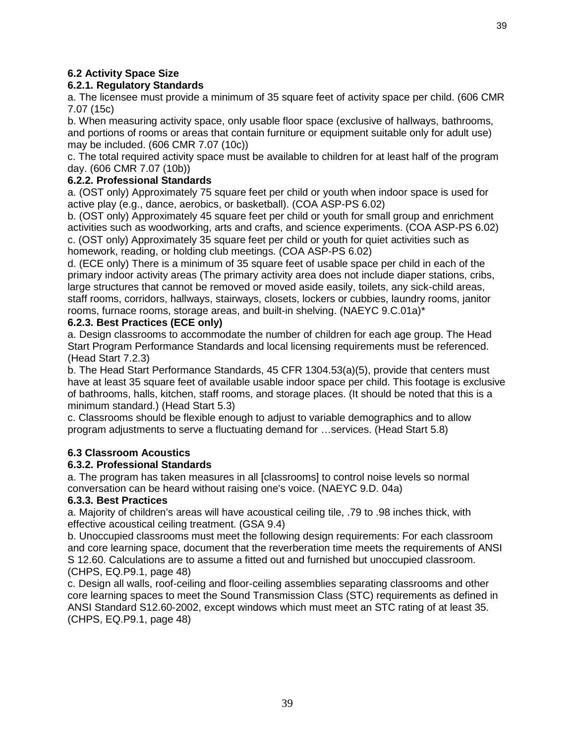## **6.2 Activity Space Size**

### **6.2.1. Regulatory Standards**

a. The licensee must provide a minimum of 35 square feet of activity space per child. (606 CMR 7.07 (15c)

b. When measuring activity space, only usable floor space (exclusive of hallways, bathrooms, and portions of rooms or areas that contain furniture or equipment suitable only for adult use) may be included. (606 CMR 7.07 (10c))

c. The total required activity space must be available to children for at least half of the program day. (606 CMR 7.07 (10b))

### **6.2.2. Professional Standards**

a. (OST only) Approximately 75 square feet per child or youth when indoor space is used for active play (e.g., dance, aerobics, or basketball). (COA ASP-PS 6.02)

b. (OST only) Approximately 45 square feet per child or youth for small group and enrichment activities such as woodworking, arts and crafts, and science experiments. (COA ASP-PS 6.02) c. (OST only) Approximately 35 square feet per child or youth for quiet activities such as homework, reading, or holding club meetings. (COA ASP-PS 6.02)

d. (ECE only) There is a minimum of 35 square feet of usable space per child in each of the primary indoor activity areas (The primary activity area does not include diaper stations, cribs, large structures that cannot be removed or moved aside easily, toilets, any sick-child areas, staff rooms, corridors, hallways, stairways, closets, lockers or cubbies, laundry rooms, janitor rooms, furnace rooms, storage areas, and built-in shelving. (NAEYC 9.C.01a)\*

#### **6.2.3. Best Practices (ECE only)**

a. Design classrooms to accommodate the number of children for each age group. The Head Start Program Performance Standards and local licensing requirements must be referenced. (Head Start 7.2.3)

b. The Head Start Performance Standards, 45 CFR 1304.53(a)(5), provide that centers must have at least 35 square feet of available usable indoor space per child. This footage is exclusive of bathrooms, halls, kitchen, staff rooms, and storage places. (It should be noted that this is a minimum standard.) (Head Start 5.3)

c. Classrooms should be flexible enough to adjust to variable demographics and to allow program adjustments to serve a fluctuating demand for …services. (Head Start 5.8)

#### **6.3 Classroom Acoustics**

#### **6.3.2. Professional Standards**

a. The program has taken measures in all [classrooms] to control noise levels so normal conversation can be heard without raising one's voice. (NAEYC 9.D. 04a)

#### **6.3.3. Best Practices**

a. Majority of children's areas will have acoustical ceiling tile, .79 to .98 inches thick, with effective acoustical ceiling treatment. (GSA 9.4)

b. Unoccupied classrooms must meet the following design requirements: For each classroom and core learning space, document that the reverberation time meets the requirements of ANSI S 12.60. Calculations are to assume a fitted out and furnished but unoccupied classroom. (CHPS, EQ.P9.1, page 48)

c. Design all walls, roof-ceiling and floor-ceiling assemblies separating classrooms and other core learning spaces to meet the Sound Transmission Class (STC) requirements as defined in ANSI Standard S12.60-2002, except windows which must meet an STC rating of at least 35. (CHPS, EQ.P9.1, page 48)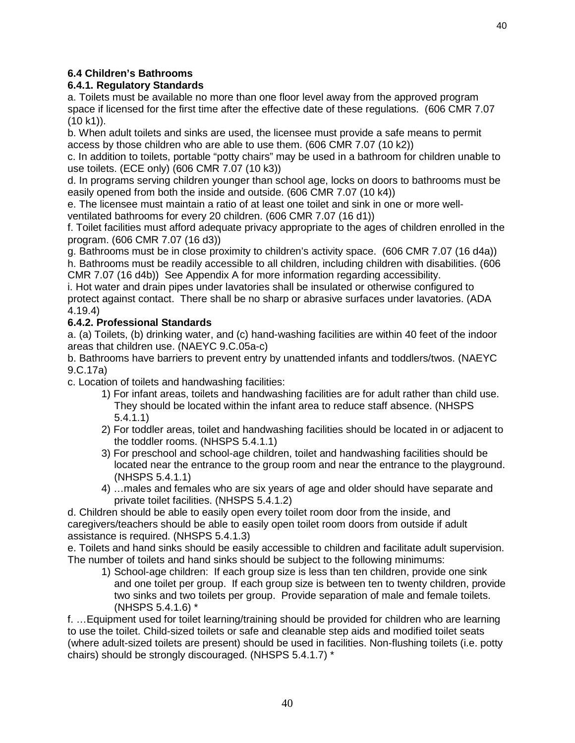# **6.4 Children's Bathrooms**

#### **6.4.1. Regulatory Standards**

a. Toilets must be available no more than one floor level away from the approved program space if licensed for the first time after the effective date of these regulations. (606 CMR 7.07  $(10 k1)$ ).

b. When adult toilets and sinks are used, the licensee must provide a safe means to permit access by those children who are able to use them. (606 CMR 7.07 (10 k2))

c. In addition to toilets, portable "potty chairs" may be used in a bathroom for children unable to use toilets. (ECE only) (606 CMR 7.07 (10 k3))

d. In programs serving children younger than school age, locks on doors to bathrooms must be easily opened from both the inside and outside. (606 CMR 7.07 (10 k4))

e. The licensee must maintain a ratio of at least one toilet and sink in one or more wellventilated bathrooms for every 20 children. (606 CMR 7.07 (16 d1))

f. Toilet facilities must afford adequate privacy appropriate to the ages of children enrolled in the program. (606 CMR 7.07 (16 d3))

g. Bathrooms must be in close proximity to children's activity space. (606 CMR 7.07 (16 d4a)) h. Bathrooms must be readily accessible to all children, including children with disabilities. (606 CMR 7.07 (16 d4b)) See Appendix A for more information regarding accessibility.

i. Hot water and drain pipes under lavatories shall be insulated or otherwise configured to protect against contact. There shall be no sharp or abrasive surfaces under lavatories. (ADA 4.19.4)

## **6.4.2. Professional Standards**

a. (a) Toilets, (b) drinking water, and (c) hand-washing facilities are within 40 feet of the indoor areas that children use. (NAEYC 9.C.05a-c)

b. Bathrooms have barriers to prevent entry by unattended infants and toddlers/twos. (NAEYC 9.C.17a)

c. Location of toilets and handwashing facilities:

- 1) For infant areas, toilets and handwashing facilities are for adult rather than child use. They should be located within the infant area to reduce staff absence. (NHSPS 5.4.1.1)
- 2) For toddler areas, toilet and handwashing facilities should be located in or adjacent to the toddler rooms. (NHSPS 5.4.1.1)
- 3) For preschool and school-age children, toilet and handwashing facilities should be located near the entrance to the group room and near the entrance to the playground. (NHSPS 5.4.1.1)
- 4) …males and females who are six years of age and older should have separate and private toilet facilities. (NHSPS 5.4.1.2)

d. Children should be able to easily open every toilet room door from the inside, and caregivers/teachers should be able to easily open toilet room doors from outside if adult assistance is required. (NHSPS 5.4.1.3)

e. Toilets and hand sinks should be easily accessible to children and facilitate adult supervision. The number of toilets and hand sinks should be subject to the following minimums:

1) School-age children: If each group size is less than ten children, provide one sink and one toilet per group. If each group size is between ten to twenty children, provide two sinks and two toilets per group. Provide separation of male and female toilets. (NHSPS 5.4.1.6) \*

f. …Equipment used for toilet learning/training should be provided for children who are learning to use the toilet. Child-sized toilets or safe and cleanable step aids and modified toilet seats (where adult-sized toilets are present) should be used in facilities. Non-flushing toilets (i.e. potty chairs) should be strongly discouraged. (NHSPS 5.4.1.7) \*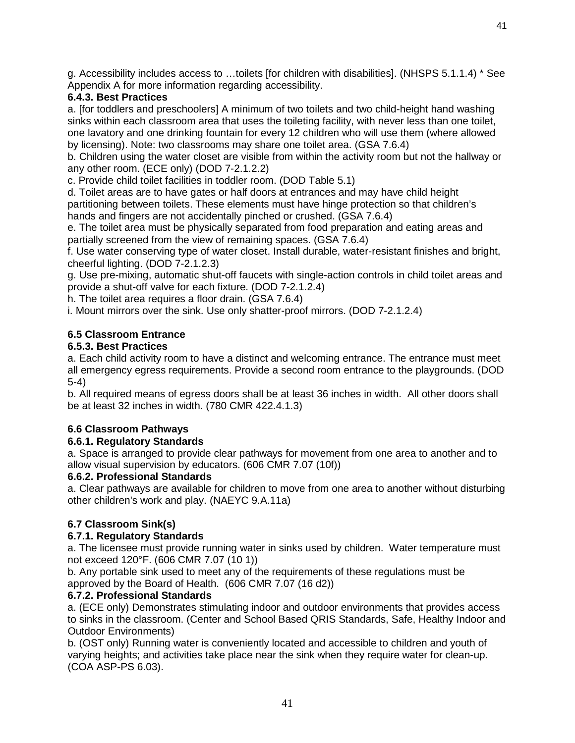g. Accessibility includes access to …toilets [for children with disabilities]. (NHSPS 5.1.1.4) \* See Appendix A for more information regarding accessibility.

# **6.4.3. Best Practices**

a. [for toddlers and preschoolers] A minimum of two toilets and two child-height hand washing sinks within each classroom area that uses the toileting facility, with never less than one toilet, one lavatory and one drinking fountain for every 12 children who will use them (where allowed by licensing). Note: two classrooms may share one toilet area. (GSA 7.6.4)

b. Children using the water closet are visible from within the activity room but not the hallway or any other room. (ECE only) (DOD 7-2.1.2.2)

c. Provide child toilet facilities in toddler room. (DOD Table 5.1)

d. Toilet areas are to have gates or half doors at entrances and may have child height partitioning between toilets. These elements must have hinge protection so that children's hands and fingers are not accidentally pinched or crushed. (GSA 7.6.4)

e. The toilet area must be physically separated from food preparation and eating areas and partially screened from the view of remaining spaces. (GSA 7.6.4)

f. Use water conserving type of water closet. Install durable, water-resistant finishes and bright, cheerful lighting. (DOD 7-2.1.2.3)

g. Use pre-mixing, automatic shut-off faucets with single-action controls in child toilet areas and provide a shut-off valve for each fixture. (DOD 7-2.1.2.4)

h. The toilet area requires a floor drain. (GSA 7.6.4)

i. Mount mirrors over the sink. Use only shatter-proof mirrors. (DOD 7-2.1.2.4)

# **6.5 Classroom Entrance**

## **6.5.3. Best Practices**

a. Each child activity room to have a distinct and welcoming entrance. The entrance must meet all emergency egress requirements. Provide a second room entrance to the playgrounds. (DOD 5-4)

b. All required means of egress doors shall be at least 36 inches in width. All other doors shall be at least 32 inches in width. (780 CMR 422.4.1.3)

# **6.6 Classroom Pathways**

# **6.6.1. Regulatory Standards**

a. Space is arranged to provide clear pathways for movement from one area to another and to allow visual supervision by educators. (606 CMR 7.07 (10f))

# **6.6.2. Professional Standards**

a. Clear pathways are available for children to move from one area to another without disturbing other children's work and play. (NAEYC 9.A.11a)

# **6.7 Classroom Sink(s)**

# **6.7.1. Regulatory Standards**

a. The licensee must provide running water in sinks used by children. Water temperature must not exceed 120°F. (606 CMR 7.07 (10 1))

b. Any portable sink used to meet any of the requirements of these regulations must be approved by the Board of Health. (606 CMR 7.07 (16 d2))

# **6.7.2. Professional Standards**

a. (ECE only) Demonstrates stimulating indoor and outdoor environments that provides access to sinks in the classroom. (Center and School Based QRIS Standards, Safe, Healthy Indoor and Outdoor Environments)

b. (OST only) Running water is conveniently located and accessible to children and youth of varying heights; and activities take place near the sink when they require water for clean-up. (COA ASP-PS 6.03).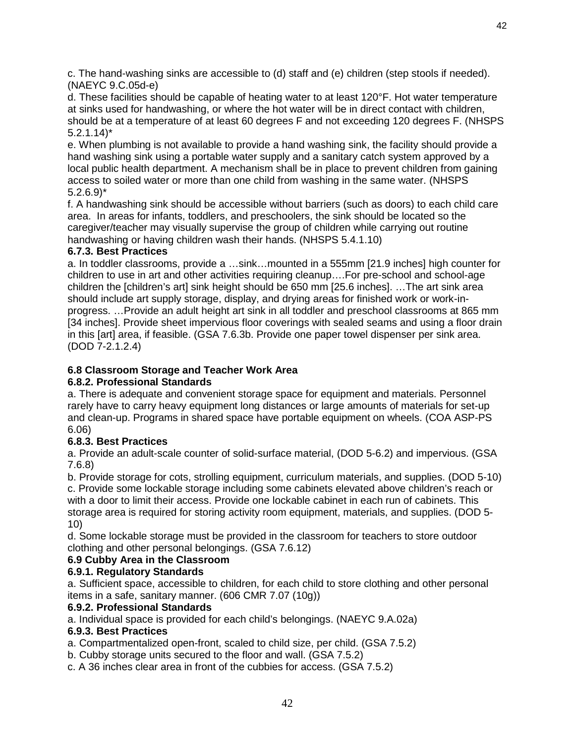c. The hand-washing sinks are accessible to (d) staff and (e) children (step stools if needed). (NAEYC 9.C.05d-e)

d. These facilities should be capable of heating water to at least 120°F. Hot water temperature at sinks used for handwashing, or where the hot water will be in direct contact with children, should be at a temperature of at least 60 degrees F and not exceeding 120 degrees F. (NHSPS  $5.2.1.14$ <sup>\*</sup>

e. When plumbing is not available to provide a hand washing sink, the facility should provide a hand washing sink using a portable water supply and a sanitary catch system approved by a local public health department. A mechanism shall be in place to prevent children from gaining access to soiled water or more than one child from washing in the same water. (NHSPS  $5.2.6.9$ <sup>\*</sup>

f. A handwashing sink should be accessible without barriers (such as doors) to each child care area. In areas for infants, toddlers, and preschoolers, the sink should be located so the caregiver/teacher may visually supervise the group of children while carrying out routine handwashing or having children wash their hands. (NHSPS 5.4.1.10)

## **6.7.3. Best Practices**

a. In toddler classrooms, provide a …sink…mounted in a 555mm [21.9 inches] high counter for children to use in art and other activities requiring cleanup….For pre-school and school-age children the [children's art] sink height should be 650 mm [25.6 inches]. …The art sink area should include art supply storage, display, and drying areas for finished work or work-inprogress. …Provide an adult height art sink in all toddler and preschool classrooms at 865 mm [34 inches]. Provide sheet impervious floor coverings with sealed seams and using a floor drain in this [art] area, if feasible. (GSA 7.6.3b. Provide one paper towel dispenser per sink area. (DOD 7-2.1.2.4)

# **6.8 Classroom Storage and Teacher Work Area**

#### **6.8.2. Professional Standards**

a. There is adequate and convenient storage space for equipment and materials. Personnel rarely have to carry heavy equipment long distances or large amounts of materials for set-up and clean-up. Programs in shared space have portable equipment on wheels. (COA ASP-PS 6.06)

#### **6.8.3. Best Practices**

a. Provide an adult-scale counter of solid-surface material, (DOD 5-6.2) and impervious. (GSA 7.6.8)

b. Provide storage for cots, strolling equipment, curriculum materials, and supplies. (DOD 5-10) c. Provide some lockable storage including some cabinets elevated above children's reach or with a door to limit their access. Provide one lockable cabinet in each run of cabinets. This storage area is required for storing activity room equipment, materials, and supplies. (DOD 5- 10)

d. Some lockable storage must be provided in the classroom for teachers to store outdoor clothing and other personal belongings. (GSA 7.6.12)

#### **6.9 Cubby Area in the Classroom**

#### **6.9.1. Regulatory Standards**

a. Sufficient space, accessible to children, for each child to store clothing and other personal items in a safe, sanitary manner. (606 CMR 7.07 (10g))

#### **6.9.2. Professional Standards**

a. Individual space is provided for each child's belongings. (NAEYC 9.A.02a)

#### **6.9.3. Best Practices**

a. Compartmentalized open-front, scaled to child size, per child. (GSA 7.5.2)

b. Cubby storage units secured to the floor and wall. (GSA 7.5.2)

c. A 36 inches clear area in front of the cubbies for access. (GSA 7.5.2)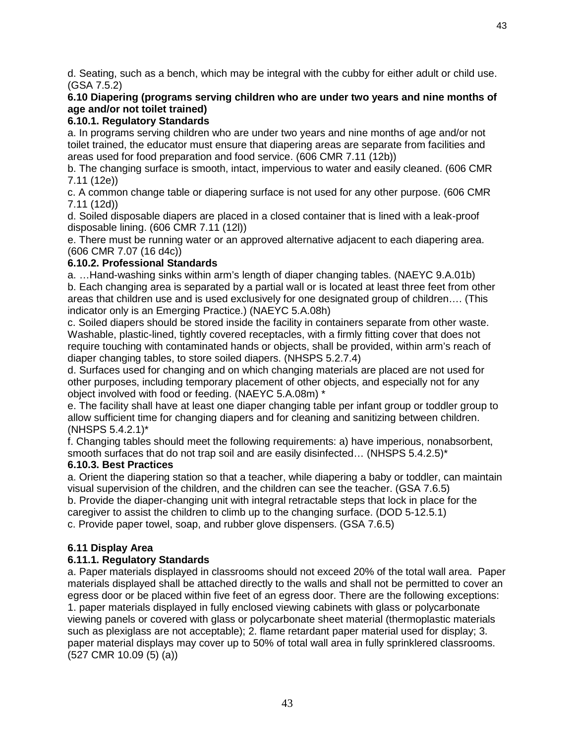d. Seating, such as a bench, which may be integral with the cubby for either adult or child use. (GSA 7.5.2)

#### **6.10 Diapering (programs serving children who are under two years and nine months of age and/or not toilet trained)**

## **6.10.1. Regulatory Standards**

a. In programs serving children who are under two years and nine months of age and/or not toilet trained, the educator must ensure that diapering areas are separate from facilities and areas used for food preparation and food service. (606 CMR 7.11 (12b))

b. The changing surface is smooth, intact, impervious to water and easily cleaned. (606 CMR 7.11 (12e))

c. A common change table or diapering surface is not used for any other purpose. (606 CMR 7.11 (12d))

d. Soiled disposable diapers are placed in a closed container that is lined with a leak-proof disposable lining. (606 CMR 7.11 (12l))

e. There must be running water or an approved alternative adjacent to each diapering area. (606 CMR 7.07 (16 d4c))

#### **6.10.2. Professional Standards**

a. …Hand-washing sinks within arm's length of diaper changing tables. (NAEYC 9.A.01b) b. Each changing area is separated by a partial wall or is located at least three feet from other areas that children use and is used exclusively for one designated group of children…. (This indicator only is an Emerging Practice.) (NAEYC 5.A.08h)

c. Soiled diapers should be stored inside the facility in containers separate from other waste. Washable, plastic-lined, tightly covered receptacles, with a firmly fitting cover that does not require touching with contaminated hands or objects, shall be provided, within arm's reach of diaper changing tables, to store soiled diapers. (NHSPS 5.2.7.4)

d. Surfaces used for changing and on which changing materials are placed are not used for other purposes, including temporary placement of other objects, and especially not for any object involved with food or feeding. (NAEYC 5.A.08m) \*

e. The facility shall have at least one diaper changing table per infant group or toddler group to allow sufficient time for changing diapers and for cleaning and sanitizing between children. (NHSPS 5.4.2.1)\*

f. Changing tables should meet the following requirements: a) have imperious, nonabsorbent, smooth surfaces that do not trap soil and are easily disinfected... (NHSPS 5.4.2.5)\*

#### **6.10.3. Best Practices**

a. Orient the diapering station so that a teacher, while diapering a baby or toddler, can maintain visual supervision of the children, and the children can see the teacher. (GSA 7.6.5)

b. Provide the diaper-changing unit with integral retractable steps that lock in place for the caregiver to assist the children to climb up to the changing surface. (DOD 5-12.5.1)

c. Provide paper towel, soap, and rubber glove dispensers. (GSA 7.6.5)

#### **6.11 Display Area**

# **6.11.1. Regulatory Standards**

a. Paper materials displayed in classrooms should not exceed 20% of the total wall area. Paper materials displayed shall be attached directly to the walls and shall not be permitted to cover an egress door or be placed within five feet of an egress door. There are the following exceptions: 1. paper materials displayed in fully enclosed viewing cabinets with glass or polycarbonate viewing panels or covered with glass or polycarbonate sheet material (thermoplastic materials such as plexiglass are not acceptable); 2. flame retardant paper material used for display; 3. paper material displays may cover up to 50% of total wall area in fully sprinklered classrooms. (527 CMR 10.09 (5) (a))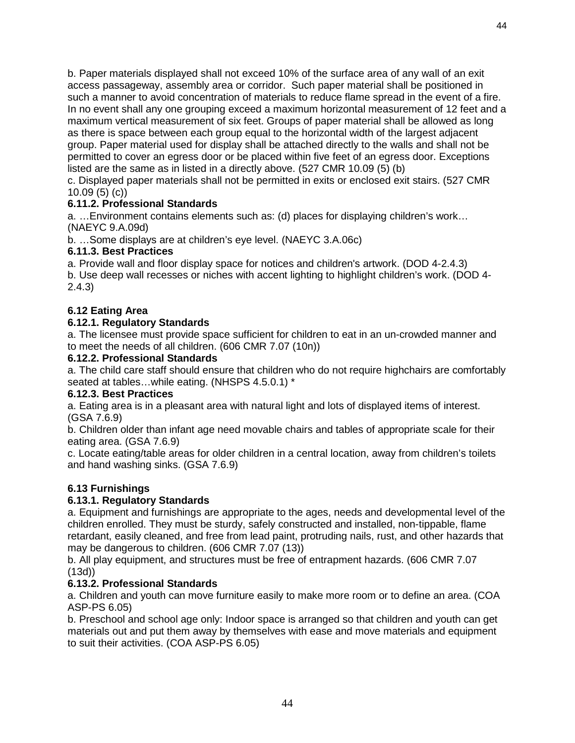b. Paper materials displayed shall not exceed 10% of the surface area of any wall of an exit access passageway, assembly area or corridor. Such paper material shall be positioned in such a manner to avoid concentration of materials to reduce flame spread in the event of a fire. In no event shall any one grouping exceed a maximum horizontal measurement of 12 feet and a maximum vertical measurement of six feet. Groups of paper material shall be allowed as long as there is space between each group equal to the horizontal width of the largest adjacent group. Paper material used for display shall be attached directly to the walls and shall not be permitted to cover an egress door or be placed within five feet of an egress door. Exceptions listed are the same as in listed in a directly above. (527 CMR 10.09 (5) (b)

c. Displayed paper materials shall not be permitted in exits or enclosed exit stairs. (527 CMR 10.09 (5) (c))

# **6.11.2. Professional Standards**

a. …Environment contains elements such as: (d) places for displaying children's work… (NAEYC 9.A.09d)

b. …Some displays are at children's eye level. (NAEYC 3.A.06c)

# **6.11.3. Best Practices**

a. Provide wall and floor display space for notices and children's artwork. (DOD 4-2.4.3)

b. Use deep wall recesses or niches with accent lighting to highlight children's work. (DOD 4- 2.4.3)

# **6.12 Eating Area**

## **6.12.1. Regulatory Standards**

a. The licensee must provide space sufficient for children to eat in an un-crowded manner and to meet the needs of all children. (606 CMR 7.07 (10n))

## **6.12.2. Professional Standards**

a. The child care staff should ensure that children who do not require highchairs are comfortably seated at tables...while eating. (NHSPS 4.5.0.1) \*

#### **6.12.3. Best Practices**

a. Eating area is in a pleasant area with natural light and lots of displayed items of interest. (GSA 7.6.9)

b. Children older than infant age need movable chairs and tables of appropriate scale for their eating area. (GSA 7.6.9)

c. Locate eating/table areas for older children in a central location, away from children's toilets and hand washing sinks. (GSA 7.6.9)

# **6.13 Furnishings**

# **6.13.1. Regulatory Standards**

a. Equipment and furnishings are appropriate to the ages, needs and developmental level of the children enrolled. They must be sturdy, safely constructed and installed, non-tippable, flame retardant, easily cleaned, and free from lead paint, protruding nails, rust, and other hazards that may be dangerous to children. (606 CMR 7.07 (13))

b. All play equipment, and structures must be free of entrapment hazards. (606 CMR 7.07 (13d))

#### **6.13.2. Professional Standards**

a. Children and youth can move furniture easily to make more room or to define an area. (COA ASP-PS 6.05)

b. Preschool and school age only: Indoor space is arranged so that children and youth can get materials out and put them away by themselves with ease and move materials and equipment to suit their activities. (COA ASP-PS 6.05)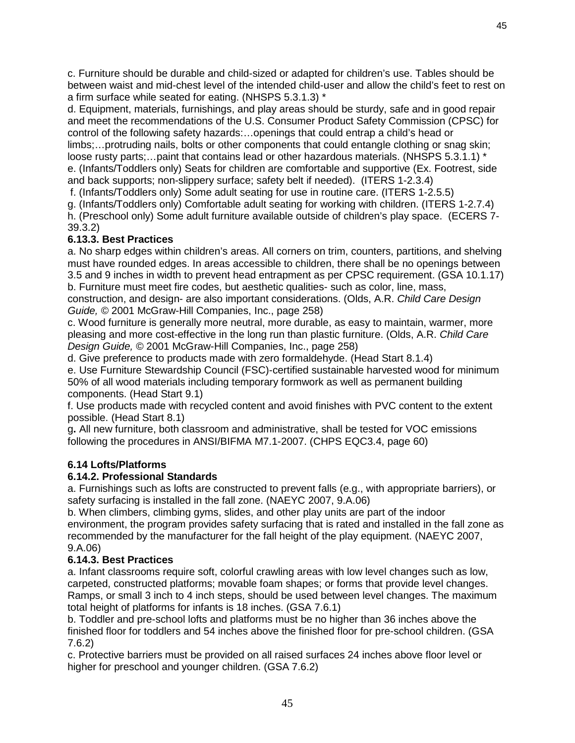c. Furniture should be durable and child-sized or adapted for children's use. Tables should be between waist and mid-chest level of the intended child-user and allow the child's feet to rest on a firm surface while seated for eating. (NHSPS 5.3.1.3) \*

45

d. Equipment, materials, furnishings, and play areas should be sturdy, safe and in good repair and meet the recommendations of the U.S. Consumer Product Safety Commission (CPSC) for control of the following safety hazards:…openings that could entrap a child's head or limbs;…protruding nails, bolts or other components that could entangle clothing or snag skin; loose rusty parts;... paint that contains lead or other hazardous materials. (NHSPS 5.3.1.1) \* e. (Infants/Toddlers only) Seats for children are comfortable and supportive (Ex. Footrest, side and back supports; non-slippery surface; safety belt if needed). (ITERS 1-2.3.4)

f. (Infants/Toddlers only) Some adult seating for use in routine care. (ITERS 1-2.5.5)

g. (Infants/Toddlers only) Comfortable adult seating for working with children. (ITERS 1-2.7.4) h. (Preschool only) Some adult furniture available outside of children's play space. (ECERS 7- 39.3.2)

# **6.13.3. Best Practices**

a. No sharp edges within children's areas. All corners on trim, counters, partitions, and shelving must have rounded edges. In areas accessible to children, there shall be no openings between 3.5 and 9 inches in width to prevent head entrapment as per CPSC requirement. (GSA 10.1.17) b. Furniture must meet fire codes, but aesthetic qualities- such as color, line, mass,

construction, and design- are also important considerations. (Olds, A.R. *Child Care Design Guide, ©* 2001 McGraw-Hill Companies, Inc., page 258)

c. Wood furniture is generally more neutral, more durable, as easy to maintain, warmer, more pleasing and more cost-effective in the long run than plastic furniture. (Olds, A.R. *Child Care Design Guide, ©* 2001 McGraw-Hill Companies, Inc., page 258)

d. Give preference to products made with zero formaldehyde. (Head Start 8.1.4)

e. Use Furniture Stewardship Council (FSC)-certified sustainable harvested wood for minimum 50% of all wood materials including temporary formwork as well as permanent building components. (Head Start 9.1)

f. Use products made with recycled content and avoid finishes with PVC content to the extent possible. (Head Start 8.1)

g**.** All new furniture, both classroom and administrative, shall be tested for VOC emissions following the procedures in ANSI/BIFMA M7.1-2007. (CHPS EQC3.4, page 60)

# **6.14 Lofts/Platforms**

# **6.14.2. Professional Standards**

a. Furnishings such as lofts are constructed to prevent falls (e.g., with appropriate barriers), or safety surfacing is installed in the fall zone. (NAEYC 2007, 9.A.06)

b. When climbers, climbing gyms, slides, and other play units are part of the indoor environment, the program provides safety surfacing that is rated and installed in the fall zone as recommended by the manufacturer for the fall height of the play equipment. (NAEYC 2007, 9.A.06)

# **6.14.3. Best Practices**

a. Infant classrooms require soft, colorful crawling areas with low level changes such as low, carpeted, constructed platforms; movable foam shapes; or forms that provide level changes. Ramps, or small 3 inch to 4 inch steps, should be used between level changes. The maximum total height of platforms for infants is 18 inches. (GSA 7.6.1)

b. Toddler and pre-school lofts and platforms must be no higher than 36 inches above the finished floor for toddlers and 54 inches above the finished floor for pre-school children. (GSA 7.6.2)

c. Protective barriers must be provided on all raised surfaces 24 inches above floor level or higher for preschool and younger children. (GSA 7.6.2)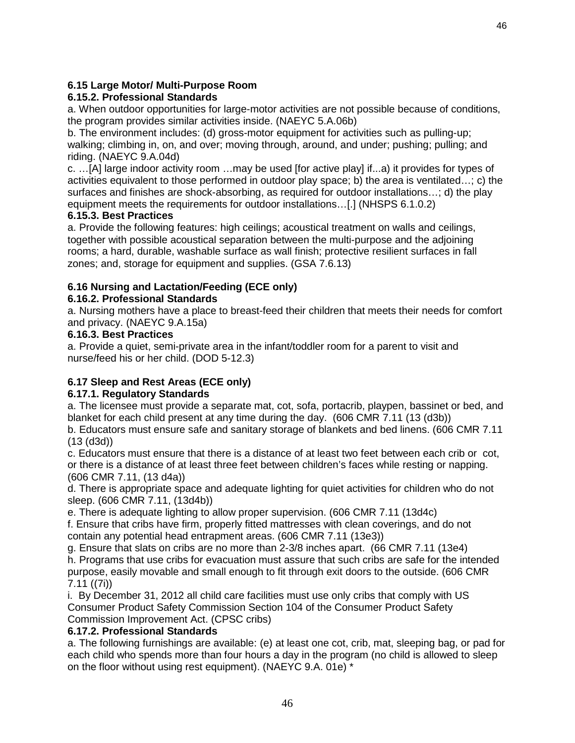## **6.15 Large Motor/ Multi-Purpose Room**

# **6.15.2. Professional Standards**

a. When outdoor opportunities for large-motor activities are not possible because of conditions, the program provides similar activities inside. (NAEYC 5.A.06b)

b. The environment includes: (d) gross-motor equipment for activities such as pulling-up; walking; climbing in, on, and over; moving through, around, and under; pushing; pulling; and riding. (NAEYC 9.A.04d)

c. …[A] large indoor activity room …may be used [for active play] if...a) it provides for types of activities equivalent to those performed in outdoor play space; b) the area is ventilated…; c) the surfaces and finishes are shock-absorbing, as required for outdoor installations…; d) the play equipment meets the requirements for outdoor installations…[.] (NHSPS 6.1.0.2)

#### **6.15.3. Best Practices**

a. Provide the following features: high ceilings; acoustical treatment on walls and ceilings, together with possible acoustical separation between the multi-purpose and the adjoining rooms; a hard, durable, washable surface as wall finish; protective resilient surfaces in fall zones; and, storage for equipment and supplies. (GSA 7.6.13)

# **6.16 Nursing and Lactation/Feeding (ECE only)**

# **6.16.2. Professional Standards**

a. Nursing mothers have a place to breast-feed their children that meets their needs for comfort and privacy. (NAEYC 9.A.15a)

## **6.16.3. Best Practices**

a. Provide a quiet, semi-private area in the infant/toddler room for a parent to visit and nurse/feed his or her child. (DOD 5-12.3)

# **6.17 Sleep and Rest Areas (ECE only)**

# **6.17.1. Regulatory Standards**

a. The licensee must provide a separate mat, cot, sofa, portacrib, playpen, bassinet or bed, and blanket for each child present at any time during the day. (606 CMR 7.11 (13 (d3b))

b. Educators must ensure safe and sanitary storage of blankets and bed linens. (606 CMR 7.11 (13 (d3d))

c. Educators must ensure that there is a distance of at least two feet between each crib or cot, or there is a distance of at least three feet between children's faces while resting or napping. (606 CMR 7.11, (13 d4a))

d. There is appropriate space and adequate lighting for quiet activities for children who do not sleep. (606 CMR 7.11, (13d4b))

e. There is adequate lighting to allow proper supervision. (606 CMR 7.11 (13d4c)

f. Ensure that cribs have firm, properly fitted mattresses with clean coverings, and do not contain any potential head entrapment areas. (606 CMR 7.11 (13e3))

g. Ensure that slats on cribs are no more than 2-3/8 inches apart. (66 CMR 7.11 (13e4) h. Programs that use cribs for evacuation must assure that such cribs are safe for the intended purpose, easily movable and small enough to fit through exit doors to the outside. (606 CMR 7.11 ((7i))

i. By December 31, 2012 all child care facilities must use only cribs that comply with US Consumer Product Safety Commission Section 104 of the Consumer Product Safety Commission Improvement Act. (CPSC cribs)

#### **6.17.2. Professional Standards**

a. The following furnishings are available: (e) at least one cot, crib, mat, sleeping bag, or pad for each child who spends more than four hours a day in the program (no child is allowed to sleep on the floor without using rest equipment). (NAEYC 9.A. 01e) \*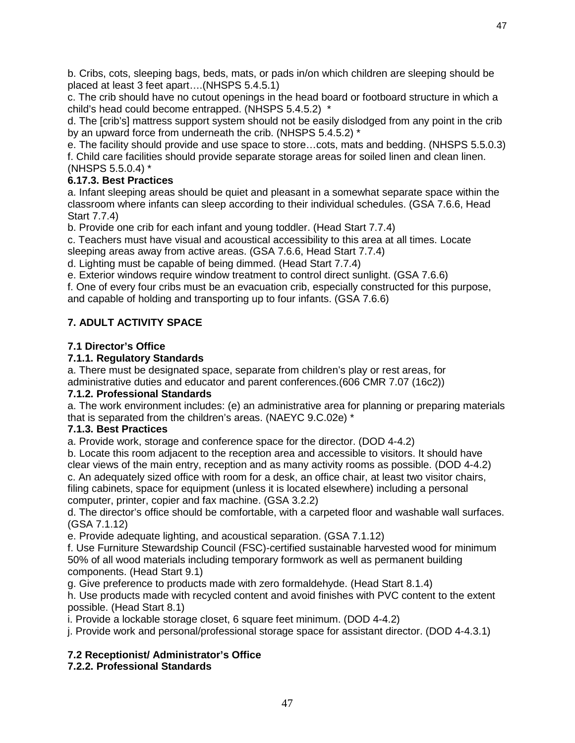b. Cribs, cots, sleeping bags, beds, mats, or pads in/on which children are sleeping should be placed at least 3 feet apart….(NHSPS 5.4.5.1)

c. The crib should have no cutout openings in the head board or footboard structure in which a child's head could become entrapped. (NHSPS 5.4.5.2) \*

d. The [crib's] mattress support system should not be easily dislodged from any point in the crib by an upward force from underneath the crib. (NHSPS 5.4.5.2) \*

e. The facility should provide and use space to store…cots, mats and bedding. (NHSPS 5.5.0.3) f. Child care facilities should provide separate storage areas for soiled linen and clean linen. (NHSPS 5.5.0.4) \*

# **6.17.3. Best Practices**

a. Infant sleeping areas should be quiet and pleasant in a somewhat separate space within the classroom where infants can sleep according to their individual schedules. (GSA 7.6.6, Head Start 7.7.4)

b. Provide one crib for each infant and young toddler. (Head Start 7.7.4)

c. Teachers must have visual and acoustical accessibility to this area at all times. Locate sleeping areas away from active areas. (GSA 7.6.6, Head Start 7.7.4)

d. Lighting must be capable of being dimmed. (Head Start 7.7.4)

e. Exterior windows require window treatment to control direct sunlight. (GSA 7.6.6)

f. One of every four cribs must be an evacuation crib, especially constructed for this purpose, and capable of holding and transporting up to four infants. (GSA 7.6.6)

# **7. ADULT ACTIVITY SPACE**

## **7.1 Director's Office**

## **7.1.1. Regulatory Standards**

a. There must be designated space, separate from children's play or rest areas, for administrative duties and educator and parent conferences.(606 CMR 7.07 (16c2))

#### **7.1.2. Professional Standards**

a. The work environment includes: (e) an administrative area for planning or preparing materials that is separated from the children's areas. (NAEYC 9.C.02e) \*

#### **7.1.3. Best Practices**

a. Provide work, storage and conference space for the director. (DOD 4-4.2)

b. Locate this room adjacent to the reception area and accessible to visitors. It should have clear views of the main entry, reception and as many activity rooms as possible. (DOD 4-4.2) c. An adequately sized office with room for a desk, an office chair, at least two visitor chairs, filing cabinets, space for equipment (unless it is located elsewhere) including a personal computer, printer, copier and fax machine. (GSA 3.2.2)

d. The director's office should be comfortable, with a carpeted floor and washable wall surfaces. (GSA 7.1.12)

e. Provide adequate lighting, and acoustical separation. (GSA 7.1.12)

f. Use Furniture Stewardship Council (FSC)-certified sustainable harvested wood for minimum 50% of all wood materials including temporary formwork as well as permanent building components. (Head Start 9.1)

g. Give preference to products made with zero formaldehyde. (Head Start 8.1.4)

h. Use products made with recycled content and avoid finishes with PVC content to the extent possible. (Head Start 8.1)

i. Provide a lockable storage closet, 6 square feet minimum. (DOD 4-4.2)

j. Provide work and personal/professional storage space for assistant director. (DOD 4-4.3.1)

# **7.2 Receptionist/ Administrator's Office**

# **7.2.2. Professional Standards**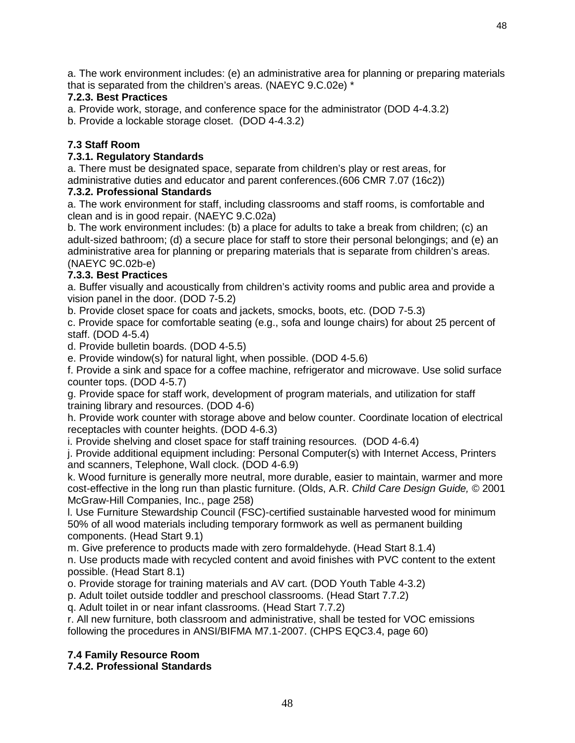a. The work environment includes: (e) an administrative area for planning or preparing materials that is separated from the children's areas. (NAEYC 9.C.02e) \*

# **7.2.3. Best Practices**

a. Provide work, storage, and conference space for the administrator (DOD 4-4.3.2)

b. Provide a lockable storage closet. (DOD 4-4.3.2)

# **7.3 Staff Room**

# **7.3.1. Regulatory Standards**

a. There must be designated space, separate from children's play or rest areas, for administrative duties and educator and parent conferences.(606 CMR 7.07 (16c2))

# **7.3.2. Professional Standards**

a. The work environment for staff, including classrooms and staff rooms, is comfortable and clean and is in good repair. (NAEYC 9.C.02a)

b. The work environment includes: (b) a place for adults to take a break from children; (c) an adult-sized bathroom; (d) a secure place for staff to store their personal belongings; and (e) an administrative area for planning or preparing materials that is separate from children's areas. (NAEYC 9C.02b-e)

# **7.3.3. Best Practices**

a. Buffer visually and acoustically from children's activity rooms and public area and provide a vision panel in the door. (DOD 7-5.2)

b. Provide closet space for coats and jackets, smocks, boots, etc. (DOD 7-5.3)

c. Provide space for comfortable seating (e.g., sofa and lounge chairs) for about 25 percent of staff. (DOD 4-5.4)

d. Provide bulletin boards. (DOD 4-5.5)

e. Provide window(s) for natural light, when possible. (DOD 4-5.6)

f. Provide a sink and space for a coffee machine, refrigerator and microwave. Use solid surface counter tops. (DOD 4-5.7)

g. Provide space for staff work, development of program materials, and utilization for staff training library and resources. (DOD 4-6)

h. Provide work counter with storage above and below counter. Coordinate location of electrical receptacles with counter heights. (DOD 4-6.3)

i. Provide shelving and closet space for staff training resources. (DOD 4-6.4)

j. Provide additional equipment including: Personal Computer(s) with Internet Access, Printers and scanners, Telephone, Wall clock. (DOD 4-6.9)

k. Wood furniture is generally more neutral, more durable, easier to maintain, warmer and more cost-effective in the long run than plastic furniture. (Olds, A.R. *Child Care Design Guide, ©* 2001 McGraw-Hill Companies, Inc., page 258)

l. Use Furniture Stewardship Council (FSC)-certified sustainable harvested wood for minimum 50% of all wood materials including temporary formwork as well as permanent building components. (Head Start 9.1)

m. Give preference to products made with zero formaldehyde. (Head Start 8.1.4)

n. Use products made with recycled content and avoid finishes with PVC content to the extent possible. (Head Start 8.1)

o. Provide storage for training materials and AV cart. (DOD Youth Table 4-3.2)

p. Adult toilet outside toddler and preschool classrooms. (Head Start 7.7.2)

q. Adult toilet in or near infant classrooms. (Head Start 7.7.2)

r. All new furniture, both classroom and administrative, shall be tested for VOC emissions following the procedures in ANSI/BIFMA M7.1-2007. (CHPS EQC3.4, page 60)

# **7.4 Family Resource Room**

# **7.4.2. Professional Standards**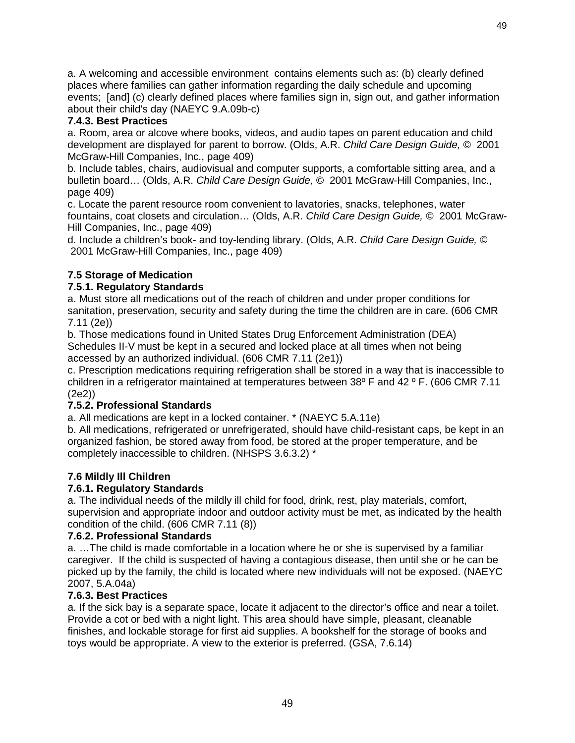a. A welcoming and accessible environment contains elements such as: (b) clearly defined places where families can gather information regarding the daily schedule and upcoming events; [and] (c) clearly defined places where families sign in, sign out, and gather information about their child's day (NAEYC 9.A.09b-c)

## **7.4.3. Best Practices**

a. Room, area or alcove where books, videos, and audio tapes on parent education and child development are displayed for parent to borrow. (Olds, A.R. *Child Care Design Guide, ©* 2001 McGraw-Hill Companies, Inc., page 409)

b. Include tables, chairs, audiovisual and computer supports, a comfortable sitting area, and a bulletin board… (Olds, A.R. *Child Care Design Guide, ©* 2001 McGraw-Hill Companies, Inc., page 409)

c. Locate the parent resource room convenient to lavatories, snacks, telephones, water fountains, coat closets and circulation… (Olds, A.R. *Child Care Design Guide, ©* 2001 McGraw-Hill Companies, Inc., page 409)

d. Include a children's book- and toy-lending library. (Olds, A.R. *Child Care Design Guide, ©*  2001 McGraw-Hill Companies, Inc., page 409)

# **7.5 Storage of Medication**

## **7.5.1. Regulatory Standards**

a. Must store all medications out of the reach of children and under proper conditions for sanitation, preservation, security and safety during the time the children are in care. (606 CMR 7.11 (2e))

b. Those medications found in United States Drug Enforcement Administration (DEA) Schedules II-V must be kept in a secured and locked place at all times when not being accessed by an authorized individual. (606 CMR 7.11 (2e1))

c. Prescription medications requiring refrigeration shall be stored in a way that is inaccessible to children in a refrigerator maintained at temperatures between 38º F and 42 º F. (606 CMR 7.11 (2e2))

# **7.5.2. Professional Standards**

a. All medications are kept in a locked container. \* (NAEYC 5.A.11e)

b. All medications, refrigerated or unrefrigerated, should have child-resistant caps, be kept in an organized fashion, be stored away from food, be stored at the proper temperature, and be completely inaccessible to children. (NHSPS 3.6.3.2) \*

# **7.6 Mildly Ill Children**

#### **7.6.1. Regulatory Standards**

a. The individual needs of the mildly ill child for food, drink, rest, play materials, comfort, supervision and appropriate indoor and outdoor activity must be met, as indicated by the health condition of the child. (606 CMR 7.11 (8))

#### **7.6.2. Professional Standards**

a. …The child is made comfortable in a location where he or she is supervised by a familiar caregiver. If the child is suspected of having a contagious disease, then until she or he can be picked up by the family, the child is located where new individuals will not be exposed. (NAEYC 2007, 5.A.04a)

#### **7.6.3. Best Practices**

a. If the sick bay is a separate space, locate it adjacent to the director's office and near a toilet. Provide a cot or bed with a night light. This area should have simple, pleasant, cleanable finishes, and lockable storage for first aid supplies. A bookshelf for the storage of books and toys would be appropriate. A view to the exterior is preferred. (GSA, 7.6.14)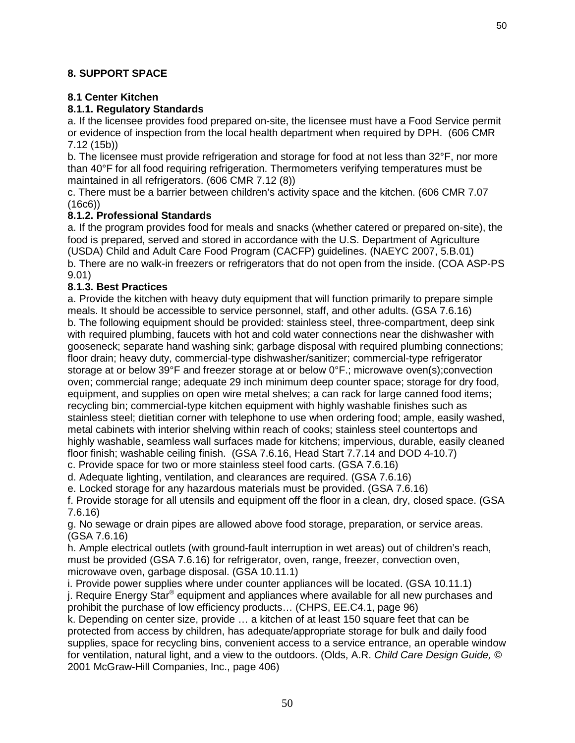## **8. SUPPORT SPACE**

#### **8.1 Center Kitchen**

## **8.1.1. Regulatory Standards**

a. If the licensee provides food prepared on-site, the licensee must have a Food Service permit or evidence of inspection from the local health department when required by DPH. (606 CMR 7.12 (15b))

b. The licensee must provide refrigeration and storage for food at not less than 32°F, nor more than 40°F for all food requiring refrigeration. Thermometers verifying temperatures must be maintained in all refrigerators. (606 CMR 7.12 (8))

c. There must be a barrier between children's activity space and the kitchen. (606 CMR 7.07 (16c6))

#### **8.1.2. Professional Standards**

a. If the program provides food for meals and snacks (whether catered or prepared on-site), the food is prepared, served and stored in accordance with the U.S. Department of Agriculture (USDA) Child and Adult Care Food Program (CACFP) guidelines. (NAEYC 2007, 5.B.01) b. There are no walk-in freezers or refrigerators that do not open from the inside. (COA ASP-PS 9.01)

#### **8.1.3. Best Practices**

a. Provide the kitchen with heavy duty equipment that will function primarily to prepare simple meals. It should be accessible to service personnel, staff, and other adults. (GSA 7.6.16) b. The following equipment should be provided: stainless steel, three-compartment, deep sink with required plumbing, faucets with hot and cold water connections near the dishwasher with gooseneck; separate hand washing sink; garbage disposal with required plumbing connections; floor drain; heavy duty, commercial-type dishwasher/sanitizer; commercial-type refrigerator storage at or below 39°F and freezer storage at or below 0°F.; microwave oven(s);convection oven; commercial range; adequate 29 inch minimum deep counter space; storage for dry food, equipment, and supplies on open wire metal shelves; a can rack for large canned food items; recycling bin; commercial-type kitchen equipment with highly washable finishes such as stainless steel; dietitian corner with telephone to use when ordering food; ample, easily washed, metal cabinets with interior shelving within reach of cooks; stainless steel countertops and highly washable, seamless wall surfaces made for kitchens; impervious, durable, easily cleaned floor finish; washable ceiling finish. (GSA 7.6.16, Head Start 7.7.14 and DOD 4-10.7)

c. Provide space for two or more stainless steel food carts. (GSA 7.6.16)

d. Adequate lighting, ventilation, and clearances are required. (GSA 7.6.16)

e. Locked storage for any hazardous materials must be provided. (GSA 7.6.16)

f. Provide storage for all utensils and equipment off the floor in a clean, dry, closed space. (GSA 7.6.16)

g. No sewage or drain pipes are allowed above food storage, preparation, or service areas. (GSA 7.6.16)

h. Ample electrical outlets (with ground-fault interruption in wet areas) out of children's reach, must be provided (GSA 7.6.16) for refrigerator, oven, range, freezer, convection oven, microwave oven, garbage disposal. (GSA 10.11.1)

i. Provide power supplies where under counter appliances will be located. (GSA 10.11.1) j. Require Energy Star® equipment and appliances where available for all new purchases and prohibit the purchase of low efficiency products… (CHPS, EE.C4.1, page 96)

k. Depending on center size, provide … a kitchen of at least 150 square feet that can be protected from access by children, has adequate/appropriate storage for bulk and daily food supplies, space for recycling bins, convenient access to a service entrance, an operable window for ventilation, natural light, and a view to the outdoors. (Olds, A.R. *Child Care Design Guide, ©*  2001 McGraw-Hill Companies, Inc., page 406)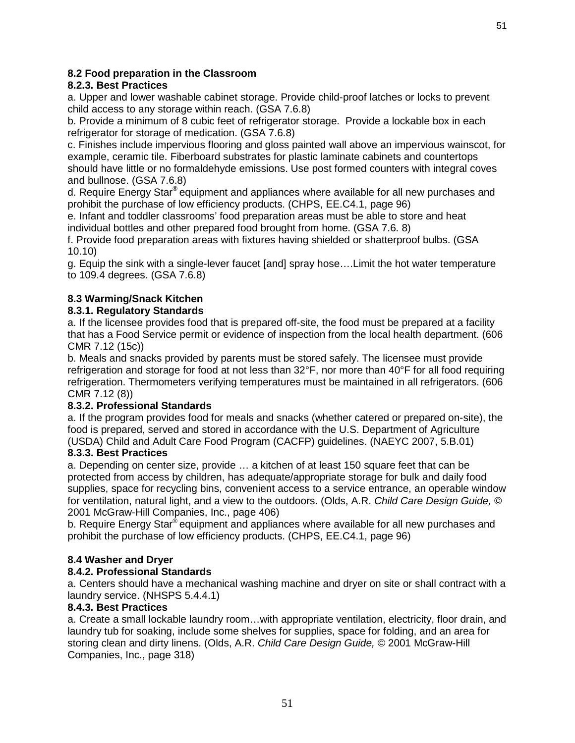### **8.2 Food preparation in the Classroom**

### **8.2.3. Best Practices**

a. Upper and lower washable cabinet storage. Provide child-proof latches or locks to prevent child access to any storage within reach. (GSA 7.6.8)

b. Provide a minimum of 8 cubic feet of refrigerator storage. Provide a lockable box in each refrigerator for storage of medication. (GSA 7.6.8)

c. Finishes include impervious flooring and gloss painted wall above an impervious wainscot, for example, ceramic tile. Fiberboard substrates for plastic laminate cabinets and countertops should have little or no formaldehyde emissions. Use post formed counters with integral coves and bullnose. (GSA 7.6.8)

d. Require Energy Star® equipment and appliances where available for all new purchases and prohibit the purchase of low efficiency products. (CHPS, EE.C4.1, page 96)

e. Infant and toddler classrooms' food preparation areas must be able to store and heat individual bottles and other prepared food brought from home. (GSA 7.6. 8)

f. Provide food preparation areas with fixtures having shielded or shatterproof bulbs. (GSA 10.10)

g. Equip the sink with a single-lever faucet [and] spray hose….Limit the hot water temperature to 109.4 degrees. (GSA 7.6.8)

# **8.3 Warming/Snack Kitchen**

## **8.3.1. Regulatory Standards**

a. If the licensee provides food that is prepared off-site, the food must be prepared at a facility that has a Food Service permit or evidence of inspection from the local health department. (606 CMR 7.12 (15c))

b. Meals and snacks provided by parents must be stored safely. The licensee must provide refrigeration and storage for food at not less than 32°F, nor more than 40°F for all food requiring refrigeration. Thermometers verifying temperatures must be maintained in all refrigerators. (606 CMR 7.12 (8))

#### **8.3.2. Professional Standards**

a. If the program provides food for meals and snacks (whether catered or prepared on-site), the food is prepared, served and stored in accordance with the U.S. Department of Agriculture (USDA) Child and Adult Care Food Program (CACFP) guidelines. (NAEYC 2007, 5.B.01)

#### **8.3.3. Best Practices**

a. Depending on center size, provide … a kitchen of at least 150 square feet that can be protected from access by children, has adequate/appropriate storage for bulk and daily food supplies, space for recycling bins, convenient access to a service entrance, an operable window for ventilation, natural light, and a view to the outdoors. (Olds, A.R. *Child Care Design Guide, ©*  2001 McGraw-Hill Companies, Inc., page 406)

b. Require Energy Star<sup>®</sup> equipment and appliances where available for all new purchases and prohibit the purchase of low efficiency products. (CHPS, EE.C4.1, page 96)

# **8.4 Washer and Dryer**

#### **8.4.2. Professional Standards**

a. Centers should have a mechanical washing machine and dryer on site or shall contract with a laundry service. (NHSPS 5.4.4.1)

#### **8.4.3. Best Practices**

a. Create a small lockable laundry room…with appropriate ventilation, electricity, floor drain, and laundry tub for soaking, include some shelves for supplies, space for folding, and an area for storing clean and dirty linens. (Olds, A.R. *Child Care Design Guide, ©* 2001 McGraw-Hill Companies, Inc., page 318)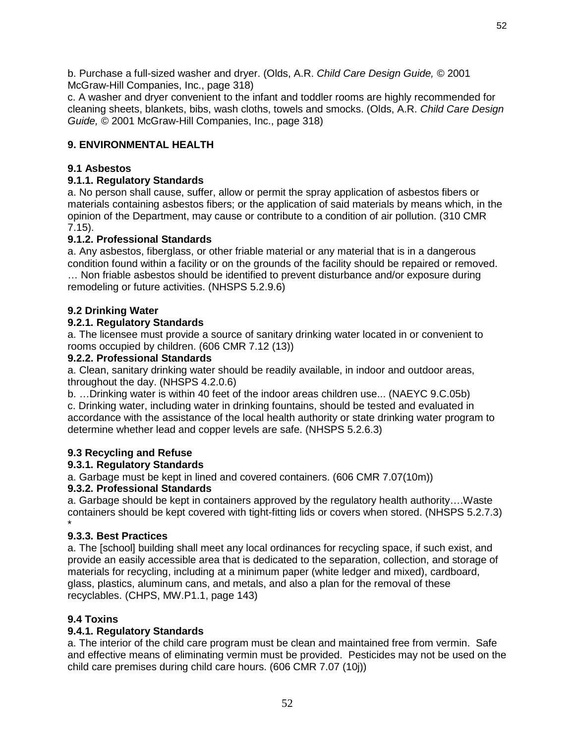c. A washer and dryer convenient to the infant and toddler rooms are highly recommended for cleaning sheets, blankets, bibs, wash cloths, towels and smocks. (Olds, A.R. *Child Care Design Guide, ©* 2001 McGraw-Hill Companies, Inc., page 318)

# **9. ENVIRONMENTAL HEALTH**

# **9.1 Asbestos**

# **9.1.1. Regulatory Standards**

a. No person shall cause, suffer, allow or permit the spray application of asbestos fibers or materials containing asbestos fibers; or the application of said materials by means which, in the opinion of the Department, may cause or contribute to a condition of air pollution. (310 CMR 7.15).

# **9.1.2. Professional Standards**

a. Any asbestos, fiberglass, or other friable material or any material that is in a dangerous condition found within a facility or on the grounds of the facility should be repaired or removed. … Non friable asbestos should be identified to prevent disturbance and/or exposure during remodeling or future activities. (NHSPS 5.2.9.6)

# **9.2 Drinking Water**

# **9.2.1. Regulatory Standards**

a. The licensee must provide a source of sanitary drinking water located in or convenient to rooms occupied by children. (606 CMR 7.12 (13))

# **9.2.2. Professional Standards**

a. Clean, sanitary drinking water should be readily available, in indoor and outdoor areas, throughout the day. (NHSPS 4.2.0.6)

b. …Drinking water is within 40 feet of the indoor areas children use... (NAEYC 9.C.05b) c. Drinking water, including water in drinking fountains, should be tested and evaluated in accordance with the assistance of the local health authority or state drinking water program to determine whether lead and copper levels are safe. (NHSPS 5.2.6.3)

# **9.3 Recycling and Refuse**

# **9.3.1. Regulatory Standards**

a. Garbage must be kept in lined and covered containers. (606 CMR 7.07(10m))

# **9.3.2. Professional Standards**

a. Garbage should be kept in containers approved by the regulatory health authority….Waste containers should be kept covered with tight-fitting lids or covers when stored. (NHSPS 5.2.7.3) \*

# **9.3.3. Best Practices**

a. The [school] building shall meet any local ordinances for recycling space, if such exist, and provide an easily accessible area that is dedicated to the separation, collection, and storage of materials for recycling, including at a minimum paper (white ledger and mixed), cardboard, glass, plastics, aluminum cans, and metals, and also a plan for the removal of these recyclables. (CHPS, MW.P1.1, page 143)

# **9.4 Toxins**

# **9.4.1. Regulatory Standards**

a. The interior of the child care program must be clean and maintained free from vermin. Safe and effective means of eliminating vermin must be provided. Pesticides may not be used on the child care premises during child care hours. (606 CMR 7.07 (10j))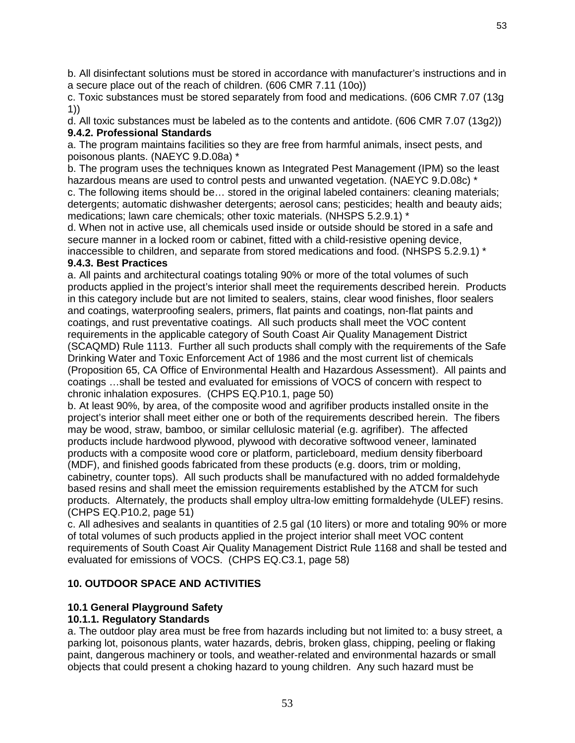b. All disinfectant solutions must be stored in accordance with manufacturer's instructions and in a secure place out of the reach of children. (606 CMR 7.11 (10o))

c. Toxic substances must be stored separately from food and medications. (606 CMR 7.07 (13g 1))

d. All toxic substances must be labeled as to the contents and antidote. (606 CMR 7.07 (13g2)) **9.4.2. Professional Standards**

a. The program maintains facilities so they are free from harmful animals, insect pests, and poisonous plants. (NAEYC 9.D.08a) \*

b. The program uses the techniques known as Integrated Pest Management (IPM) so the least hazardous means are used to control pests and unwanted vegetation. (NAEYC 9.D.08c) \*

c. The following items should be… stored in the original labeled containers: cleaning materials; detergents; automatic dishwasher detergents; aerosol cans; pesticides; health and beauty aids; medications; lawn care chemicals; other toxic materials. (NHSPS 5.2.9.1) \*

d. When not in active use, all chemicals used inside or outside should be stored in a safe and secure manner in a locked room or cabinet, fitted with a child-resistive opening device, inaccessible to children, and separate from stored medications and food. (NHSPS 5.2.9.1) \*

#### **9.4.3. Best Practices**

a. All paints and architectural coatings totaling 90% or more of the total volumes of such products applied in the project's interior shall meet the requirements described herein. Products in this category include but are not limited to sealers, stains, clear wood finishes, floor sealers and coatings, waterproofing sealers, primers, flat paints and coatings, non-flat paints and coatings, and rust preventative coatings. All such products shall meet the VOC content requirements in the applicable category of South Coast Air Quality Management District (SCAQMD) Rule 1113. Further all such products shall comply with the requirements of the Safe Drinking Water and Toxic Enforcement Act of 1986 and the most current list of chemicals (Proposition 65, CA Office of Environmental Health and Hazardous Assessment). All paints and coatings …shall be tested and evaluated for emissions of VOCS of concern with respect to chronic inhalation exposures. (CHPS EQ.P10.1, page 50)

b. At least 90%, by area, of the composite wood and agrifiber products installed onsite in the project's interior shall meet either one or both of the requirements described herein. The fibers may be wood, straw, bamboo, or similar cellulosic material (e.g. agrifiber). The affected products include hardwood plywood, plywood with decorative softwood veneer, laminated products with a composite wood core or platform, particleboard, medium density fiberboard (MDF), and finished goods fabricated from these products (e.g. doors, trim or molding, cabinetry, counter tops). All such products shall be manufactured with no added formaldehyde based resins and shall meet the emission requirements established by the ATCM for such products. Alternately, the products shall employ ultra-low emitting formaldehyde (ULEF) resins. (CHPS EQ.P10.2, page 51)

c. All adhesives and sealants in quantities of 2.5 gal (10 liters) or more and totaling 90% or more of total volumes of such products applied in the project interior shall meet VOC content requirements of South Coast Air Quality Management District Rule 1168 and shall be tested and evaluated for emissions of VOCS. (CHPS EQ.C3.1, page 58)

#### **10. OUTDOOR SPACE AND ACTIVITIES**

# **10.1 General Playground Safety**

### **10.1.1. Regulatory Standards**

a. The outdoor play area must be free from hazards including but not limited to: a busy street, a parking lot, poisonous plants, water hazards, debris, broken glass, chipping, peeling or flaking paint, dangerous machinery or tools, and weather-related and environmental hazards or small objects that could present a choking hazard to young children. Any such hazard must be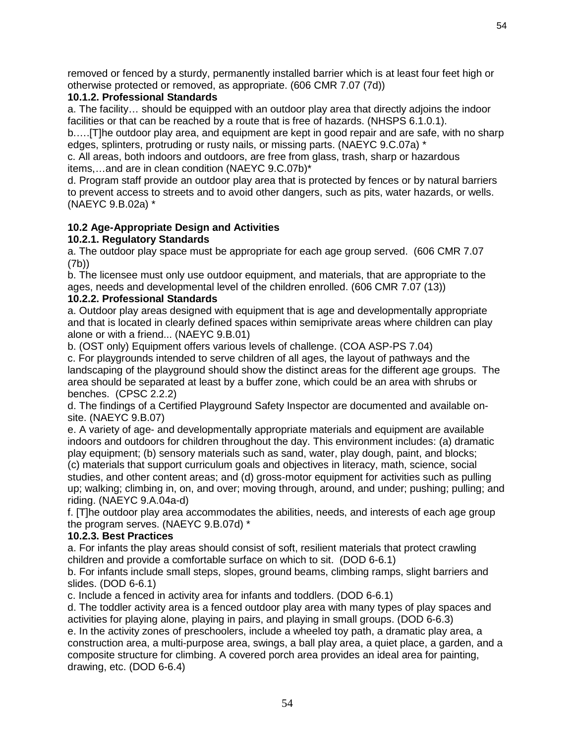removed or fenced by a sturdy, permanently installed barrier which is at least four feet high or otherwise protected or removed, as appropriate. (606 CMR 7.07 (7d))

## **10.1.2. Professional Standards**

a. The facility… should be equipped with an outdoor play area that directly adjoins the indoor facilities or that can be reached by a route that is free of hazards. (NHSPS 6.1.0.1).

b.….[T]he outdoor play area, and equipment are kept in good repair and are safe, with no sharp edges, splinters, protruding or rusty nails, or missing parts. (NAEYC 9.C.07a) \*

c. All areas, both indoors and outdoors, are free from glass, trash, sharp or hazardous items,…and are in clean condition (NAEYC 9.C.07b)\*

d. Program staff provide an outdoor play area that is protected by fences or by natural barriers to prevent access to streets and to avoid other dangers, such as pits, water hazards, or wells. (NAEYC 9.B.02a) \*

# **10.2 Age-Appropriate Design and Activities**

## **10.2.1. Regulatory Standards**

a. The outdoor play space must be appropriate for each age group served. (606 CMR 7.07 (7b))

b. The licensee must only use outdoor equipment, and materials, that are appropriate to the ages, needs and developmental level of the children enrolled. (606 CMR 7.07 (13))

## **10.2.2. Professional Standards**

a. Outdoor play areas designed with equipment that is age and developmentally appropriate and that is located in clearly defined spaces within semiprivate areas where children can play alone or with a friend... (NAEYC 9.B.01)

b. (OST only) Equipment offers various levels of challenge. (COA ASP-PS 7.04)

c. For playgrounds intended to serve children of all ages, the layout of pathways and the landscaping of the playground should show the distinct areas for the different age groups. The area should be separated at least by a buffer zone, which could be an area with shrubs or benches. (CPSC 2.2.2)

d. The findings of a Certified Playground Safety Inspector are documented and available onsite. (NAEYC 9.B.07)

e. A variety of age- and developmentally appropriate materials and equipment are available indoors and outdoors for children throughout the day. This environment includes: (a) dramatic play equipment; (b) sensory materials such as sand, water, play dough, paint, and blocks; (c) materials that support curriculum goals and objectives in literacy, math, science, social studies, and other content areas; and (d) gross-motor equipment for activities such as pulling up; walking; climbing in, on, and over; moving through, around, and under; pushing; pulling; and riding. (NAEYC 9.A.04a-d)

f. [T]he outdoor play area accommodates the abilities, needs, and interests of each age group the program serves. (NAEYC 9.B.07d) \*

#### **10.2.3. Best Practices**

a. For infants the play areas should consist of soft, resilient materials that protect crawling children and provide a comfortable surface on which to sit. (DOD 6-6.1)

b. For infants include small steps, slopes, ground beams, climbing ramps, slight barriers and slides. (DOD 6-6.1)

c. Include a fenced in activity area for infants and toddlers. (DOD 6-6.1)

d. The toddler activity area is a fenced outdoor play area with many types of play spaces and activities for playing alone, playing in pairs, and playing in small groups. (DOD 6-6.3)

e. In the activity zones of preschoolers, include a wheeled toy path, a dramatic play area, a construction area, a multi-purpose area, swings, a ball play area, a quiet place, a garden, and a composite structure for climbing. A covered porch area provides an ideal area for painting, drawing, etc. (DOD 6-6.4)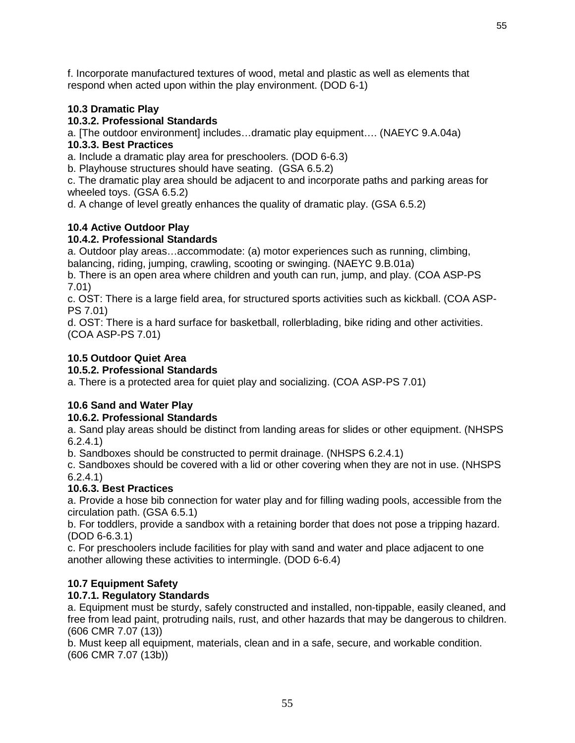f. Incorporate manufactured textures of wood, metal and plastic as well as elements that respond when acted upon within the play environment. (DOD 6-1)

# **10.3 Dramatic Play**

### **10.3.2. Professional Standards**

a. [The outdoor environment] includes…dramatic play equipment…. (NAEYC 9.A.04a)

### **10.3.3. Best Practices**

a. Include a dramatic play area for preschoolers. (DOD 6-6.3)

b. Playhouse structures should have seating. (GSA 6.5.2)

c. The dramatic play area should be adjacent to and incorporate paths and parking areas for wheeled toys. (GSA 6.5.2)

d. A change of level greatly enhances the quality of dramatic play. (GSA 6.5.2)

# **10.4 Active Outdoor Play**

## **10.4.2. Professional Standards**

a. Outdoor play areas…accommodate: (a) motor experiences such as running, climbing, balancing, riding, jumping, crawling, scooting or swinging. (NAEYC 9.B.01a)

b. There is an open area where children and youth can run, jump, and play. (COA ASP-PS 7.01)

c. OST: There is a large field area, for structured sports activities such as kickball. (COA ASP-PS 7.01)

d. OST: There is a hard surface for basketball, rollerblading, bike riding and other activities. (COA ASP-PS 7.01)

# **10.5 Outdoor Quiet Area**

#### **10.5.2. Professional Standards**

a. There is a protected area for quiet play and socializing. (COA ASP-PS 7.01)

# **10.6 Sand and Water Play**

#### **10.6.2. Professional Standards**

a. Sand play areas should be distinct from landing areas for slides or other equipment. (NHSPS 6.2.4.1)

b. Sandboxes should be constructed to permit drainage. (NHSPS 6.2.4.1)

c. Sandboxes should be covered with a lid or other covering when they are not in use. (NHSPS 6.2.4.1)

#### **10.6.3. Best Practices**

a. Provide a hose bib connection for water play and for filling wading pools, accessible from the circulation path. (GSA 6.5.1)

b. For toddlers, provide a sandbox with a retaining border that does not pose a tripping hazard. (DOD 6-6.3.1)

c. For preschoolers include facilities for play with sand and water and place adjacent to one another allowing these activities to intermingle. (DOD 6-6.4)

#### **10.7 Equipment Safety**

#### **10.7.1. Regulatory Standards**

a. Equipment must be sturdy, safely constructed and installed, non-tippable, easily cleaned, and free from lead paint, protruding nails, rust, and other hazards that may be dangerous to children. (606 CMR 7.07 (13))

b. Must keep all equipment, materials, clean and in a safe, secure, and workable condition. (606 CMR 7.07 (13b))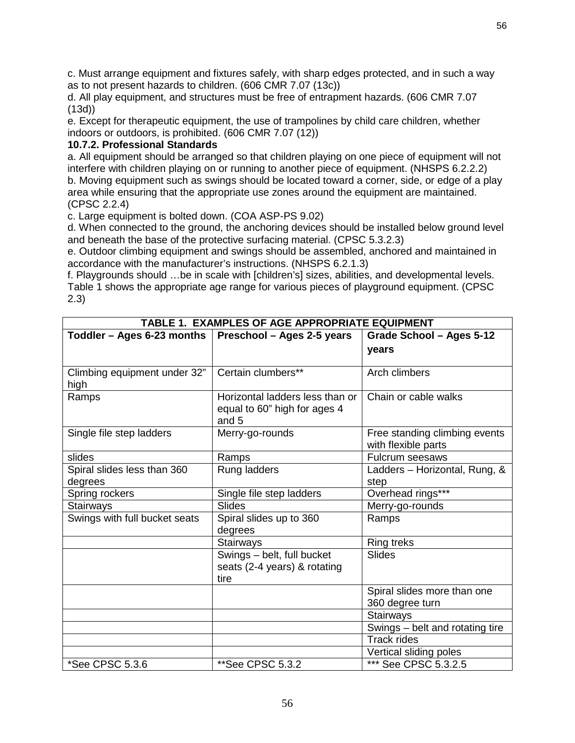c. Must arrange equipment and fixtures safely, with sharp edges protected, and in such a way as to not present hazards to children. (606 CMR 7.07 (13c))

d. All play equipment, and structures must be free of entrapment hazards. (606 CMR 7.07 (13d))

e. Except for therapeutic equipment, the use of trampolines by child care children, whether indoors or outdoors, is prohibited. (606 CMR 7.07 (12))

#### **10.7.2. Professional Standards**

a. All equipment should be arranged so that children playing on one piece of equipment will not interfere with children playing on or running to another piece of equipment. (NHSPS 6.2.2.2) b. Moving equipment such as swings should be located toward a corner, side, or edge of a play area while ensuring that the appropriate use zones around the equipment are maintained. (CPSC 2.2.4)

c. Large equipment is bolted down. (COA ASP-PS 9.02)

d. When connected to the ground, the anchoring devices should be installed below ground level and beneath the base of the protective surfacing material. (CPSC 5.3.2.3)

e. Outdoor climbing equipment and swings should be assembled, anchored and maintained in accordance with the manufacturer's instructions. (NHSPS 6.2.1.3)

f. Playgrounds should …be in scale with [children's] sizes, abilities, and developmental levels. Table 1 shows the appropriate age range for various pieces of playground equipment. (CPSC 2.3)

| TABLE 1. EXAMPLES OF AGE APPROPRIATE EQUIPMENT |                                 |                                 |  |  |  |  |  |
|------------------------------------------------|---------------------------------|---------------------------------|--|--|--|--|--|
| Toddler - Ages 6-23 months                     | Preschool - Ages 2-5 years      | Grade School - Ages 5-12        |  |  |  |  |  |
|                                                |                                 | years                           |  |  |  |  |  |
|                                                |                                 |                                 |  |  |  |  |  |
| Climbing equipment under 32"                   | Certain clumbers**              | Arch climbers                   |  |  |  |  |  |
| high                                           |                                 |                                 |  |  |  |  |  |
| Ramps                                          | Horizontal ladders less than or | Chain or cable walks            |  |  |  |  |  |
|                                                | equal to 60" high for ages 4    |                                 |  |  |  |  |  |
|                                                | and 5                           |                                 |  |  |  |  |  |
| Single file step ladders                       | Merry-go-rounds                 | Free standing climbing events   |  |  |  |  |  |
|                                                |                                 | with flexible parts             |  |  |  |  |  |
| slides                                         | Ramps                           | Fulcrum seesaws                 |  |  |  |  |  |
| Spiral slides less than 360                    | Rung ladders                    | Ladders - Horizontal, Rung, &   |  |  |  |  |  |
| degrees                                        |                                 | step                            |  |  |  |  |  |
| Spring rockers                                 | Single file step ladders        | Overhead rings***               |  |  |  |  |  |
| <b>Stairways</b>                               | <b>Slides</b>                   | Merry-go-rounds                 |  |  |  |  |  |
| Swings with full bucket seats                  | Spiral slides up to 360         | Ramps                           |  |  |  |  |  |
|                                                | degrees                         |                                 |  |  |  |  |  |
|                                                | Stairways                       | Ring treks                      |  |  |  |  |  |
|                                                | Swings - belt, full bucket      | <b>Slides</b>                   |  |  |  |  |  |
|                                                | seats (2-4 years) & rotating    |                                 |  |  |  |  |  |
|                                                | tire                            |                                 |  |  |  |  |  |
|                                                |                                 | Spiral slides more than one     |  |  |  |  |  |
|                                                |                                 | 360 degree turn                 |  |  |  |  |  |
|                                                |                                 | <b>Stairways</b>                |  |  |  |  |  |
|                                                |                                 | Swings - belt and rotating tire |  |  |  |  |  |
|                                                |                                 | <b>Track rides</b>              |  |  |  |  |  |
|                                                |                                 | Vertical sliding poles          |  |  |  |  |  |
| *See CPSC 5.3.6                                | **See CPSC 5.3.2                | *** See CPSC 5.3.2.5            |  |  |  |  |  |

**TABLE 1. EXAMPLES OF AGE APPROPRIATE EQUIPMENT**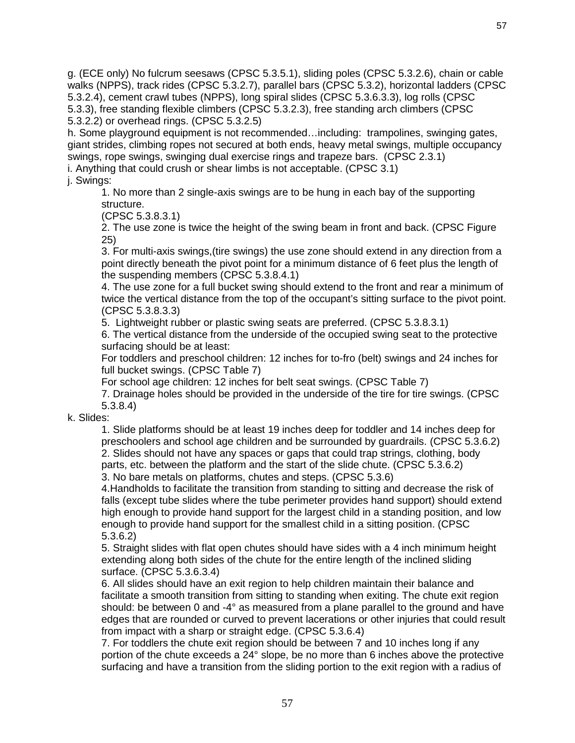g. (ECE only) No fulcrum seesaws (CPSC 5.3.5.1), sliding poles (CPSC 5.3.2.6), chain or cable walks (NPPS), track rides (CPSC 5.3.2.7), parallel bars (CPSC 5.3.2), horizontal ladders (CPSC 5.3.2.4), cement crawl tubes (NPPS), long spiral slides (CPSC 5.3.6.3.3), log rolls (CPSC 5.3.3), free standing flexible climbers (CPSC 5.3.2.3), free standing arch climbers (CPSC 5.3.2.2) or overhead rings. (CPSC 5.3.2.5)

h. Some playground equipment is not recommended…including: trampolines, swinging gates, giant strides, climbing ropes not secured at both ends, heavy metal swings, multiple occupancy swings, rope swings, swinging dual exercise rings and trapeze bars. (CPSC 2.3.1)

i. Anything that could crush or shear limbs is not acceptable. (CPSC 3.1)

j. Swings:

1. No more than 2 single-axis swings are to be hung in each bay of the supporting structure.

(CPSC 5.3.8.3.1)

2. The use zone is twice the height of the swing beam in front and back. (CPSC Figure 25)

3. For multi-axis swings,(tire swings) the use zone should extend in any direction from a point directly beneath the pivot point for a minimum distance of 6 feet plus the length of the suspending members (CPSC 5.3.8.4.1)

4. The use zone for a full bucket swing should extend to the front and rear a minimum of twice the vertical distance from the top of the occupant's sitting surface to the pivot point. (CPSC 5.3.8.3.3)

5. Lightweight rubber or plastic swing seats are preferred. (CPSC 5.3.8.3.1)

6. The vertical distance from the underside of the occupied swing seat to the protective surfacing should be at least:

For toddlers and preschool children: 12 inches for to-fro (belt) swings and 24 inches for full bucket swings. (CPSC Table 7)

For school age children: 12 inches for belt seat swings. (CPSC Table 7)

7. Drainage holes should be provided in the underside of the tire for tire swings. (CPSC 5.3.8.4)

k. Slides:

1. Slide platforms should be at least 19 inches deep for toddler and 14 inches deep for preschoolers and school age children and be surrounded by guardrails. (CPSC 5.3.6.2) 2. Slides should not have any spaces or gaps that could trap strings, clothing, body parts, etc. between the platform and the start of the slide chute. (CPSC 5.3.6.2) 3. No bare metals on platforms, chutes and steps. (CPSC 5.3.6)

4.Handholds to facilitate the transition from standing to sitting and decrease the risk of falls (except tube slides where the tube perimeter provides hand support) should extend high enough to provide hand support for the largest child in a standing position, and low enough to provide hand support for the smallest child in a sitting position. (CPSC 5.3.6.2)

5. Straight slides with flat open chutes should have sides with a 4 inch minimum height extending along both sides of the chute for the entire length of the inclined sliding surface. (CPSC 5.3.6.3.4)

6. All slides should have an exit region to help children maintain their balance and facilitate a smooth transition from sitting to standing when exiting. The chute exit region should: be between 0 and -4° as measured from a plane parallel to the ground and have edges that are rounded or curved to prevent lacerations or other injuries that could result from impact with a sharp or straight edge. (CPSC 5.3.6.4)

7. For toddlers the chute exit region should be between 7 and 10 inches long if any portion of the chute exceeds a 24° slope, be no more than 6 inches above the protective surfacing and have a transition from the sliding portion to the exit region with a radius of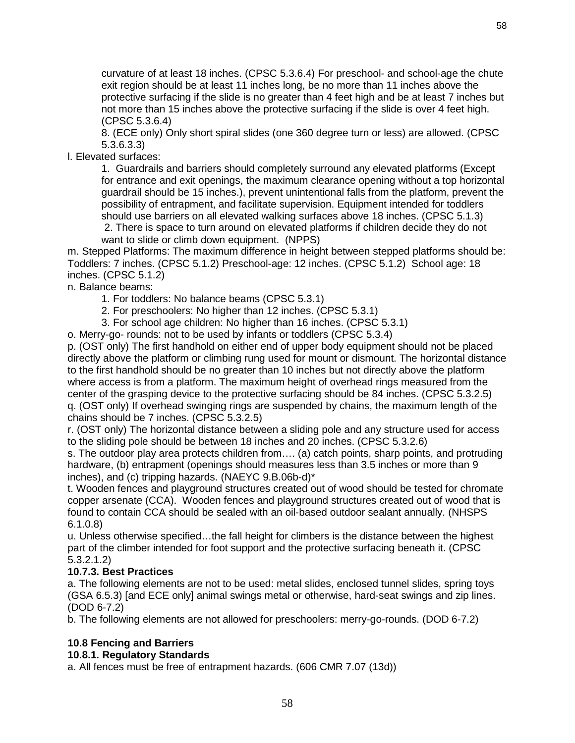curvature of at least 18 inches. (CPSC 5.3.6.4) For preschool- and school-age the chute exit region should be at least 11 inches long, be no more than 11 inches above the protective surfacing if the slide is no greater than 4 feet high and be at least 7 inches but not more than 15 inches above the protective surfacing if the slide is over 4 feet high. (CPSC 5.3.6.4)

8. (ECE only) Only short spiral slides (one 360 degree turn or less) are allowed. (CPSC 5.3.6.3.3)

l. Elevated surfaces:

1. Guardrails and barriers should completely surround any elevated platforms (Except for entrance and exit openings, the maximum clearance opening without a top horizontal guardrail should be 15 inches.), prevent unintentional falls from the platform, prevent the possibility of entrapment, and facilitate supervision. Equipment intended for toddlers should use barriers on all elevated walking surfaces above 18 inches. (CPSC 5.1.3) 2. There is space to turn around on elevated platforms if children decide they do not

want to slide or climb down equipment. (NPPS)

m. Stepped Platforms: The maximum difference in height between stepped platforms should be: Toddlers: 7 inches. (CPSC 5.1.2) Preschool-age: 12 inches. (CPSC 5.1.2) School age: 18 inches. (CPSC 5.1.2)

n. Balance beams:

- 1. For toddlers: No balance beams (CPSC 5.3.1)
- 2. For preschoolers: No higher than 12 inches. (CPSC 5.3.1)
- 3. For school age children: No higher than 16 inches. (CPSC 5.3.1)

o. Merry-go- rounds: not to be used by infants or toddlers (CPSC 5.3.4)

p. (OST only) The first handhold on either end of upper body equipment should not be placed directly above the platform or climbing rung used for mount or dismount. The horizontal distance to the first handhold should be no greater than 10 inches but not directly above the platform where access is from a platform. The maximum height of overhead rings measured from the center of the grasping device to the protective surfacing should be 84 inches. (CPSC 5.3.2.5) q. (OST only) If overhead swinging rings are suspended by chains, the maximum length of the chains should be 7 inches. (CPSC 5.3.2.5)

r. (OST only) The horizontal distance between a sliding pole and any structure used for access to the sliding pole should be between 18 inches and 20 inches. (CPSC 5.3.2.6)

s. The outdoor play area protects children from…. (a) catch points, sharp points, and protruding hardware, (b) entrapment (openings should measures less than 3.5 inches or more than 9 inches), and (c) tripping hazards. (NAEYC 9.B.06b-d)\*

t. Wooden fences and playground structures created out of wood should be tested for chromate copper arsenate (CCA). Wooden fences and playground structures created out of wood that is found to contain CCA should be sealed with an oil-based outdoor sealant annually. (NHSPS 6.1.0.8)

u. Unless otherwise specified…the fall height for climbers is the distance between the highest part of the climber intended for foot support and the protective surfacing beneath it. (CPSC 5.3.2.1.2)

#### **10.7.3. Best Practices**

a. The following elements are not to be used: metal slides, enclosed tunnel slides, spring toys (GSA 6.5.3) [and ECE only] animal swings metal or otherwise, hard-seat swings and zip lines. (DOD 6-7.2)

b. The following elements are not allowed for preschoolers: merry-go-rounds. (DOD 6-7.2)

# **10.8 Fencing and Barriers**

#### **10.8.1. Regulatory Standards**

a. All fences must be free of entrapment hazards. (606 CMR 7.07 (13d))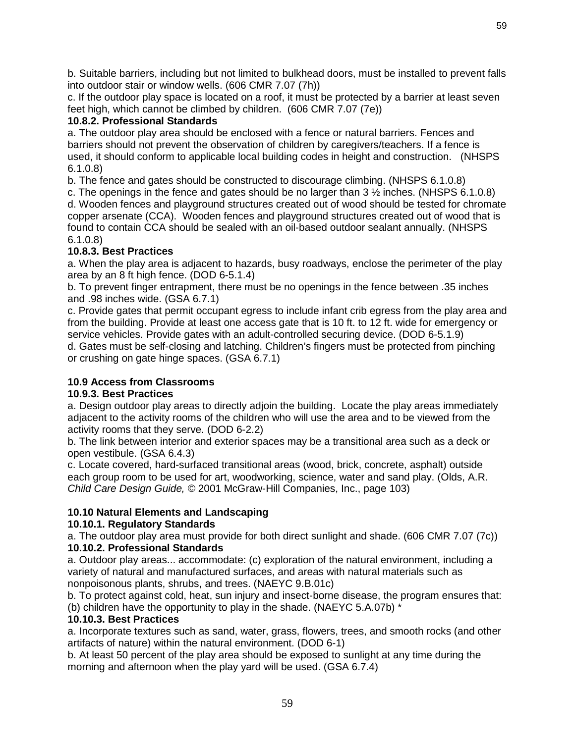b. Suitable barriers, including but not limited to bulkhead doors, must be installed to prevent falls into outdoor stair or window wells. (606 CMR 7.07 (7h))

c. If the outdoor play space is located on a roof, it must be protected by a barrier at least seven feet high, which cannot be climbed by children. (606 CMR 7.07 (7e))

## **10.8.2. Professional Standards**

a. The outdoor play area should be enclosed with a fence or natural barriers. Fences and barriers should not prevent the observation of children by caregivers/teachers. If a fence is used, it should conform to applicable local building codes in height and construction. (NHSPS 6.1.0.8)

b. The fence and gates should be constructed to discourage climbing. (NHSPS 6.1.0.8)

c. The openings in the fence and gates should be no larger than  $3\frac{1}{2}$  inches. (NHSPS 6.1.0.8) d. Wooden fences and playground structures created out of wood should be tested for chromate copper arsenate (CCA). Wooden fences and playground structures created out of wood that is found to contain CCA should be sealed with an oil-based outdoor sealant annually. (NHSPS 6.1.0.8)

# **10.8.3. Best Practices**

a. When the play area is adjacent to hazards, busy roadways, enclose the perimeter of the play area by an 8 ft high fence. (DOD 6-5.1.4)

b. To prevent finger entrapment, there must be no openings in the fence between .35 inches and .98 inches wide. (GSA 6.7.1)

c. Provide gates that permit occupant egress to include infant crib egress from the play area and from the building. Provide at least one access gate that is 10 ft. to 12 ft. wide for emergency or service vehicles. Provide gates with an adult-controlled securing device. (DOD 6-5.1.9)

d. Gates must be self-closing and latching. Children's fingers must be protected from pinching or crushing on gate hinge spaces. (GSA 6.7.1)

# **10.9 Access from Classrooms**

#### **10.9.3. Best Practices**

a. Design outdoor play areas to directly adjoin the building. Locate the play areas immediately adjacent to the activity rooms of the children who will use the area and to be viewed from the activity rooms that they serve. (DOD 6-2.2)

b. The link between interior and exterior spaces may be a transitional area such as a deck or open vestibule. (GSA 6.4.3)

c. Locate covered, hard-surfaced transitional areas (wood, brick, concrete, asphalt) outside each group room to be used for art, woodworking, science, water and sand play. (Olds, A.R. *Child Care Design Guide, ©* 2001 McGraw-Hill Companies, Inc., page 103)

#### **10.10 Natural Elements and Landscaping**

#### **10.10.1. Regulatory Standards**

a. The outdoor play area must provide for both direct sunlight and shade. (606 CMR 7.07 (7c)) **10.10.2. Professional Standards**

a. Outdoor play areas... accommodate: (c) exploration of the natural environment, including a variety of natural and manufactured surfaces, and areas with natural materials such as nonpoisonous plants, shrubs, and trees. (NAEYC 9.B.01c)

b. To protect against cold, heat, sun injury and insect-borne disease, the program ensures that: (b) children have the opportunity to play in the shade. (NAEYC 5.A.07b)  $*$ 

#### **10.10.3. Best Practices**

a. Incorporate textures such as sand, water, grass, flowers, trees, and smooth rocks (and other artifacts of nature) within the natural environment. (DOD 6-1)

b. At least 50 percent of the play area should be exposed to sunlight at any time during the morning and afternoon when the play yard will be used. (GSA 6.7.4)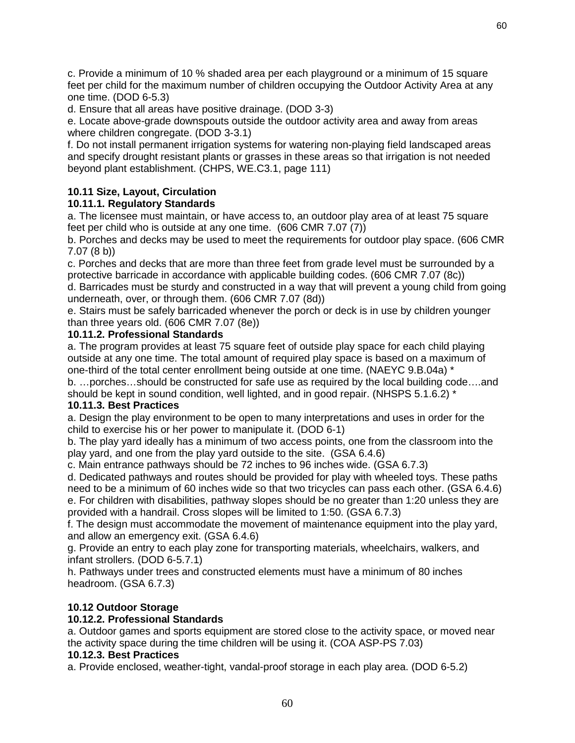c. Provide a minimum of 10 % shaded area per each playground or a minimum of 15 square feet per child for the maximum number of children occupying the Outdoor Activity Area at any one time. (DOD 6-5.3)

d. Ensure that all areas have positive drainage. (DOD 3-3)

e. Locate above-grade downspouts outside the outdoor activity area and away from areas where children congregate. (DOD 3-3.1)

f. Do not install permanent irrigation systems for watering non-playing field landscaped areas and specify drought resistant plants or grasses in these areas so that irrigation is not needed beyond plant establishment. (CHPS, WE.C3.1, page 111)

# **10.11 Size, Layout, Circulation**

# **10.11.1. Regulatory Standards**

a. The licensee must maintain, or have access to, an outdoor play area of at least 75 square feet per child who is outside at any one time. (606 CMR 7.07 (7))

b. Porches and decks may be used to meet the requirements for outdoor play space. (606 CMR 7.07 (8 b))

c. Porches and decks that are more than three feet from grade level must be surrounded by a protective barricade in accordance with applicable building codes. (606 CMR 7.07 (8c))

d. Barricades must be sturdy and constructed in a way that will prevent a young child from going underneath, over, or through them. (606 CMR 7.07 (8d))

e. Stairs must be safely barricaded whenever the porch or deck is in use by children younger than three years old. (606 CMR 7.07 (8e))

#### **10.11.2. Professional Standards**

a. The program provides at least 75 square feet of outside play space for each child playing outside at any one time. The total amount of required play space is based on a maximum of one-third of the total center enrollment being outside at one time. (NAEYC 9.B.04a) \*

b. …porches…should be constructed for safe use as required by the local building code….and should be kept in sound condition, well lighted, and in good repair. (NHSPS 5.1.6.2) \*

## **10.11.3. Best Practices**

a. Design the play environment to be open to many interpretations and uses in order for the child to exercise his or her power to manipulate it. (DOD 6-1)

b. The play yard ideally has a minimum of two access points, one from the classroom into the play yard, and one from the play yard outside to the site. (GSA 6.4.6)

c. Main entrance pathways should be 72 inches to 96 inches wide. (GSA 6.7.3)

d. Dedicated pathways and routes should be provided for play with wheeled toys. These paths need to be a minimum of 60 inches wide so that two tricycles can pass each other. (GSA 6.4.6) e. For children with disabilities, pathway slopes should be no greater than 1:20 unless they are

provided with a handrail. Cross slopes will be limited to 1:50. (GSA 6.7.3)

f. The design must accommodate the movement of maintenance equipment into the play yard, and allow an emergency exit. (GSA 6.4.6)

g. Provide an entry to each play zone for transporting materials, wheelchairs, walkers, and infant strollers. (DOD 6-5.7.1)

h. Pathways under trees and constructed elements must have a minimum of 80 inches headroom. (GSA 6.7.3)

# **10.12 Outdoor Storage**

# **10.12.2. Professional Standards**

a. Outdoor games and sports equipment are stored close to the activity space, or moved near the activity space during the time children will be using it. (COA ASP-PS 7.03)

#### **10.12.3. Best Practices**

a. Provide enclosed, weather-tight, vandal-proof storage in each play area. (DOD 6-5.2)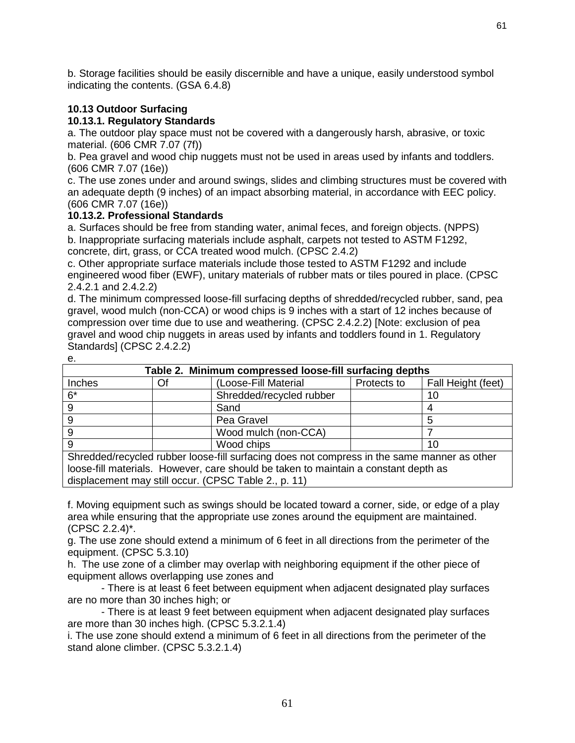b. Storage facilities should be easily discernible and have a unique, easily understood symbol indicating the contents. (GSA 6.4.8)

# **10.13 Outdoor Surfacing**

## **10.13.1. Regulatory Standards**

a. The outdoor play space must not be covered with a dangerously harsh, abrasive, or toxic material. (606 CMR 7.07 (7f))

b. Pea gravel and wood chip nuggets must not be used in areas used by infants and toddlers. (606 CMR 7.07 (16e))

c. The use zones under and around swings, slides and climbing structures must be covered with an adequate depth (9 inches) of an impact absorbing material, in accordance with EEC policy. (606 CMR 7.07 (16e))

## **10.13.2. Professional Standards**

a. Surfaces should be free from standing water, animal feces, and foreign objects. (NPPS) b. Inappropriate surfacing materials include asphalt, carpets not tested to ASTM F1292, concrete, dirt, grass, or CCA treated wood mulch. (CPSC 2.4.2)

c. Other appropriate surface materials include those tested to ASTM F1292 and include engineered wood fiber (EWF), unitary materials of rubber mats or tiles poured in place. (CPSC 2.4.2.1 and 2.4.2.2)

d. The minimum compressed loose-fill surfacing depths of shredded/recycled rubber, sand, pea gravel, wood mulch (non-CCA) or wood chips is 9 inches with a start of 12 inches because of compression over time due to use and weathering. (CPSC 2.4.2.2) [Note: exclusion of pea gravel and wood chip nuggets in areas used by infants and toddlers found in 1. Regulatory Standards] (CPSC 2.4.2.2)

| ۰.<br>w<br>v |  |
|--------------|--|

| Table 2. Minimum compressed loose-fill surfacing depths                                     |    |                          |             |                    |  |
|---------------------------------------------------------------------------------------------|----|--------------------------|-------------|--------------------|--|
| Inches                                                                                      | Of | (Loose-Fill Material     | Protects to | Fall Height (feet) |  |
| $6*$                                                                                        |    | Shredded/recycled rubber |             | 10                 |  |
|                                                                                             |    | Sand                     |             |                    |  |
|                                                                                             |    | Pea Gravel               |             |                    |  |
|                                                                                             |    | Wood mulch (non-CCA)     |             |                    |  |
|                                                                                             |    | Wood chips               |             |                    |  |
| Shredded/recycled rubber loose-fill surfacing does not compress in the same manner as other |    |                          |             |                    |  |

dded/recycled rubber loose-fill surfacing does not compress in the same manner as other loose-fill materials. However, care should be taken to maintain a constant depth as displacement may still occur. (CPSC Table 2., p. 11)

f. Moving equipment such as swings should be located toward a corner, side, or edge of a play area while ensuring that the appropriate use zones around the equipment are maintained. (CPSC 2.2.4)\*.

g. The use zone should extend a minimum of 6 feet in all directions from the perimeter of the equipment. (CPSC 5.3.10)

h. The use zone of a climber may overlap with neighboring equipment if the other piece of equipment allows overlapping use zones and

- There is at least 6 feet between equipment when adjacent designated play surfaces are no more than 30 inches high; or

- There is at least 9 feet between equipment when adjacent designated play surfaces are more than 30 inches high. (CPSC 5.3.2.1.4)

i. The use zone should extend a minimum of 6 feet in all directions from the perimeter of the stand alone climber. (CPSC 5.3.2.1.4)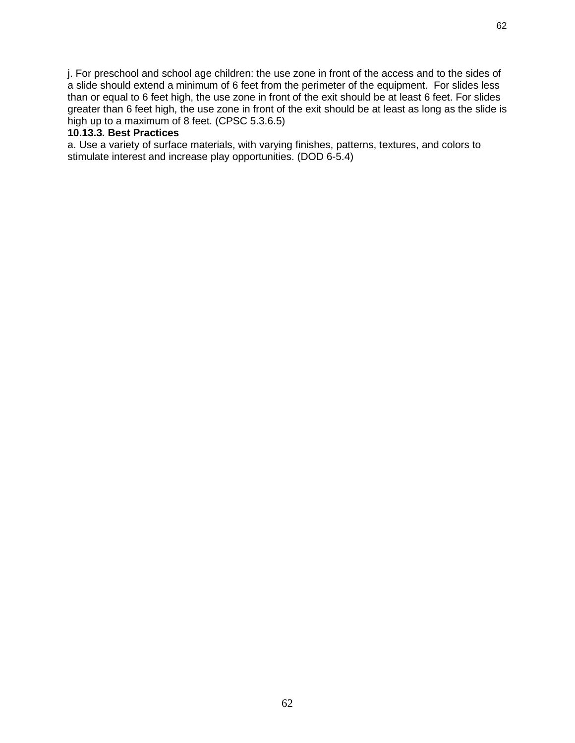j. For preschool and school age children: the use zone in front of the access and to the sides of a slide should extend a minimum of 6 feet from the perimeter of the equipment. For slides less than or equal to 6 feet high, the use zone in front of the exit should be at least 6 feet. For slides greater than 6 feet high, the use zone in front of the exit should be at least as long as the slide is high up to a maximum of 8 feet. (CPSC 5.3.6.5)

#### **10.13.3. Best Practices**

a. Use a variety of surface materials, with varying finishes, patterns, textures, and colors to stimulate interest and increase play opportunities. (DOD 6-5.4)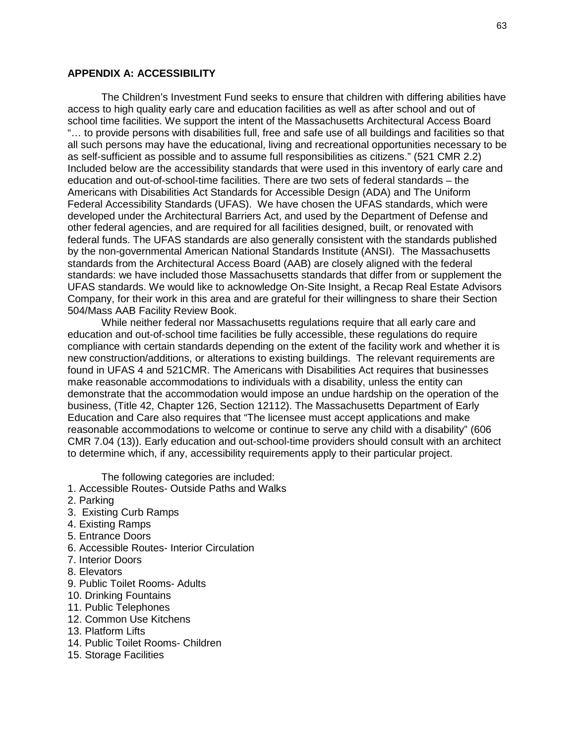#### **APPENDIX A: ACCESSIBILITY**

The Children's Investment Fund seeks to ensure that children with differing abilities have access to high quality early care and education facilities as well as after school and out of school time facilities. We support the intent of the Massachusetts Architectural Access Board "… to provide persons with disabilities full, free and safe use of all buildings and facilities so that all such persons may have the educational, living and recreational opportunities necessary to be as self-sufficient as possible and to assume full responsibilities as citizens." (521 CMR 2.2) Included below are the accessibility standards that were used in this inventory of early care and education and out-of-school-time facilities. There are two sets of federal standards – the Americans with Disabilities Act Standards for Accessible Design (ADA) and The Uniform Federal Accessibility Standards (UFAS). We have chosen the UFAS standards, which were developed under the Architectural Barriers Act, and used by the Department of Defense and other federal agencies, and are required for all facilities designed, built, or renovated with federal funds. The UFAS standards are also generally consistent with the standards published by the non-governmental American National Standards Institute (ANSI). The Massachusetts standards from the Architectural Access Board (AAB) are closely aligned with the federal standards: we have included those Massachusetts standards that differ from or supplement the UFAS standards. We would like to acknowledge On-Site Insight, a Recap Real Estate Advisors Company, for their work in this area and are grateful for their willingness to share their Section 504/Mass AAB Facility Review Book.

While neither federal nor Massachusetts regulations require that all early care and education and out-of-school time facilities be fully accessible, these regulations do require compliance with certain standards depending on the extent of the facility work and whether it is new construction/additions, or alterations to existing buildings. The relevant requirements are found in UFAS 4 and 521CMR. The Americans with Disabilities Act requires that businesses make reasonable accommodations to individuals with a disability, unless the entity can demonstrate that the accommodation would impose an undue hardship on the operation of the business, (Title 42, Chapter 126, Section 12112). The Massachusetts Department of Early Education and Care also requires that "The licensee must accept applications and make reasonable accommodations to welcome or continue to serve any child with a disability" (606 CMR 7.04 (13)). Early education and out-school-time providers should consult with an architect to determine which, if any, accessibility requirements apply to their particular project.

The following categories are included:

- 1. Accessible Routes- Outside Paths and Walks
- 2. Parking
- 3. Existing Curb Ramps
- 4. Existing Ramps
- 5. Entrance Doors
- 6. Accessible Routes- Interior Circulation
- 7. Interior Doors
- 8. Elevators
- 9. Public Toilet Rooms- Adults
- 10. Drinking Fountains
- 11. Public Telephones
- 12. Common Use Kitchens
- 13. Platform Lifts
- 14. Public Toilet Rooms- Children
- 15. Storage Facilities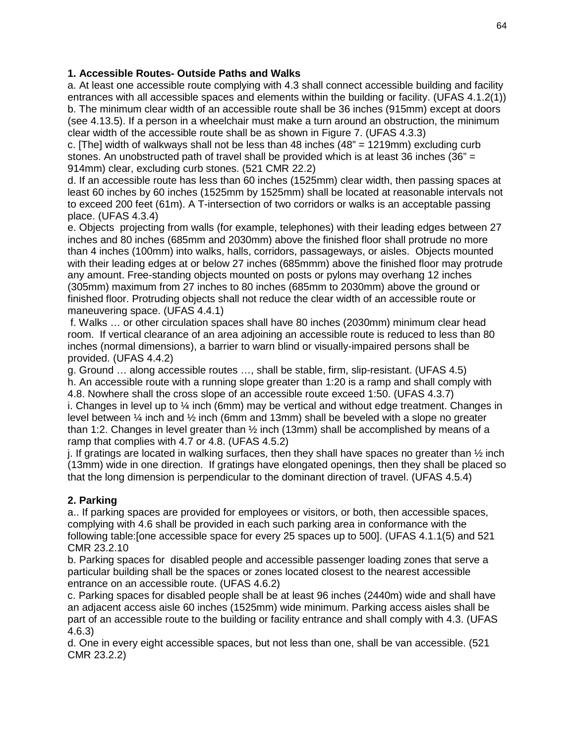## **1. Accessible Routes- Outside Paths and Walks**

a. At least one accessible route complying with 4.3 shall connect accessible building and facility entrances with all accessible spaces and elements within the building or facility. (UFAS 4.1.2(1)) b. The minimum clear width of an accessible route shall be 36 inches (915mm) except at doors (see 4.13.5). If a person in a wheelchair must make a turn around an obstruction, the minimum clear width of the accessible route shall be as shown in Figure 7. (UFAS 4.3.3)

c. [The] width of walkways shall not be less than 48 inches (48" = 1219mm) excluding curb stones. An unobstructed path of travel shall be provided which is at least 36 inches (36" = 914mm) clear, excluding curb stones. (521 CMR 22.2)

d. If an accessible route has less than 60 inches (1525mm) clear width, then passing spaces at least 60 inches by 60 inches (1525mm by 1525mm) shall be located at reasonable intervals not to exceed 200 feet (61m). A T-intersection of two corridors or walks is an acceptable passing place. (UFAS 4.3.4)

e. Objects projecting from walls (for example, telephones) with their leading edges between 27 inches and 80 inches (685mm and 2030mm) above the finished floor shall protrude no more than 4 inches (100mm) into walks, halls, corridors, passageways, or aisles. Objects mounted with their leading edges at or below 27 inches (685mmm) above the finished floor may protrude any amount. Free-standing objects mounted on posts or pylons may overhang 12 inches (305mm) maximum from 27 inches to 80 inches (685mm to 2030mm) above the ground or finished floor. Protruding objects shall not reduce the clear width of an accessible route or maneuvering space. (UFAS 4.4.1)

f. Walks … or other circulation spaces shall have 80 inches (2030mm) minimum clear head room. If vertical clearance of an area adjoining an accessible route is reduced to less than 80 inches (normal dimensions), a barrier to warn blind or visually-impaired persons shall be provided. (UFAS 4.4.2)

g. Ground … along accessible routes …, shall be stable, firm, slip-resistant. (UFAS 4.5) h. An accessible route with a running slope greater than 1:20 is a ramp and shall comply with 4.8. Nowhere shall the cross slope of an accessible route exceed 1:50. (UFAS 4.3.7)

i. Changes in level up to  $\frac{1}{4}$  inch (6mm) may be vertical and without edge treatment. Changes in level between ¼ inch and ½ inch (6mm and 13mm) shall be beveled with a slope no greater than 1:2. Changes in level greater than ½ inch (13mm) shall be accomplished by means of a ramp that complies with 4.7 or 4.8. (UFAS 4.5.2)

j. If gratings are located in walking surfaces, then they shall have spaces no greater than  $\frac{1}{2}$  inch (13mm) wide in one direction. If gratings have elongated openings, then they shall be placed so that the long dimension is perpendicular to the dominant direction of travel. (UFAS 4.5.4)

# **2. Parking**

a.. If parking spaces are provided for employees or visitors, or both, then accessible spaces, complying with 4.6 shall be provided in each such parking area in conformance with the following table:[one accessible space for every 25 spaces up to 500]. (UFAS 4.1.1(5) and 521 CMR 23.2.10

b. Parking spaces for disabled people and accessible passenger loading zones that serve a particular building shall be the spaces or zones located closest to the nearest accessible entrance on an accessible route. (UFAS 4.6.2)

c. Parking spaces for disabled people shall be at least 96 inches (2440m) wide and shall have an adjacent access aisle 60 inches (1525mm) wide minimum. Parking access aisles shall be part of an accessible route to the building or facility entrance and shall comply with 4.3. (UFAS 4.6.3)

d. One in every eight accessible spaces, but not less than one, shall be van accessible. (521 CMR 23.2.2)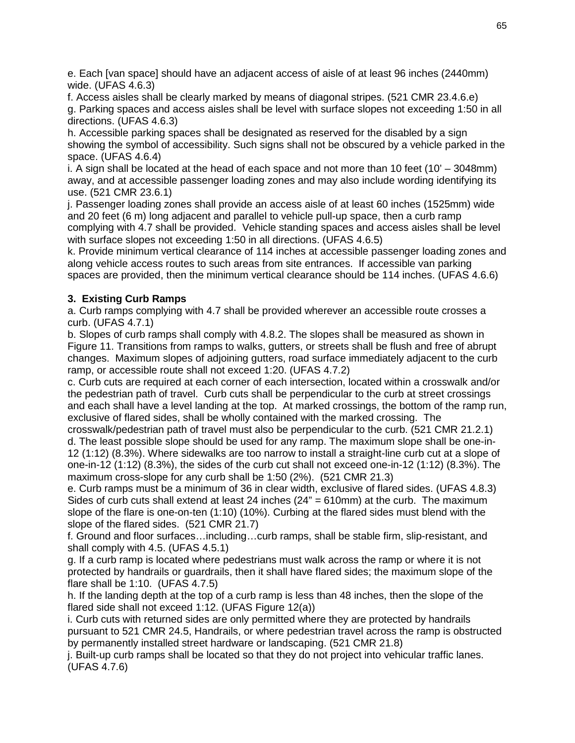e. Each [van space] should have an adjacent access of aisle of at least 96 inches (2440mm) wide. (UFAS 4.6.3)

f. Access aisles shall be clearly marked by means of diagonal stripes. (521 CMR 23.4.6.e) g. Parking spaces and access aisles shall be level with surface slopes not exceeding 1:50 in all directions. (UFAS 4.6.3)

h. Accessible parking spaces shall be designated as reserved for the disabled by a sign showing the symbol of accessibility. Such signs shall not be obscured by a vehicle parked in the space. (UFAS 4.6.4)

i. A sign shall be located at the head of each space and not more than 10 feet (10' – 3048mm) away, and at accessible passenger loading zones and may also include wording identifying its use. (521 CMR 23.6.1)

j. Passenger loading zones shall provide an access aisle of at least 60 inches (1525mm) wide and 20 feet (6 m) long adjacent and parallel to vehicle pull-up space, then a curb ramp complying with 4.7 shall be provided. Vehicle standing spaces and access aisles shall be level with surface slopes not exceeding 1:50 in all directions. (UFAS 4.6.5)

k. Provide minimum vertical clearance of 114 inches at accessible passenger loading zones and along vehicle access routes to such areas from site entrances. If accessible van parking spaces are provided, then the minimum vertical clearance should be 114 inches. (UFAS 4.6.6)

#### **3. Existing Curb Ramps**

a. Curb ramps complying with 4.7 shall be provided wherever an accessible route crosses a curb. (UFAS 4.7.1)

b. Slopes of curb ramps shall comply with 4.8.2. The slopes shall be measured as shown in Figure 11. Transitions from ramps to walks, gutters, or streets shall be flush and free of abrupt changes. Maximum slopes of adjoining gutters, road surface immediately adjacent to the curb ramp, or accessible route shall not exceed 1:20. (UFAS 4.7.2)

c. Curb cuts are required at each corner of each intersection, located within a crosswalk and/or the pedestrian path of travel. Curb cuts shall be perpendicular to the curb at street crossings and each shall have a level landing at the top. At marked crossings, the bottom of the ramp run, exclusive of flared sides, shall be wholly contained with the marked crossing. The

crosswalk/pedestrian path of travel must also be perpendicular to the curb. (521 CMR 21.2.1) d. The least possible slope should be used for any ramp. The maximum slope shall be one-in-12 (1:12) (8.3%). Where sidewalks are too narrow to install a straight-line curb cut at a slope of one-in-12 (1:12) (8.3%), the sides of the curb cut shall not exceed one-in-12 (1:12) (8.3%). The maximum cross-slope for any curb shall be 1:50 (2%). (521 CMR 21.3)

e. Curb ramps must be a minimum of 36 in clear width, exclusive of flared sides. (UFAS 4.8.3) Sides of curb cuts shall extend at least 24 inches (24" = 610mm) at the curb. The maximum slope of the flare is one-on-ten (1:10) (10%). Curbing at the flared sides must blend with the slope of the flared sides. (521 CMR 21.7)

f. Ground and floor surfaces…including…curb ramps, shall be stable firm, slip-resistant, and shall comply with 4.5. (UFAS 4.5.1)

g. If a curb ramp is located where pedestrians must walk across the ramp or where it is not protected by handrails or guardrails, then it shall have flared sides; the maximum slope of the flare shall be 1:10. (UFAS 4.7.5)

h. If the landing depth at the top of a curb ramp is less than 48 inches, then the slope of the flared side shall not exceed 1:12. (UFAS Figure 12(a))

i. Curb cuts with returned sides are only permitted where they are protected by handrails pursuant to 521 CMR 24.5, Handrails, or where pedestrian travel across the ramp is obstructed by permanently installed street hardware or landscaping. (521 CMR 21.8)

j. Built-up curb ramps shall be located so that they do not project into vehicular traffic lanes. (UFAS 4.7.6)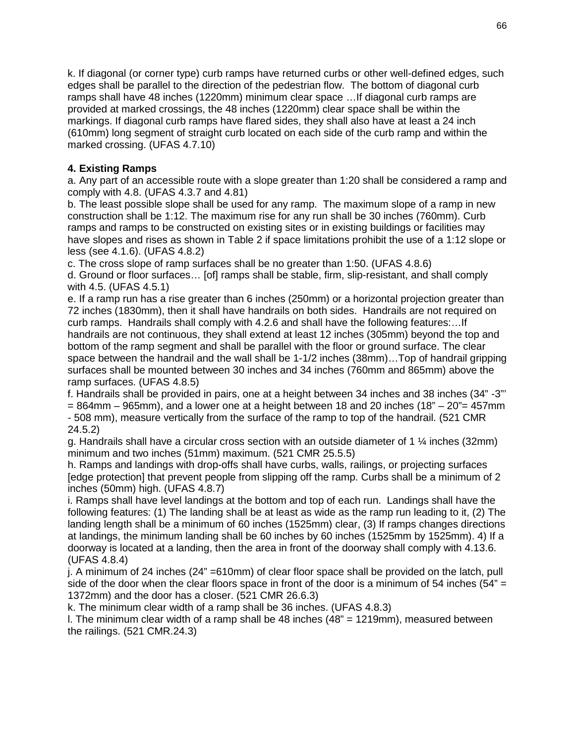k. If diagonal (or corner type) curb ramps have returned curbs or other well-defined edges, such edges shall be parallel to the direction of the pedestrian flow. The bottom of diagonal curb ramps shall have 48 inches (1220mm) minimum clear space …If diagonal curb ramps are provided at marked crossings, the 48 inches (1220mm) clear space shall be within the markings. If diagonal curb ramps have flared sides, they shall also have at least a 24 inch (610mm) long segment of straight curb located on each side of the curb ramp and within the marked crossing. (UFAS 4.7.10)

## **4. Existing Ramps**

a. Any part of an accessible route with a slope greater than 1:20 shall be considered a ramp and comply with 4.8. (UFAS 4.3.7 and 4.81)

b. The least possible slope shall be used for any ramp. The maximum slope of a ramp in new construction shall be 1:12. The maximum rise for any run shall be 30 inches (760mm). Curb ramps and ramps to be constructed on existing sites or in existing buildings or facilities may have slopes and rises as shown in Table 2 if space limitations prohibit the use of a 1:12 slope or less (see 4.1.6). (UFAS 4.8.2)

c. The cross slope of ramp surfaces shall be no greater than 1:50. (UFAS 4.8.6)

d. Ground or floor surfaces… [of] ramps shall be stable, firm, slip-resistant, and shall comply with 4.5. (UFAS 4.5.1)

e. If a ramp run has a rise greater than 6 inches (250mm) or a horizontal projection greater than 72 inches (1830mm), then it shall have handrails on both sides. Handrails are not required on curb ramps. Handrails shall comply with 4.2.6 and shall have the following features:…If handrails are not continuous, they shall extend at least 12 inches (305mm) beyond the top and bottom of the ramp segment and shall be parallel with the floor or ground surface. The clear space between the handrail and the wall shall be 1-1/2 inches (38mm)…Top of handrail gripping surfaces shall be mounted between 30 inches and 34 inches (760mm and 865mm) above the ramp surfaces. (UFAS 4.8.5)

f. Handrails shall be provided in pairs, one at a height between 34 inches and 38 inches (34" -3"'  $= 864$ mm – 965mm), and a lower one at a height between 18 and 20 inches (18" – 20"= 457mm - 508 mm), measure vertically from the surface of the ramp to top of the handrail. (521 CMR 24.5.2)

g. Handrails shall have a circular cross section with an outside diameter of 1  $\frac{1}{4}$  inches (32mm) minimum and two inches (51mm) maximum. (521 CMR 25.5.5)

h. Ramps and landings with drop-offs shall have curbs, walls, railings, or projecting surfaces [edge protection] that prevent people from slipping off the ramp. Curbs shall be a minimum of 2 inches (50mm) high. (UFAS 4.8.7)

i. Ramps shall have level landings at the bottom and top of each run. Landings shall have the following features: (1) The landing shall be at least as wide as the ramp run leading to it, (2) The landing length shall be a minimum of 60 inches (1525mm) clear, (3) If ramps changes directions at landings, the minimum landing shall be 60 inches by 60 inches (1525mm by 1525mm). 4) If a doorway is located at a landing, then the area in front of the doorway shall comply with 4.13.6. (UFAS 4.8.4)

j. A minimum of 24 inches (24" =610mm) of clear floor space shall be provided on the latch, pull side of the door when the clear floors space in front of the door is a minimum of 54 inches ( $54$ " = 1372mm) and the door has a closer. (521 CMR 26.6.3)

k. The minimum clear width of a ramp shall be 36 inches. (UFAS 4.8.3)

l. The minimum clear width of a ramp shall be 48 inches (48" = 1219mm), measured between the railings. (521 CMR.24.3)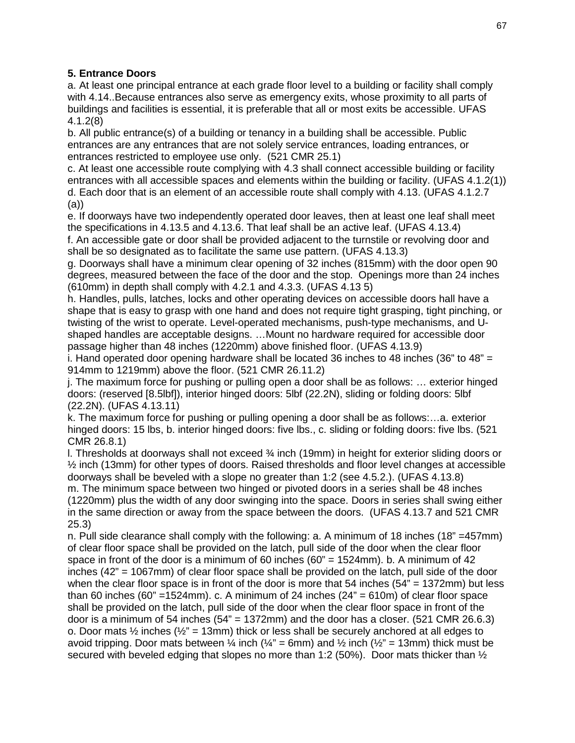## **5. Entrance Doors**

a. At least one principal entrance at each grade floor level to a building or facility shall comply with 4.14..Because entrances also serve as emergency exits, whose proximity to all parts of buildings and facilities is essential, it is preferable that all or most exits be accessible. UFAS 4.1.2(8)

b. All public entrance(s) of a building or tenancy in a building shall be accessible. Public entrances are any entrances that are not solely service entrances, loading entrances, or entrances restricted to employee use only. (521 CMR 25.1)

c. At least one accessible route complying with 4.3 shall connect accessible building or facility entrances with all accessible spaces and elements within the building or facility. (UFAS 4.1.2(1)) d. Each door that is an element of an accessible route shall comply with 4.13. (UFAS 4.1.2.7 (a))

e. If doorways have two independently operated door leaves, then at least one leaf shall meet the specifications in 4.13.5 and 4.13.6. That leaf shall be an active leaf. (UFAS 4.13.4) f. An accessible gate or door shall be provided adjacent to the turnstile or revolving door and

shall be so designated as to facilitate the same use pattern. (UFAS 4.13.3)

g. Doorways shall have a minimum clear opening of 32 inches (815mm) with the door open 90 degrees, measured between the face of the door and the stop. Openings more than 24 inches (610mm) in depth shall comply with 4.2.1 and 4.3.3. (UFAS 4.13 5)

h. Handles, pulls, latches, locks and other operating devices on accessible doors hall have a shape that is easy to grasp with one hand and does not require tight grasping, tight pinching, or twisting of the wrist to operate. Level-operated mechanisms, push-type mechanisms, and Ushaped handles are acceptable designs. …Mount no hardware required for accessible door passage higher than 48 inches (1220mm) above finished floor. (UFAS 4.13.9)

i. Hand operated door opening hardware shall be located 36 inches to 48 inches (36" to 48"  $=$ 914mm to 1219mm) above the floor. (521 CMR 26.11.2)

j. The maximum force for pushing or pulling open a door shall be as follows: … exterior hinged doors: (reserved [8.5lbf]), interior hinged doors: 5lbf (22.2N), sliding or folding doors: 5lbf (22.2N). (UFAS 4.13.11)

k. The maximum force for pushing or pulling opening a door shall be as follows:…a. exterior hinged doors: 15 lbs, b. interior hinged doors: five lbs., c. sliding or folding doors: five lbs. (521 CMR 26.8.1)

I. Thresholds at doorways shall not exceed  $\frac{3}{4}$  inch (19mm) in height for exterior sliding doors or  $\frac{1}{2}$  inch (13mm) for other types of doors. Raised thresholds and floor level changes at accessible doorways shall be beveled with a slope no greater than 1:2 (see 4.5.2.). (UFAS 4.13.8) m. The minimum space between two hinged or pivoted doors in a series shall be 48 inches (1220mm) plus the width of any door swinging into the space. Doors in series shall swing either in the same direction or away from the space between the doors. (UFAS 4.13.7 and 521 CMR

25.3) n. Pull side clearance shall comply with the following: a. A minimum of 18 inches (18" =457mm) of clear floor space shall be provided on the latch, pull side of the door when the clear floor space in front of the door is a minimum of 60 inches  $(60^\circ = 1524 \text{mm})$ . b. A minimum of 42 inches (42" = 1067mm) of clear floor space shall be provided on the latch, pull side of the door when the clear floor space is in front of the door is more that 54 inches  $(54<sup>n</sup> = 1372$ mm) but less than 60 inches (60" = 1524mm). c. A minimum of 24 inches (24" = 610m) of clear floor space shall be provided on the latch, pull side of the door when the clear floor space in front of the door is a minimum of 54 inches  $(54<sup>n</sup> = 1372mm)$  and the door has a closer.  $(521 \text{ CMR } 26.6.3)$ o. Door mats  $\frac{1}{2}$  inches ( $\frac{1}{2}$ " = 13mm) thick or less shall be securely anchored at all edges to avoid tripping. Door mats between  $\frac{1}{4}$  inch ( $\frac{1}{4}$ " = 6mm) and  $\frac{1}{2}$  inch ( $\frac{1}{2}$ " = 13mm) thick must be secured with beveled edging that slopes no more than 1:2 (50%). Door mats thicker than  $\frac{1}{2}$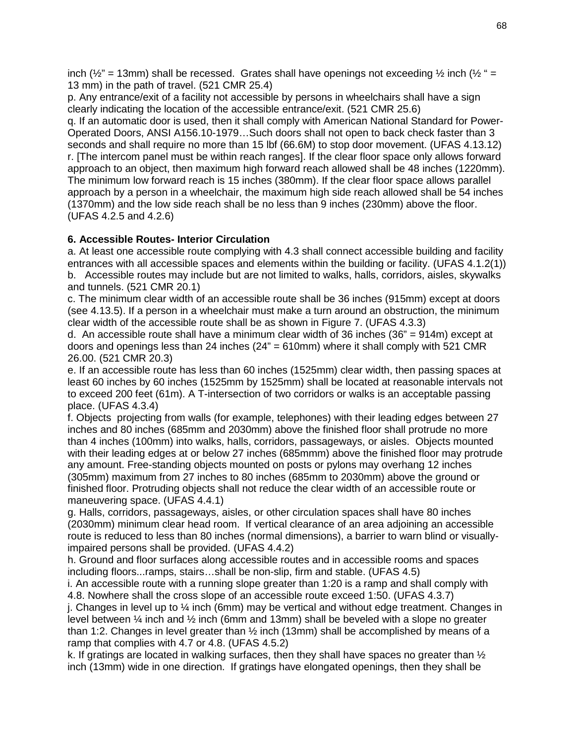inch ( $\frac{1}{2}$ " = 13mm) shall be recessed. Grates shall have openings not exceeding  $\frac{1}{2}$  inch ( $\frac{1}{2}$ " = 13 mm) in the path of travel. (521 CMR 25.4)

p. Any entrance/exit of a facility not accessible by persons in wheelchairs shall have a sign clearly indicating the location of the accessible entrance/exit. (521 CMR 25.6) q. If an automatic door is used, then it shall comply with American National Standard for Power-Operated Doors, ANSI A156.10-1979…Such doors shall not open to back check faster than 3 seconds and shall require no more than 15 lbf (66.6M) to stop door movement. (UFAS 4.13.12) r. [The intercom panel must be within reach ranges]. If the clear floor space only allows forward approach to an object, then maximum high forward reach allowed shall be 48 inches (1220mm). The minimum low forward reach is 15 inches (380mm). If the clear floor space allows parallel approach by a person in a wheelchair, the maximum high side reach allowed shall be 54 inches (1370mm) and the low side reach shall be no less than 9 inches (230mm) above the floor. (UFAS 4.2.5 and 4.2.6)

#### **6. Accessible Routes- Interior Circulation**

a. At least one accessible route complying with 4.3 shall connect accessible building and facility entrances with all accessible spaces and elements within the building or facility. (UFAS 4.1.2(1)) b. Accessible routes may include but are not limited to walks, halls, corridors, aisles, skywalks and tunnels. (521 CMR 20.1)

c. The minimum clear width of an accessible route shall be 36 inches (915mm) except at doors (see 4.13.5). If a person in a wheelchair must make a turn around an obstruction, the minimum clear width of the accessible route shall be as shown in Figure 7. (UFAS 4.3.3)

d. An accessible route shall have a minimum clear width of 36 inches (36" = 914m) except at doors and openings less than 24 inches  $(24<sup>n</sup> = 610$ mm) where it shall comply with 521 CMR 26.00. (521 CMR 20.3)

e. If an accessible route has less than 60 inches (1525mm) clear width, then passing spaces at least 60 inches by 60 inches (1525mm by 1525mm) shall be located at reasonable intervals not to exceed 200 feet (61m). A T-intersection of two corridors or walks is an acceptable passing place. (UFAS 4.3.4)

f. Objects projecting from walls (for example, telephones) with their leading edges between 27 inches and 80 inches (685mm and 2030mm) above the finished floor shall protrude no more than 4 inches (100mm) into walks, halls, corridors, passageways, or aisles. Objects mounted with their leading edges at or below 27 inches (685mmm) above the finished floor may protrude any amount. Free-standing objects mounted on posts or pylons may overhang 12 inches (305mm) maximum from 27 inches to 80 inches (685mm to 2030mm) above the ground or finished floor. Protruding objects shall not reduce the clear width of an accessible route or maneuvering space. (UFAS 4.4.1)

g. Halls, corridors, passageways, aisles, or other circulation spaces shall have 80 inches (2030mm) minimum clear head room. If vertical clearance of an area adjoining an accessible route is reduced to less than 80 inches (normal dimensions), a barrier to warn blind or visuallyimpaired persons shall be provided. (UFAS 4.4.2)

h. Ground and floor surfaces along accessible routes and in accessible rooms and spaces including floors...ramps, stairs…shall be non-slip, firm and stable. (UFAS 4.5)

i. An accessible route with a running slope greater than 1:20 is a ramp and shall comply with 4.8. Nowhere shall the cross slope of an accessible route exceed 1:50. (UFAS 4.3.7)

j. Changes in level up to ¼ inch (6mm) may be vertical and without edge treatment. Changes in level between ¼ inch and ½ inch (6mm and 13mm) shall be beveled with a slope no greater than 1:2. Changes in level greater than  $\frac{1}{2}$  inch (13mm) shall be accomplished by means of a ramp that complies with 4.7 or 4.8. (UFAS 4.5.2)

k. If gratings are located in walking surfaces, then they shall have spaces no greater than ½ inch (13mm) wide in one direction. If gratings have elongated openings, then they shall be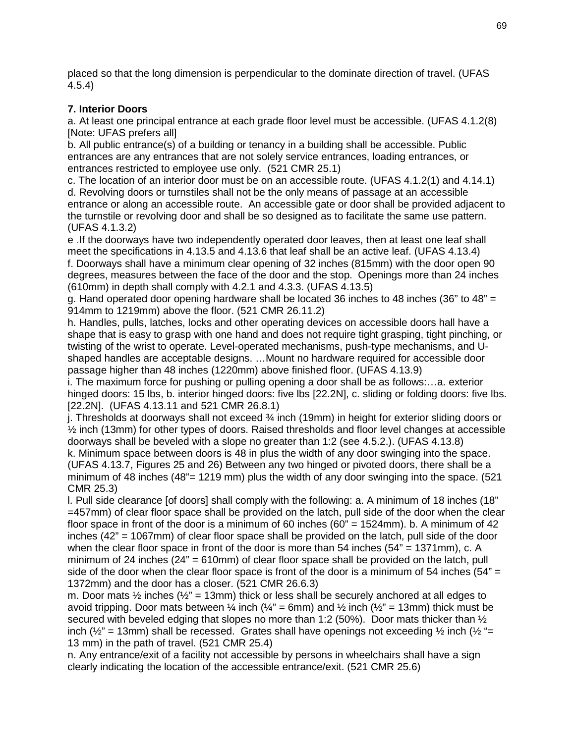placed so that the long dimension is perpendicular to the dominate direction of travel. (UFAS 4.5.4)

## **7. Interior Doors**

a. At least one principal entrance at each grade floor level must be accessible. (UFAS 4.1.2(8) [Note: UFAS prefers all]

b. All public entrance(s) of a building or tenancy in a building shall be accessible. Public entrances are any entrances that are not solely service entrances, loading entrances, or entrances restricted to employee use only. (521 CMR 25.1)

c. The location of an interior door must be on an accessible route. (UFAS 4.1.2(1) and 4.14.1) d. Revolving doors or turnstiles shall not be the only means of passage at an accessible entrance or along an accessible route. An accessible gate or door shall be provided adjacent to the turnstile or revolving door and shall be so designed as to facilitate the same use pattern. (UFAS 4.1.3.2)

e .If the doorways have two independently operated door leaves, then at least one leaf shall meet the specifications in 4.13.5 and 4.13.6 that leaf shall be an active leaf. (UFAS 4.13.4) f. Doorways shall have a minimum clear opening of 32 inches (815mm) with the door open 90 degrees, measures between the face of the door and the stop. Openings more than 24 inches (610mm) in depth shall comply with 4.2.1 and 4.3.3. (UFAS 4.13.5)

g. Hand operated door opening hardware shall be located 36 inches to 48 inches (36" to 48" = 914mm to 1219mm) above the floor. (521 CMR 26.11.2)

h. Handles, pulls, latches, locks and other operating devices on accessible doors hall have a shape that is easy to grasp with one hand and does not require tight grasping, tight pinching, or twisting of the wrist to operate. Level-operated mechanisms, push-type mechanisms, and Ushaped handles are acceptable designs. …Mount no hardware required for accessible door passage higher than 48 inches (1220mm) above finished floor. (UFAS 4.13.9)

i. The maximum force for pushing or pulling opening a door shall be as follows:…a. exterior hinged doors: 15 lbs, b. interior hinged doors: five lbs [22.2N], c. sliding or folding doors: five lbs. [22.2N]. (UFAS 4.13.11 and 521 CMR 26.8.1)

j. Thresholds at doorways shall not exceed ¾ inch (19mm) in height for exterior sliding doors or  $\frac{1}{2}$  inch (13mm) for other types of doors. Raised thresholds and floor level changes at accessible doorways shall be beveled with a slope no greater than 1:2 (see 4.5.2.). (UFAS 4.13.8)

k. Minimum space between doors is 48 in plus the width of any door swinging into the space. (UFAS 4.13.7, Figures 25 and 26) Between any two hinged or pivoted doors, there shall be a minimum of 48 inches (48"= 1219 mm) plus the width of any door swinging into the space. (521 CMR 25.3)

l. Pull side clearance [of doors] shall comply with the following: a. A minimum of 18 inches (18" =457mm) of clear floor space shall be provided on the latch, pull side of the door when the clear floor space in front of the door is a minimum of 60 inches (60" = 1524mm). b. A minimum of 42 inches (42" = 1067mm) of clear floor space shall be provided on the latch, pull side of the door when the clear floor space in front of the door is more than  $54$  inches  $(54" = 1371$ mm), c. A minimum of 24 inches  $(24<sup>n</sup> = 610$ mm) of clear floor space shall be provided on the latch, pull side of the door when the clear floor space is front of the door is a minimum of 54 inches (54"  $=$ 1372mm) and the door has a closer. (521 CMR 26.6.3)

m. Door mats  $\frac{1}{2}$  inches ( $\frac{1}{2}$ " = 13mm) thick or less shall be securely anchored at all edges to avoid tripping. Door mats between  $\frac{1}{4}$  inch ( $\frac{1}{4}$ " = 6mm) and  $\frac{1}{2}$  inch ( $\frac{1}{2}$ " = 13mm) thick must be secured with beveled edging that slopes no more than 1:2 (50%). Door mats thicker than  $\frac{1}{2}$ inch ( $\frac{1}{2}$ " = 13mm) shall be recessed. Grates shall have openings not exceeding  $\frac{1}{2}$  inch ( $\frac{1}{2}$ " = 13 mm) in the path of travel. (521 CMR 25.4)

n. Any entrance/exit of a facility not accessible by persons in wheelchairs shall have a sign clearly indicating the location of the accessible entrance/exit. (521 CMR 25.6)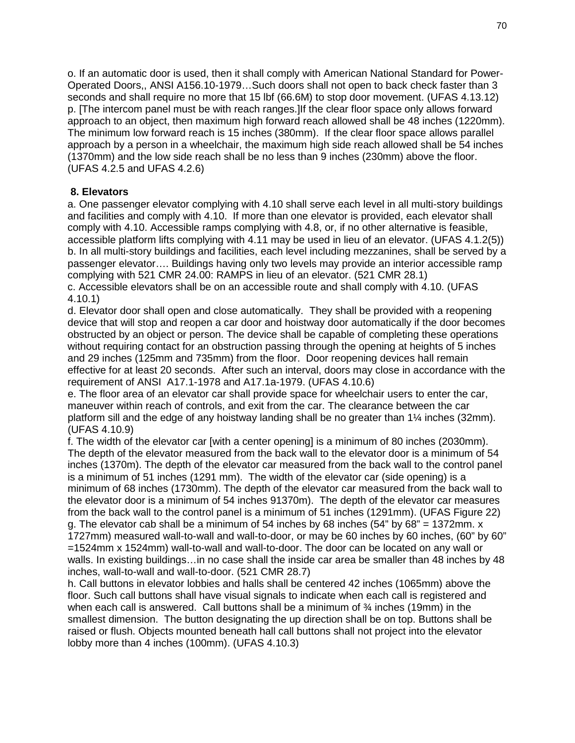o. If an automatic door is used, then it shall comply with American National Standard for Power-Operated Doors,, ANSI A156.10-1979…Such doors shall not open to back check faster than 3 seconds and shall require no more that 15 lbf (66.6M) to stop door movement. (UFAS 4.13.12) p. [The intercom panel must be with reach ranges.]If the clear floor space only allows forward approach to an object, then maximum high forward reach allowed shall be 48 inches (1220mm). The minimum low forward reach is 15 inches (380mm). If the clear floor space allows parallel approach by a person in a wheelchair, the maximum high side reach allowed shall be 54 inches (1370mm) and the low side reach shall be no less than 9 inches (230mm) above the floor. (UFAS 4.2.5 and UFAS 4.2.6)

## **8. Elevators**

a. One passenger elevator complying with 4.10 shall serve each level in all multi-story buildings and facilities and comply with 4.10. If more than one elevator is provided, each elevator shall comply with 4.10. Accessible ramps complying with 4.8, or, if no other alternative is feasible, accessible platform lifts complying with 4.11 may be used in lieu of an elevator. (UFAS 4.1.2(5)) b. In all multi-story buildings and facilities, each level including mezzanines, shall be served by a passenger elevator…. Buildings having only two levels may provide an interior accessible ramp complying with 521 CMR 24.00: RAMPS in lieu of an elevator. (521 CMR 28.1) c. Accessible elevators shall be on an accessible route and shall comply with 4.10. (UFAS 4.10.1)

d. Elevator door shall open and close automatically. They shall be provided with a reopening device that will stop and reopen a car door and hoistway door automatically if the door becomes obstructed by an object or person. The device shall be capable of completing these operations without requiring contact for an obstruction passing through the opening at heights of 5 inches and 29 inches (125mm and 735mm) from the floor. Door reopening devices hall remain effective for at least 20 seconds. After such an interval, doors may close in accordance with the requirement of ANSI A17.1-1978 and A17.1a-1979. (UFAS 4.10.6)

e. The floor area of an elevator car shall provide space for wheelchair users to enter the car, maneuver within reach of controls, and exit from the car. The clearance between the car platform sill and the edge of any hoistway landing shall be no greater than 1¼ inches (32mm). (UFAS 4.10.9)

f. The width of the elevator car [with a center opening] is a minimum of 80 inches (2030mm). The depth of the elevator measured from the back wall to the elevator door is a minimum of 54 inches (1370m). The depth of the elevator car measured from the back wall to the control panel is a minimum of 51 inches (1291 mm). The width of the elevator car (side opening) is a minimum of 68 inches (1730mm). The depth of the elevator car measured from the back wall to the elevator door is a minimum of 54 inches 91370m). The depth of the elevator car measures from the back wall to the control panel is a minimum of 51 inches (1291mm). (UFAS Figure 22) g. The elevator cab shall be a minimum of 54 inches by 68 inches (54" by 68" = 1372mm. x 1727mm) measured wall-to-wall and wall-to-door, or may be 60 inches by 60 inches, (60" by 60" =1524mm x 1524mm) wall-to-wall and wall-to-door. The door can be located on any wall or walls. In existing buildings...in no case shall the inside car area be smaller than 48 inches by 48 inches, wall-to-wall and wall-to-door. (521 CMR 28.7)

h. Call buttons in elevator lobbies and halls shall be centered 42 inches (1065mm) above the floor. Such call buttons shall have visual signals to indicate when each call is registered and when each call is answered. Call buttons shall be a minimum of  $\frac{3}{4}$  inches (19mm) in the smallest dimension. The button designating the up direction shall be on top. Buttons shall be raised or flush. Objects mounted beneath hall call buttons shall not project into the elevator lobby more than 4 inches (100mm). (UFAS 4.10.3)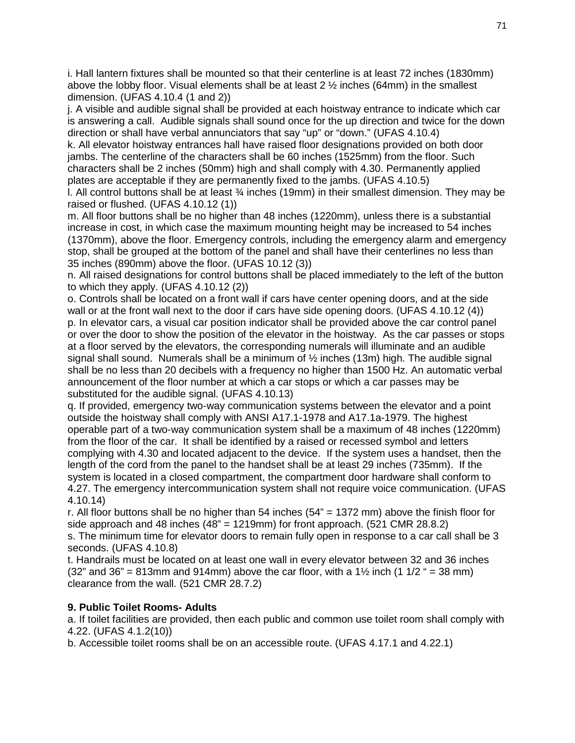i. Hall lantern fixtures shall be mounted so that their centerline is at least 72 inches (1830mm) above the lobby floor. Visual elements shall be at least 2 ½ inches (64mm) in the smallest dimension. (UFAS 4.10.4 (1 and 2))

j. A visible and audible signal shall be provided at each hoistway entrance to indicate which car is answering a call. Audible signals shall sound once for the up direction and twice for the down direction or shall have verbal annunciators that say "up" or "down." (UFAS 4.10.4)

k. All elevator hoistway entrances hall have raised floor designations provided on both door jambs. The centerline of the characters shall be 60 inches (1525mm) from the floor. Such characters shall be 2 inches (50mm) high and shall comply with 4.30. Permanently applied plates are acceptable if they are permanently fixed to the jambs. (UFAS 4.10.5)

I. All control buttons shall be at least  $\frac{3}{4}$  inches (19mm) in their smallest dimension. They may be raised or flushed. (UFAS 4.10.12 (1))

m. All floor buttons shall be no higher than 48 inches (1220mm), unless there is a substantial increase in cost, in which case the maximum mounting height may be increased to 54 inches (1370mm), above the floor. Emergency controls, including the emergency alarm and emergency stop, shall be grouped at the bottom of the panel and shall have their centerlines no less than 35 inches (890mm) above the floor. (UFAS 10.12 (3))

n. All raised designations for control buttons shall be placed immediately to the left of the button to which they apply. (UFAS 4.10.12 (2))

o. Controls shall be located on a front wall if cars have center opening doors, and at the side wall or at the front wall next to the door if cars have side opening doors. (UFAS 4.10.12 (4)) p. In elevator cars, a visual car position indicator shall be provided above the car control panel or over the door to show the position of the elevator in the hoistway. As the car passes or stops at a floor served by the elevators, the corresponding numerals will illuminate and an audible signal shall sound. Numerals shall be a minimum of  $\frac{1}{2}$  inches (13m) high. The audible signal shall be no less than 20 decibels with a frequency no higher than 1500 Hz. An automatic verbal announcement of the floor number at which a car stops or which a car passes may be substituted for the audible signal. (UFAS 4.10.13)

q. If provided, emergency two-way communication systems between the elevator and a point outside the hoistway shall comply with ANSI A17.1-1978 and A17.1a-1979. The highest operable part of a two-way communication system shall be a maximum of 48 inches (1220mm) from the floor of the car. It shall be identified by a raised or recessed symbol and letters complying with 4.30 and located adjacent to the device. If the system uses a handset, then the length of the cord from the panel to the handset shall be at least 29 inches (735mm). If the system is located in a closed compartment, the compartment door hardware shall conform to 4.27. The emergency intercommunication system shall not require voice communication. (UFAS 4.10.14)

r. All floor buttons shall be no higher than 54 inches (54" = 1372 mm) above the finish floor for side approach and 48 inches  $(48<sup>"</sup> = 1219$ mm) for front approach.  $(521 \text{ CMR } 28.8.2)$ s. The minimum time for elevator doors to remain fully open in response to a car call shall be 3 seconds. (UFAS 4.10.8)

t. Handrails must be located on at least one wall in every elevator between 32 and 36 inches  $(32$ " and  $36$ " = 813mm and 914mm) above the car floor, with a 1 $\frac{1}{2}$  inch (1 1/2 " = 38 mm) clearance from the wall. (521 CMR 28.7.2)

#### **9. Public Toilet Rooms- Adults**

a. If toilet facilities are provided, then each public and common use toilet room shall comply with 4.22. (UFAS 4.1.2(10))

b. Accessible toilet rooms shall be on an accessible route. (UFAS 4.17.1 and 4.22.1)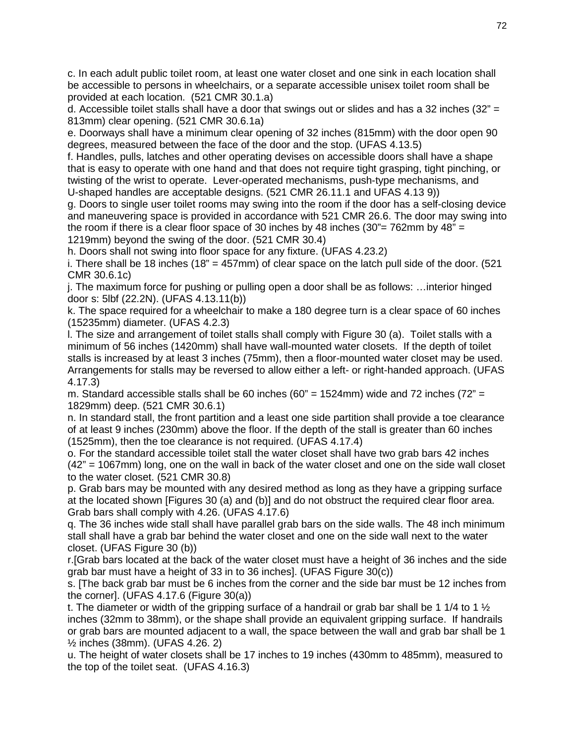c. In each adult public toilet room, at least one water closet and one sink in each location shall be accessible to persons in wheelchairs, or a separate accessible unisex toilet room shall be provided at each location. (521 CMR 30.1.a)

d. Accessible toilet stalls shall have a door that swings out or slides and has a 32 inches ( $32" =$ 813mm) clear opening. (521 CMR 30.6.1a)

e. Doorways shall have a minimum clear opening of 32 inches (815mm) with the door open 90 degrees, measured between the face of the door and the stop. (UFAS 4.13.5)

f. Handles, pulls, latches and other operating devises on accessible doors shall have a shape that is easy to operate with one hand and that does not require tight grasping, tight pinching, or twisting of the wrist to operate. Lever-operated mechanisms, push-type mechanisms, and U-shaped handles are acceptable designs. (521 CMR 26.11.1 and UFAS 4.13 9))

g. Doors to single user toilet rooms may swing into the room if the door has a self-closing device and maneuvering space is provided in accordance with 521 CMR 26.6. The door may swing into the room if there is a clear floor space of 30 inches by 48 inches (30"=  $762$ mm by 48" = 1219mm) beyond the swing of the door. (521 CMR 30.4)

h. Doors shall not swing into floor space for any fixture. (UFAS 4.23.2)

i. There shall be 18 inches (18" = 457mm) of clear space on the latch pull side of the door.  $(521)$ CMR 30.6.1c)

j. The maximum force for pushing or pulling open a door shall be as follows: …interior hinged door s: 5lbf (22.2N). (UFAS 4.13.11(b))

k. The space required for a wheelchair to make a 180 degree turn is a clear space of 60 inches (15235mm) diameter. (UFAS 4.2.3)

l. The size and arrangement of toilet stalls shall comply with Figure 30 (a). Toilet stalls with a minimum of 56 inches (1420mm) shall have wall-mounted water closets. If the depth of toilet stalls is increased by at least 3 inches (75mm), then a floor-mounted water closet may be used. Arrangements for stalls may be reversed to allow either a left- or right-handed approach. (UFAS 4.17.3)

m. Standard accessible stalls shall be 60 inches (60" = 1524mm) wide and 72 inches (72" = 1829mm) deep. (521 CMR 30.6.1)

n. In standard stall, the front partition and a least one side partition shall provide a toe clearance of at least 9 inches (230mm) above the floor. If the depth of the stall is greater than 60 inches (1525mm), then the toe clearance is not required. (UFAS 4.17.4)

o. For the standard accessible toilet stall the water closet shall have two grab bars 42 inches (42" = 1067mm) long, one on the wall in back of the water closet and one on the side wall closet to the water closet. (521 CMR 30.8)

p. Grab bars may be mounted with any desired method as long as they have a gripping surface at the located shown [Figures 30 (a) and (b)] and do not obstruct the required clear floor area. Grab bars shall comply with 4.26. (UFAS 4.17.6)

q. The 36 inches wide stall shall have parallel grab bars on the side walls. The 48 inch minimum stall shall have a grab bar behind the water closet and one on the side wall next to the water closet. (UFAS Figure 30 (b))

r.[Grab bars located at the back of the water closet must have a height of 36 inches and the side grab bar must have a height of 33 in to 36 inches]. (UFAS Figure 30(c))

s. [The back grab bar must be 6 inches from the corner and the side bar must be 12 inches from the corner]. (UFAS 4.17.6 (Figure 30(a))

t. The diameter or width of the gripping surface of a handrail or grab bar shall be 1 1/4 to 1  $\frac{1}{2}$ inches (32mm to 38mm), or the shape shall provide an equivalent gripping surface. If handrails or grab bars are mounted adjacent to a wall, the space between the wall and grab bar shall be 1 ½ inches (38mm). (UFAS 4.26. 2)

u. The height of water closets shall be 17 inches to 19 inches (430mm to 485mm), measured to the top of the toilet seat. (UFAS 4.16.3)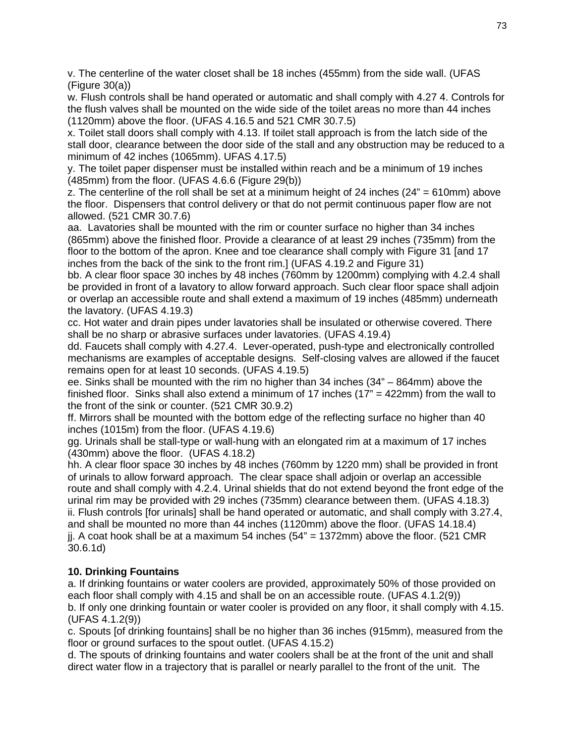v. The centerline of the water closet shall be 18 inches (455mm) from the side wall. (UFAS (Figure 30(a))

w. Flush controls shall be hand operated or automatic and shall comply with 4.27 4. Controls for the flush valves shall be mounted on the wide side of the toilet areas no more than 44 inches (1120mm) above the floor. (UFAS 4.16.5 and 521 CMR 30.7.5)

x. Toilet stall doors shall comply with 4.13. If toilet stall approach is from the latch side of the stall door, clearance between the door side of the stall and any obstruction may be reduced to a minimum of 42 inches (1065mm). UFAS 4.17.5)

y. The toilet paper dispenser must be installed within reach and be a minimum of 19 inches (485mm) from the floor. (UFAS 4.6.6 (Figure 29(b))

z. The centerline of the roll shall be set at a minimum height of 24 inches  $(24<sup>n</sup> = 610$ mm) above the floor. Dispensers that control delivery or that do not permit continuous paper flow are not allowed. (521 CMR 30.7.6)

aa. Lavatories shall be mounted with the rim or counter surface no higher than 34 inches (865mm) above the finished floor. Provide a clearance of at least 29 inches (735mm) from the floor to the bottom of the apron. Knee and toe clearance shall comply with Figure 31 [and 17 inches from the back of the sink to the front rim.] (UFAS 4.19.2 and Figure 31)

bb. A clear floor space 30 inches by 48 inches (760mm by 1200mm) complying with 4.2.4 shall be provided in front of a lavatory to allow forward approach. Such clear floor space shall adjoin or overlap an accessible route and shall extend a maximum of 19 inches (485mm) underneath the lavatory. (UFAS 4.19.3)

cc. Hot water and drain pipes under lavatories shall be insulated or otherwise covered. There shall be no sharp or abrasive surfaces under lavatories. (UFAS 4.19.4)

dd. Faucets shall comply with 4.27.4. Lever-operated, push-type and electronically controlled mechanisms are examples of acceptable designs. Self-closing valves are allowed if the faucet remains open for at least 10 seconds. (UFAS 4.19.5)

ee. Sinks shall be mounted with the rim no higher than 34 inches (34" – 864mm) above the finished floor. Sinks shall also extend a minimum of 17 inches (17" = 422mm) from the wall to the front of the sink or counter. (521 CMR 30.9.2)

ff. Mirrors shall be mounted with the bottom edge of the reflecting surface no higher than 40 inches (1015m) from the floor. (UFAS 4.19.6)

gg. Urinals shall be stall-type or wall-hung with an elongated rim at a maximum of 17 inches (430mm) above the floor. (UFAS 4.18.2)

hh. A clear floor space 30 inches by 48 inches (760mm by 1220 mm) shall be provided in front of urinals to allow forward approach. The clear space shall adjoin or overlap an accessible route and shall comply with 4.2.4. Urinal shields that do not extend beyond the front edge of the urinal rim may be provided with 29 inches (735mm) clearance between them. (UFAS 4.18.3) ii. Flush controls [for urinals] shall be hand operated or automatic, and shall comply with 3.27.4, and shall be mounted no more than 44 inches (1120mm) above the floor. (UFAS 14.18.4) jj. A coat hook shall be at a maximum 54 inches  $(54<sup>n</sup> = 1372mm)$  above the floor. (521 CMR 30.6.1d)

# **10. Drinking Fountains**

a. If drinking fountains or water coolers are provided, approximately 50% of those provided on each floor shall comply with 4.15 and shall be on an accessible route. (UFAS 4.1.2(9))

b. If only one drinking fountain or water cooler is provided on any floor, it shall comply with 4.15. (UFAS 4.1.2(9))

c. Spouts [of drinking fountains] shall be no higher than 36 inches (915mm), measured from the floor or ground surfaces to the spout outlet. (UFAS 4.15.2)

d. The spouts of drinking fountains and water coolers shall be at the front of the unit and shall direct water flow in a trajectory that is parallel or nearly parallel to the front of the unit. The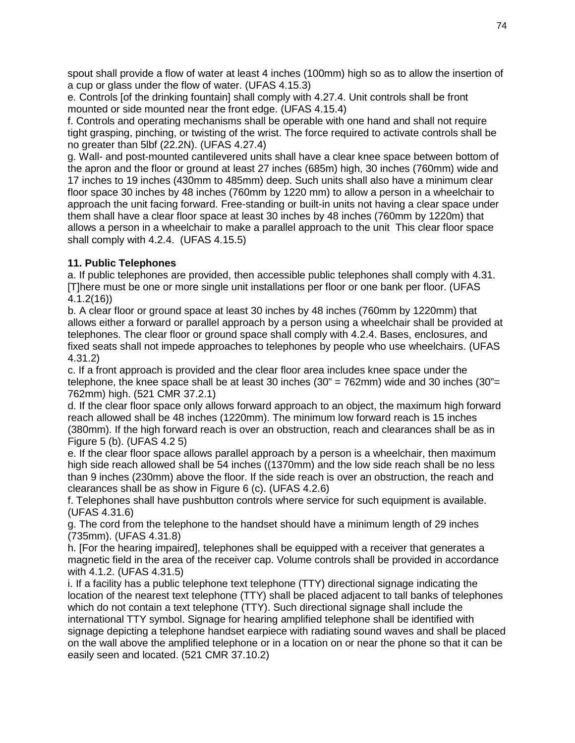spout shall provide a flow of water at least 4 inches (100mm) high so as to allow the insertion of a cup or glass under the flow of water. (UFAS 4.15.3)

e. Controls [of the drinking fountain] shall comply with 4.27.4. Unit controls shall be front mounted or side mounted near the front edge. (UFAS 4.15.4)

f. Controls and operating mechanisms shall be operable with one hand and shall not require tight grasping, pinching, or twisting of the wrist. The force required to activate controls shall be no greater than 5lbf (22.2N). (UFAS 4.27.4)

g. Wall- and post-mounted cantilevered units shall have a clear knee space between bottom of the apron and the floor or ground at least 27 inches (685m) high, 30 inches (760mm) wide and 17 inches to 19 inches (430mm to 485mm) deep. Such units shall also have a minimum clear floor space 30 inches by 48 inches (760mm by 1220 mm) to allow a person in a wheelchair to approach the unit facing forward. Free-standing or built-in units not having a clear space under them shall have a clear floor space at least 30 inches by 48 inches (760mm by 1220m) that allows a person in a wheelchair to make a parallel approach to the unit This clear floor space shall comply with 4.2.4. (UFAS 4.15.5)

# **11. Public Telephones**

a. If public telephones are provided, then accessible public telephones shall comply with 4.31. [T]here must be one or more single unit installations per floor or one bank per floor. (UFAS 4.1.2(16))

b. A clear floor or ground space at least 30 inches by 48 inches (760mm by 1220mm) that allows either a forward or parallel approach by a person using a wheelchair shall be provided at telephones. The clear floor or ground space shall comply with 4.2.4. Bases, enclosures, and fixed seats shall not impede approaches to telephones by people who use wheelchairs. (UFAS 4.31.2)

c. If a front approach is provided and the clear floor area includes knee space under the telephone, the knee space shall be at least 30 inches  $(30<sup>''</sup> = 762 \text{mm})$  wide and 30 inches  $(30<sup>''</sup> =$ 762mm) high. (521 CMR 37.2.1)

d. If the clear floor space only allows forward approach to an object, the maximum high forward reach allowed shall be 48 inches (1220mm). The minimum low forward reach is 15 inches (380mm). If the high forward reach is over an obstruction, reach and clearances shall be as in Figure 5 (b). (UFAS 4.2 5)

e. If the clear floor space allows parallel approach by a person is a wheelchair, then maximum high side reach allowed shall be 54 inches ((1370mm) and the low side reach shall be no less than 9 inches (230mm) above the floor. If the side reach is over an obstruction, the reach and clearances shall be as show in Figure 6 (c). (UFAS 4.2.6)

f. Telephones shall have pushbutton controls where service for such equipment is available. (UFAS 4.31.6)

g. The cord from the telephone to the handset should have a minimum length of 29 inches (735mm). (UFAS 4.31.8)

h. [For the hearing impaired], telephones shall be equipped with a receiver that generates a magnetic field in the area of the receiver cap. Volume controls shall be provided in accordance with 4.1.2. (UFAS 4.31.5)

i. If a facility has a public telephone text telephone (TTY) directional signage indicating the location of the nearest text telephone (TTY) shall be placed adjacent to tall banks of telephones which do not contain a text telephone (TTY). Such directional signage shall include the international TTY symbol. Signage for hearing amplified telephone shall be identified with signage depicting a telephone handset earpiece with radiating sound waves and shall be placed on the wall above the amplified telephone or in a location on or near the phone so that it can be easily seen and located. (521 CMR 37.10.2)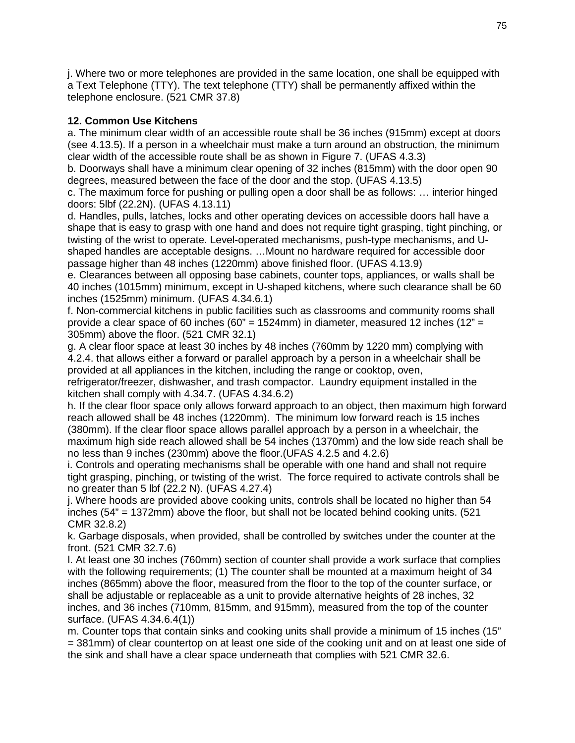j. Where two or more telephones are provided in the same location, one shall be equipped with a Text Telephone (TTY). The text telephone (TTY) shall be permanently affixed within the telephone enclosure. (521 CMR 37.8)

### **12. Common Use Kitchens**

a. The minimum clear width of an accessible route shall be 36 inches (915mm) except at doors (see 4.13.5). If a person in a wheelchair must make a turn around an obstruction, the minimum clear width of the accessible route shall be as shown in Figure 7. (UFAS 4.3.3)

b. Doorways shall have a minimum clear opening of 32 inches (815mm) with the door open 90 degrees, measured between the face of the door and the stop. (UFAS 4.13.5)

c. The maximum force for pushing or pulling open a door shall be as follows: … interior hinged doors: 5lbf (22.2N). (UFAS 4.13.11)

d. Handles, pulls, latches, locks and other operating devices on accessible doors hall have a shape that is easy to grasp with one hand and does not require tight grasping, tight pinching, or twisting of the wrist to operate. Level-operated mechanisms, push-type mechanisms, and Ushaped handles are acceptable designs. …Mount no hardware required for accessible door passage higher than 48 inches (1220mm) above finished floor. (UFAS 4.13.9)

e. Clearances between all opposing base cabinets, counter tops, appliances, or walls shall be 40 inches (1015mm) minimum, except in U-shaped kitchens, where such clearance shall be 60 inches (1525mm) minimum. (UFAS 4.34.6.1)

f. Non-commercial kitchens in public facilities such as classrooms and community rooms shall provide a clear space of 60 inches (60" = 1524mm) in diameter, measured 12 inches (12" = 305mm) above the floor. (521 CMR 32.1)

g. A clear floor space at least 30 inches by 48 inches (760mm by 1220 mm) complying with 4.2.4. that allows either a forward or parallel approach by a person in a wheelchair shall be provided at all appliances in the kitchen, including the range or cooktop, oven, refrigerator/freezer, dishwasher, and trash compactor. Laundry equipment installed in the kitchen shall comply with 4.34.7. (UFAS 4.34.6.2)

h. If the clear floor space only allows forward approach to an object, then maximum high forward reach allowed shall be 48 inches (1220mm). The minimum low forward reach is 15 inches (380mm). If the clear floor space allows parallel approach by a person in a wheelchair, the maximum high side reach allowed shall be 54 inches (1370mm) and the low side reach shall be no less than 9 inches (230mm) above the floor.(UFAS 4.2.5 and 4.2.6)

i. Controls and operating mechanisms shall be operable with one hand and shall not require tight grasping, pinching, or twisting of the wrist. The force required to activate controls shall be no greater than 5 lbf (22.2 N). (UFAS 4.27.4)

j. Where hoods are provided above cooking units, controls shall be located no higher than 54 inches (54" = 1372mm) above the floor, but shall not be located behind cooking units. (521 CMR 32.8.2)

k. Garbage disposals, when provided, shall be controlled by switches under the counter at the front. (521 CMR 32.7.6)

l. At least one 30 inches (760mm) section of counter shall provide a work surface that complies with the following requirements; (1) The counter shall be mounted at a maximum height of 34 inches (865mm) above the floor, measured from the floor to the top of the counter surface, or shall be adjustable or replaceable as a unit to provide alternative heights of 28 inches, 32 inches, and 36 inches (710mm, 815mm, and 915mm), measured from the top of the counter surface. (UFAS 4.34.6.4(1))

m. Counter tops that contain sinks and cooking units shall provide a minimum of 15 inches (15" = 381mm) of clear countertop on at least one side of the cooking unit and on at least one side of the sink and shall have a clear space underneath that complies with 521 CMR 32.6.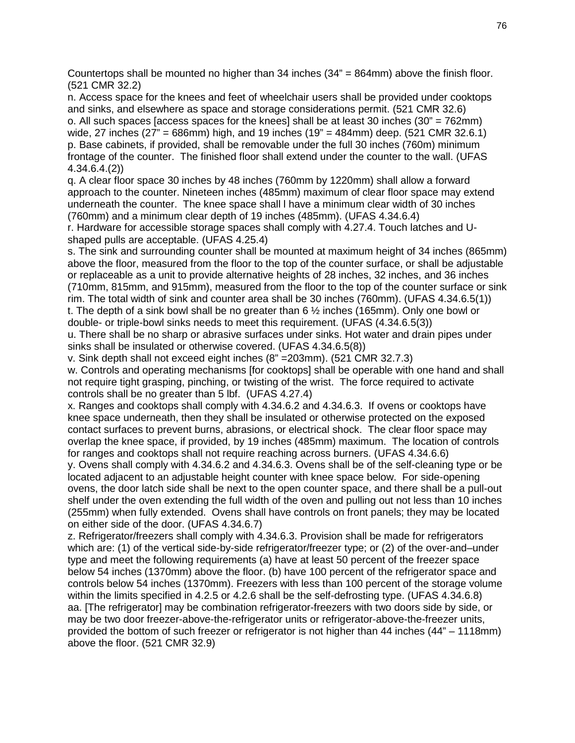Countertops shall be mounted no higher than 34 inches (34" = 864mm) above the finish floor. (521 CMR 32.2)

n. Access space for the knees and feet of wheelchair users shall be provided under cooktops and sinks, and elsewhere as space and storage considerations permit. (521 CMR 32.6) o. All such spaces [access spaces for the knees] shall be at least 30 inches  $(30<sup>o</sup> = 762$ mm) wide, 27 inches  $(27" = 686$ mm) high, and 19 inches  $(19" = 484$ mm) deep.  $(521 \text{ CMR } 32.6.1)$ p. Base cabinets, if provided, shall be removable under the full 30 inches (760m) minimum frontage of the counter. The finished floor shall extend under the counter to the wall. (UFAS 4.34.6.4.(2))

q. A clear floor space 30 inches by 48 inches (760mm by 1220mm) shall allow a forward approach to the counter. Nineteen inches (485mm) maximum of clear floor space may extend underneath the counter. The knee space shall l have a minimum clear width of 30 inches (760mm) and a minimum clear depth of 19 inches (485mm). (UFAS 4.34.6.4)

r. Hardware for accessible storage spaces shall comply with 4.27.4. Touch latches and Ushaped pulls are acceptable. (UFAS 4.25.4)

s. The sink and surrounding counter shall be mounted at maximum height of 34 inches (865mm) above the floor, measured from the floor to the top of the counter surface, or shall be adjustable or replaceable as a unit to provide alternative heights of 28 inches, 32 inches, and 36 inches (710mm, 815mm, and 915mm), measured from the floor to the top of the counter surface or sink rim. The total width of sink and counter area shall be 30 inches (760mm). (UFAS 4.34.6.5(1)) t. The depth of a sink bowl shall be no greater than 6  $\frac{1}{2}$  inches (165mm). Only one bowl or

double- or triple-bowl sinks needs to meet this requirement. (UFAS (4.34.6.5(3)) u. There shall be no sharp or abrasive surfaces under sinks. Hot water and drain pipes under

sinks shall be insulated or otherwise covered. (UFAS 4.34.6.5(8)) v. Sink depth shall not exceed eight inches (8" =203mm). (521 CMR 32.7.3)

w. Controls and operating mechanisms [for cooktops] shall be operable with one hand and shall not require tight grasping, pinching, or twisting of the wrist. The force required to activate controls shall be no greater than 5 lbf. (UFAS 4.27.4)

x. Ranges and cooktops shall comply with 4.34.6.2 and 4.34.6.3. If ovens or cooktops have knee space underneath, then they shall be insulated or otherwise protected on the exposed contact surfaces to prevent burns, abrasions, or electrical shock. The clear floor space may overlap the knee space, if provided, by 19 inches (485mm) maximum. The location of controls for ranges and cooktops shall not require reaching across burners. (UFAS 4.34.6.6)

y. Ovens shall comply with 4.34.6.2 and 4.34.6.3. Ovens shall be of the self-cleaning type or be located adjacent to an adjustable height counter with knee space below. For side-opening ovens, the door latch side shall be next to the open counter space, and there shall be a pull-out shelf under the oven extending the full width of the oven and pulling out not less than 10 inches (255mm) when fully extended. Ovens shall have controls on front panels; they may be located on either side of the door. (UFAS 4.34.6.7)

z. Refrigerator/freezers shall comply with 4.34.6.3. Provision shall be made for refrigerators which are: (1) of the vertical side-by-side refrigerator/freezer type; or (2) of the over-and–under type and meet the following requirements (a) have at least 50 percent of the freezer space below 54 inches (1370mm) above the floor. (b) have 100 percent of the refrigerator space and controls below 54 inches (1370mm). Freezers with less than 100 percent of the storage volume within the limits specified in 4.2.5 or 4.2.6 shall be the self-defrosting type. (UFAS 4.34.6.8) aa. [The refrigerator] may be combination refrigerator-freezers with two doors side by side, or may be two door freezer-above-the-refrigerator units or refrigerator-above-the-freezer units, provided the bottom of such freezer or refrigerator is not higher than 44 inches (44" – 1118mm) above the floor. (521 CMR 32.9)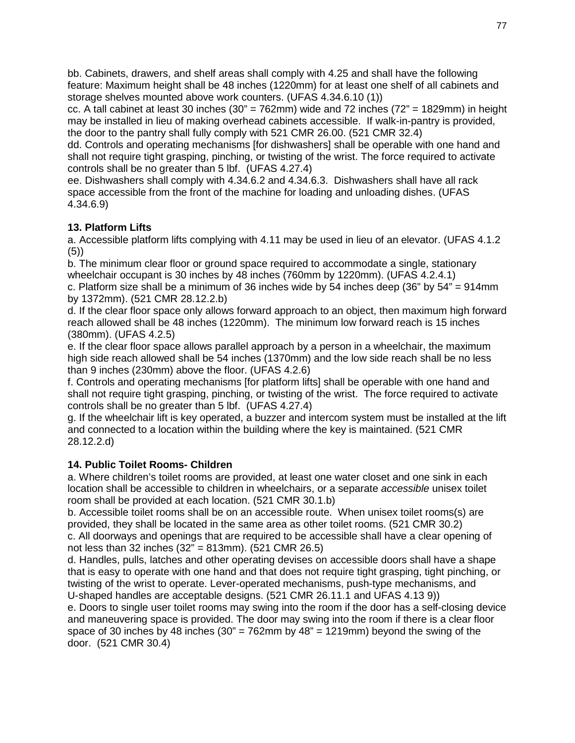bb. Cabinets, drawers, and shelf areas shall comply with 4.25 and shall have the following feature: Maximum height shall be 48 inches (1220mm) for at least one shelf of all cabinets and storage shelves mounted above work counters. (UFAS 4.34.6.10 (1))

cc. A tall cabinet at least 30 inches (30" = 762mm) wide and 72 inches (72" = 1829mm) in height may be installed in lieu of making overhead cabinets accessible. If walk-in-pantry is provided, the door to the pantry shall fully comply with 521 CMR 26.00. (521 CMR 32.4)

dd. Controls and operating mechanisms [for dishwashers] shall be operable with one hand and shall not require tight grasping, pinching, or twisting of the wrist. The force required to activate controls shall be no greater than 5 lbf. (UFAS 4.27.4)

ee. Dishwashers shall comply with 4.34.6.2 and 4.34.6.3. Dishwashers shall have all rack space accessible from the front of the machine for loading and unloading dishes. (UFAS 4.34.6.9)

# **13. Platform Lifts**

a. Accessible platform lifts complying with 4.11 may be used in lieu of an elevator. (UFAS 4.1.2 (5))

b. The minimum clear floor or ground space required to accommodate a single, stationary wheelchair occupant is 30 inches by 48 inches (760mm by 1220mm). (UFAS 4.2.4.1)

c. Platform size shall be a minimum of 36 inches wide by 54 inches deep (36" by  $54" = 914$ mm by 1372mm). (521 CMR 28.12.2.b)

d. If the clear floor space only allows forward approach to an object, then maximum high forward reach allowed shall be 48 inches (1220mm). The minimum low forward reach is 15 inches (380mm). (UFAS 4.2.5)

e. If the clear floor space allows parallel approach by a person in a wheelchair, the maximum high side reach allowed shall be 54 inches (1370mm) and the low side reach shall be no less than 9 inches (230mm) above the floor. (UFAS 4.2.6)

f. Controls and operating mechanisms [for platform lifts] shall be operable with one hand and shall not require tight grasping, pinching, or twisting of the wrist. The force required to activate controls shall be no greater than 5 lbf. (UFAS 4.27.4)

g. If the wheelchair lift is key operated, a buzzer and intercom system must be installed at the lift and connected to a location within the building where the key is maintained. (521 CMR 28.12.2.d)

# **14. Public Toilet Rooms- Children**

a. Where children's toilet rooms are provided, at least one water closet and one sink in each location shall be accessible to children in wheelchairs, or a separate *accessible* unisex toilet room shall be provided at each location. (521 CMR 30.1.b)

b. Accessible toilet rooms shall be on an accessible route. When unisex toilet rooms(s) are provided, they shall be located in the same area as other toilet rooms. (521 CMR 30.2) c. All doorways and openings that are required to be accessible shall have a clear opening of not less than 32 inches (32" = 813mm). (521 CMR 26.5)

d. Handles, pulls, latches and other operating devises on accessible doors shall have a shape that is easy to operate with one hand and that does not require tight grasping, tight pinching, or twisting of the wrist to operate. Lever-operated mechanisms, push-type mechanisms, and U-shaped handles are acceptable designs. (521 CMR 26.11.1 and UFAS 4.13 9))

e. Doors to single user toilet rooms may swing into the room if the door has a self-closing device and maneuvering space is provided. The door may swing into the room if there is a clear floor space of 30 inches by 48 inches  $(30^\circ = 762 \text{mm})$  by  $48^\circ = 1219 \text{mm}$ ) beyond the swing of the door. (521 CMR 30.4)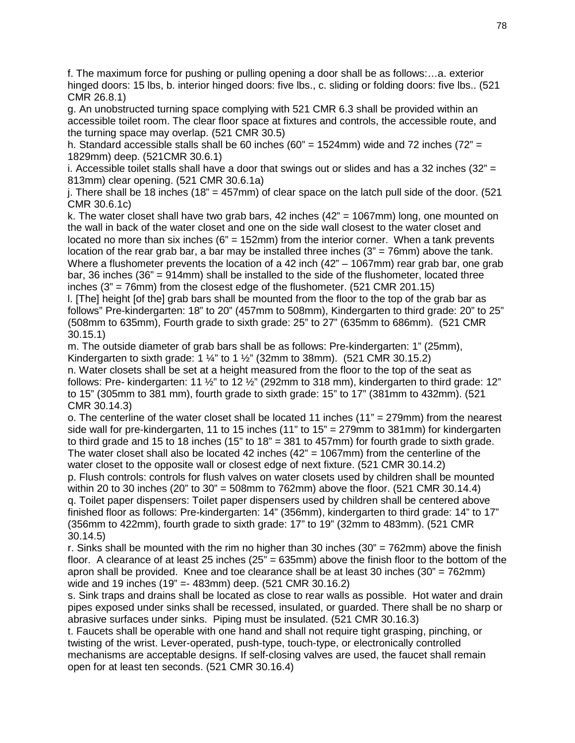f. The maximum force for pushing or pulling opening a door shall be as follows:…a. exterior hinged doors: 15 lbs, b. interior hinged doors: five lbs., c. sliding or folding doors: five lbs.. (521 CMR 26.8.1)

g. An unobstructed turning space complying with 521 CMR 6.3 shall be provided within an accessible toilet room. The clear floor space at fixtures and controls, the accessible route, and the turning space may overlap. (521 CMR 30.5)

h. Standard accessible stalls shall be 60 inches (60" = 1524mm) wide and 72 inches (72" = 1829mm) deep. (521CMR 30.6.1)

i. Accessible toilet stalls shall have a door that swings out or slides and has a 32 inches  $(32<sup>"</sup> =$ 813mm) clear opening. (521 CMR 30.6.1a)

j. There shall be 18 inches (18" = 457mm) of clear space on the latch pull side of the door. (521 CMR 30.6.1c)

k. The water closet shall have two grab bars, 42 inches (42" = 1067mm) long, one mounted on the wall in back of the water closet and one on the side wall closest to the water closet and located no more than six inches  $(6<sup>n</sup> = 152 \text{mm})$  from the interior corner. When a tank prevents location of the rear grab bar, a bar may be installed three inches (3" = 76mm) above the tank. Where a flushometer prevents the location of a 42 inch (42" – 1067mm) rear grab bar, one grab bar, 36 inches (36" = 914mm) shall be installed to the side of the flushometer, located three inches (3" = 76mm) from the closest edge of the flushometer. (521 CMR 201.15)

l. [The] height [of the] grab bars shall be mounted from the floor to the top of the grab bar as follows" Pre-kindergarten: 18" to 20" (457mm to 508mm), Kindergarten to third grade: 20" to 25" (508mm to 635mm), Fourth grade to sixth grade: 25" to 27" (635mm to 686mm). (521 CMR 30.15.1)

m. The outside diameter of grab bars shall be as follows: Pre-kindergarten: 1" (25mm), Kindergarten to sixth grade: 1  $\frac{1}{4}$ " to 1  $\frac{1}{2}$ " (32mm to 38mm). (521 CMR 30.15.2)

n. Water closets shall be set at a height measured from the floor to the top of the seat as follows: Pre- kindergarten: 11 ½" to 12 ½" (292mm to 318 mm), kindergarten to third grade: 12" to 15" (305mm to 381 mm), fourth grade to sixth grade: 15" to 17" (381mm to 432mm). (521 CMR 30.14.3)

o. The centerline of the water closet shall be located 11 inches (11" = 279mm) from the nearest side wall for pre-kindergarten, 11 to 15 inches (11" to 15" = 279mm to 381mm) for kindergarten to third grade and 15 to 18 inches (15" to 18" = 381 to 457mm) for fourth grade to sixth grade. The water closet shall also be located 42 inches (42" = 1067mm) from the centerline of the water closet to the opposite wall or closest edge of next fixture. (521 CMR 30.14.2)

p. Flush controls: controls for flush valves on water closets used by children shall be mounted within 20 to 30 inches (20" to 30" = 508mm to 762mm) above the floor. (521 CMR 30.14.4) q. Toilet paper dispensers: Toilet paper dispensers used by children shall be centered above finished floor as follows: Pre-kindergarten: 14" (356mm), kindergarten to third grade: 14" to 17" (356mm to 422mm), fourth grade to sixth grade: 17" to 19" (32mm to 483mm). (521 CMR 30.14.5)

r. Sinks shall be mounted with the rim no higher than 30 inches  $(30<sup>o</sup> = 762<sup>o</sup>)$  above the finish floor. A clearance of at least 25 inches (25" = 635mm) above the finish floor to the bottom of the apron shall be provided. Knee and toe clearance shall be at least 30 inches (30" = 762mm) wide and 19 inches (19" =- 483mm) deep. (521 CMR 30.16.2)

s. Sink traps and drains shall be located as close to rear walls as possible. Hot water and drain pipes exposed under sinks shall be recessed, insulated, or guarded. There shall be no sharp or abrasive surfaces under sinks. Piping must be insulated. (521 CMR 30.16.3)

t. Faucets shall be operable with one hand and shall not require tight grasping, pinching, or twisting of the wrist. Lever-operated, push-type, touch-type, or electronically controlled mechanisms are acceptable designs. If self-closing valves are used, the faucet shall remain open for at least ten seconds. (521 CMR 30.16.4)